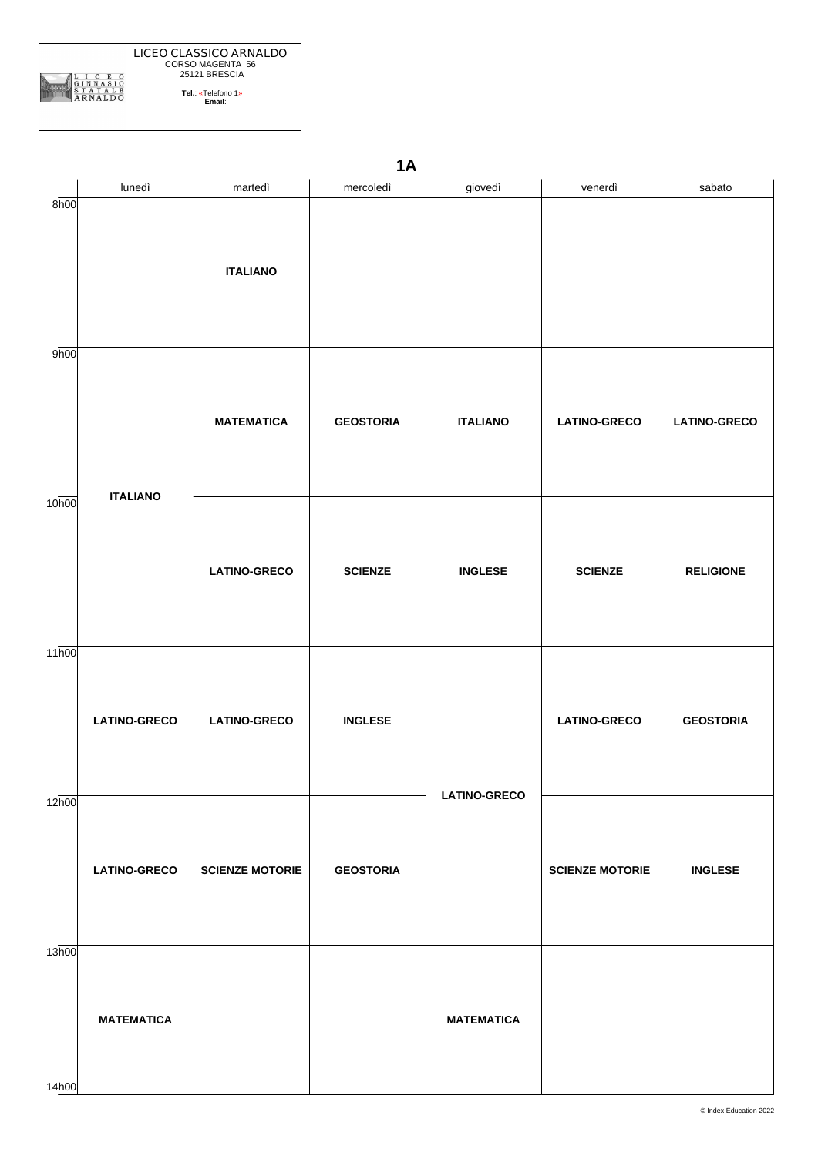

|                   | <b>1A</b>           |                        |                  |                     |                        |                     |  |  |
|-------------------|---------------------|------------------------|------------------|---------------------|------------------------|---------------------|--|--|
|                   | lunedì              | martedì                | mercoledì        | giovedì             | venerdì                | sabato              |  |  |
| 8h00              |                     | <b>ITALIANO</b>        |                  |                     |                        |                     |  |  |
| 9h00              | <b>ITALIANO</b>     | <b>MATEMATICA</b>      | <b>GEOSTORIA</b> | <b>ITALIANO</b>     | <b>LATINO-GRECO</b>    | <b>LATINO-GRECO</b> |  |  |
| 10 <sub>h00</sub> |                     | <b>LATINO-GRECO</b>    | <b>SCIENZE</b>   | <b>INGLESE</b>      | <b>SCIENZE</b>         | <b>RELIGIONE</b>    |  |  |
| 11h00             | <b>LATINO-GRECO</b> | <b>LATINO-GRECO</b>    | <b>INGLESE</b>   | <b>LATINO-GRECO</b> | <b>LATINO-GRECO</b>    | <b>GEOSTORIA</b>    |  |  |
| 12h00             | <b>LATINO-GRECO</b> | <b>SCIENZE MOTORIE</b> | <b>GEOSTORIA</b> |                     | <b>SCIENZE MOTORIE</b> | <b>INGLESE</b>      |  |  |
| 13h00             | <b>MATEMATICA</b>   |                        |                  | <b>MATEMATICA</b>   |                        |                     |  |  |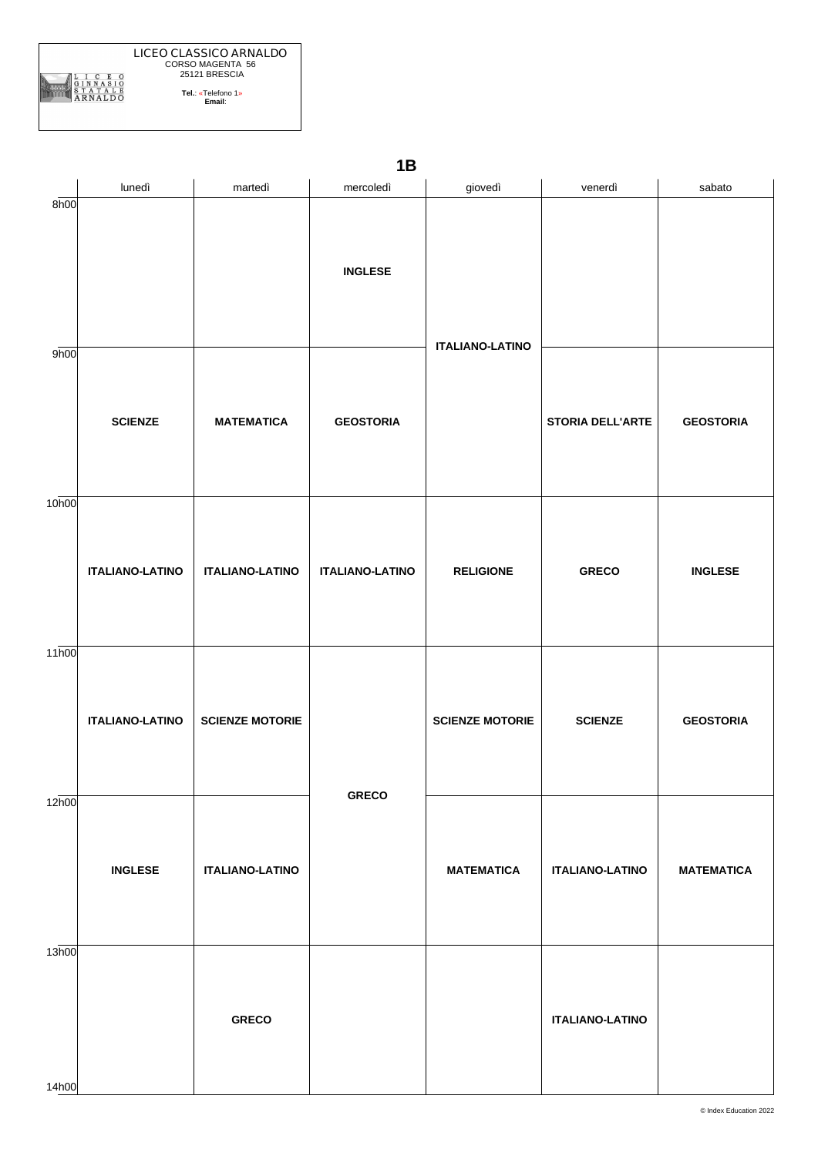

lunedì | martedì | mercoledì | giovedì | venerdì | sabato 8h00 9h00 10h00 11h00 12h00 13h00 **SCIENZE ITALIANO-LATINO ITALIANO-LATINO INGLESE MATEMATICA ITALIANO-LATINO SCIENZE MOTORIE ITALIANO-LATINO GRECO INGLESE GEOSTORIA ITALIANO-LATINO GRECO ITALIANO-LATINO RELIGIONE SCIENZE MOTORIE MATEMATICA STORIA DELL'ARTE GRECO SCIENZE ITALIANO-LATINO ITALIANO-LATINO GEOSTORIA INGLESE GEOSTORIA MATEMATICA**

**1B**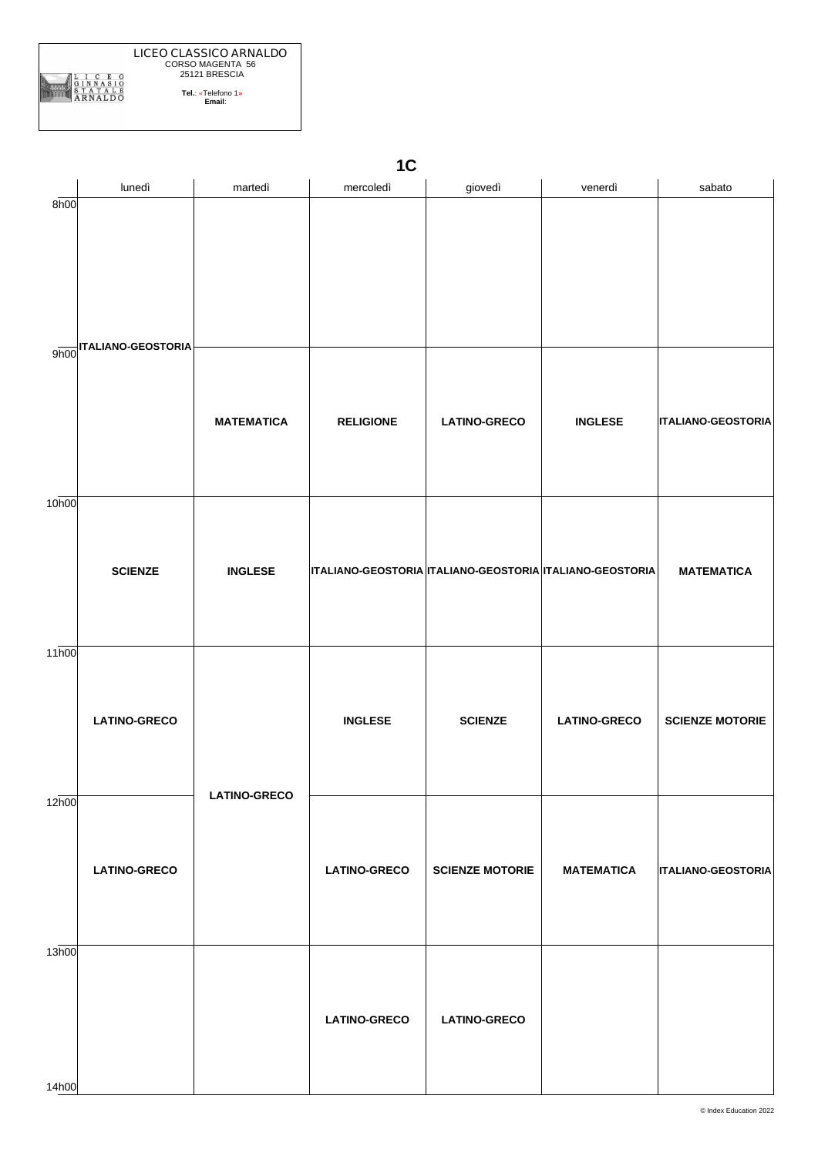

| 1 <sup>C</sup> |  |
|----------------|--|
|                |  |

|                   | lunedì                 | martedì             | mercoledì                                                | giovedì                | venerdì             | sabato                    |
|-------------------|------------------------|---------------------|----------------------------------------------------------|------------------------|---------------------|---------------------------|
| 8h00              |                        |                     |                                                          |                        |                     |                           |
|                   | 9h00 TALIANO-GEOSTORIA | <b>MATEMATICA</b>   | <b>RELIGIONE</b>                                         | <b>LATINO-GRECO</b>    | <b>INGLESE</b>      | <b>ITALIANO-GEOSTORIA</b> |
| 10 <sub>h00</sub> | <b>SCIENZE</b>         | <b>INGLESE</b>      | ITALIANO-GEOSTORIA ITALIANO-GEOSTORIA ITALIANO-GEOSTORIA |                        |                     | <b>MATEMATICA</b>         |
| 11h00             | <b>LATINO-GRECO</b>    |                     | <b>INGLESE</b>                                           | <b>SCIENZE</b>         | <b>LATINO-GRECO</b> | <b>SCIENZE MOTORIE</b>    |
| 12h00             | <b>LATINO-GRECO</b>    | <b>LATINO-GRECO</b> | <b>LATINO-GRECO</b>                                      | <b>SCIENZE MOTORIE</b> | <b>MATEMATICA</b>   | <b>ITALIANO-GEOSTORIA</b> |
| 13h00<br>14h00    |                        |                     | <b>LATINO-GRECO</b>                                      | <b>LATINO-GRECO</b>    |                     |                           |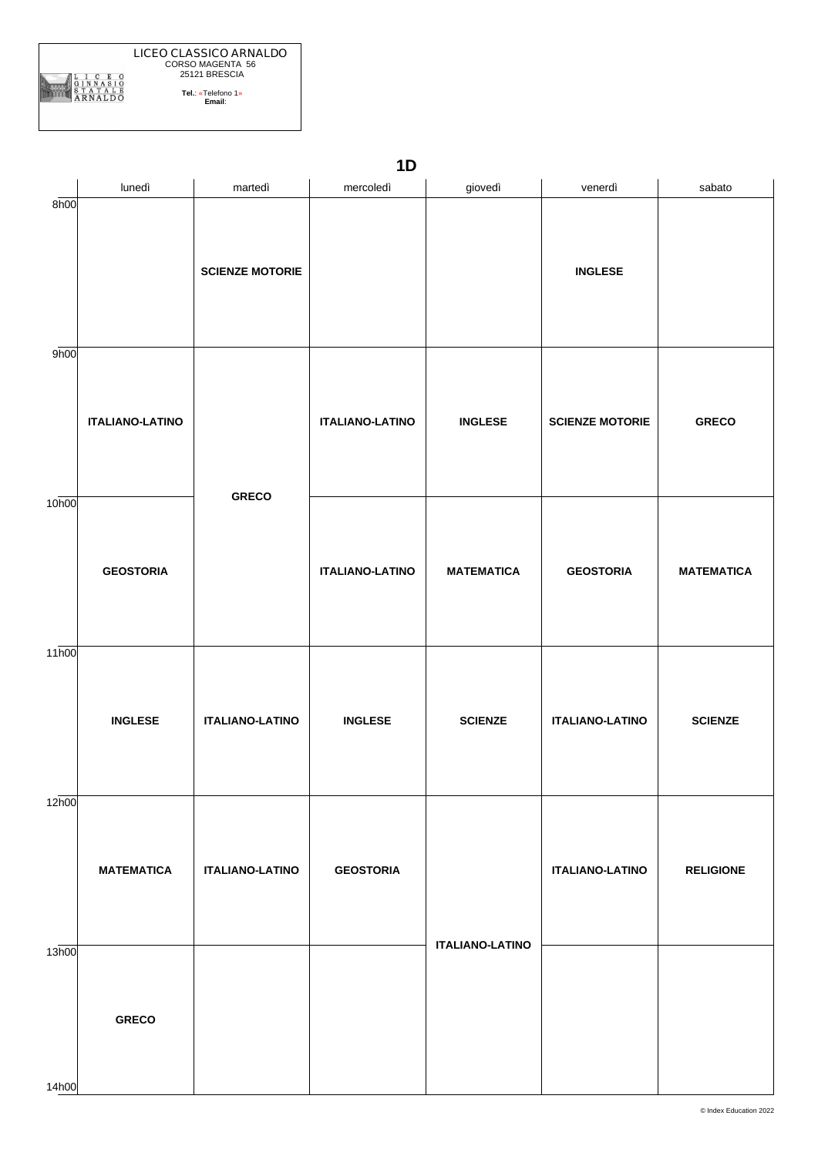|                | <b>LICEO CLASSICO ARNALDO</b> |  |
|----------------|-------------------------------|--|
|                | CORSO MAGENTA 56              |  |
|                | 25121 BRESCIA                 |  |
| <b>ARNALDO</b> | Tel.: «Telefono 1»<br>Email:  |  |
|                |                               |  |

|                   | lunedì                 | martedì                | mercoledì              | giovedì                | venerdì                | sabato            |
|-------------------|------------------------|------------------------|------------------------|------------------------|------------------------|-------------------|
| 8h00              |                        | <b>SCIENZE MOTORIE</b> |                        |                        | <b>INGLESE</b>         |                   |
| 9h00              | <b>ITALIANO-LATINO</b> | <b>GRECO</b>           | <b>ITALIANO-LATINO</b> | <b>INGLESE</b>         | <b>SCIENZE MOTORIE</b> | <b>GRECO</b>      |
| 10h00             | <b>GEOSTORIA</b>       |                        | <b>ITALIANO-LATINO</b> | <b>MATEMATICA</b>      | <b>GEOSTORIA</b>       | <b>MATEMATICA</b> |
| 11 <sub>h00</sub> | <b>INGLESE</b>         | <b>ITALIANO-LATINO</b> | <b>INGLESE</b>         | <b>SCIENZE</b>         | <b>ITALIANO-LATINO</b> | <b>SCIENZE</b>    |
| 12h00             | <b>MATEMATICA</b>      | <b>ITALIANO-LATINO</b> | <b>GEOSTORIA</b>       |                        | <b>ITALIANO-LATINO</b> | <b>RELIGIONE</b>  |
| 13h00<br>14h00    | <b>GRECO</b>           |                        |                        | <b>ITALIANO-LATINO</b> |                        |                   |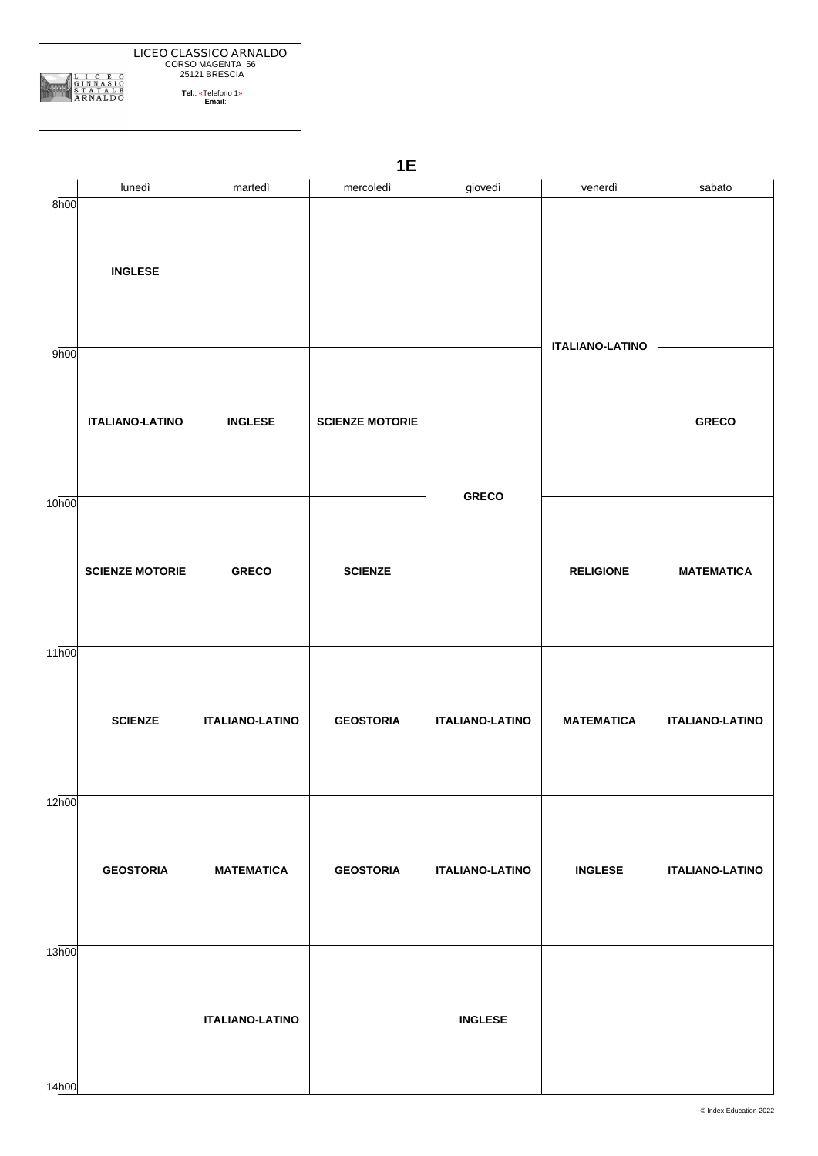

|                   | 1E                     |                        |                        |                        |                        |                        |  |  |  |
|-------------------|------------------------|------------------------|------------------------|------------------------|------------------------|------------------------|--|--|--|
|                   | lunedì                 | martedì                | mercoledì              | giovedì                | venerdì                | sabato                 |  |  |  |
| 8h00              | <b>INGLESE</b>         |                        |                        |                        | <b>ITALIANO-LATINO</b> |                        |  |  |  |
| 9h00              | <b>ITALIANO-LATINO</b> | <b>INGLESE</b>         | <b>SCIENZE MOTORIE</b> | <b>GRECO</b>           |                        | <b>GRECO</b>           |  |  |  |
| 10 <sub>h00</sub> | <b>SCIENZE MOTORIE</b> | <b>GRECO</b>           | <b>SCIENZE</b>         |                        | <b>RELIGIONE</b>       | <b>MATEMATICA</b>      |  |  |  |
| 11 <sub>h00</sub> | <b>SCIENZE</b>         | <b>ITALIANO-LATINO</b> | <b>GEOSTORIA</b>       | <b>ITALIANO-LATINO</b> | <b>MATEMATICA</b>      | <b>ITALIANO-LATINO</b> |  |  |  |
| 12h00             | <b>GEOSTORIA</b>       | <b>MATEMATICA</b>      | <b>GEOSTORIA</b>       | <b>ITALIANO-LATINO</b> | <b>INGLESE</b>         | <b>ITALIANO-LATINO</b> |  |  |  |
| 13h00             |                        | <b>ITALIANO-LATINO</b> |                        | <b>INGLESE</b>         |                        |                        |  |  |  |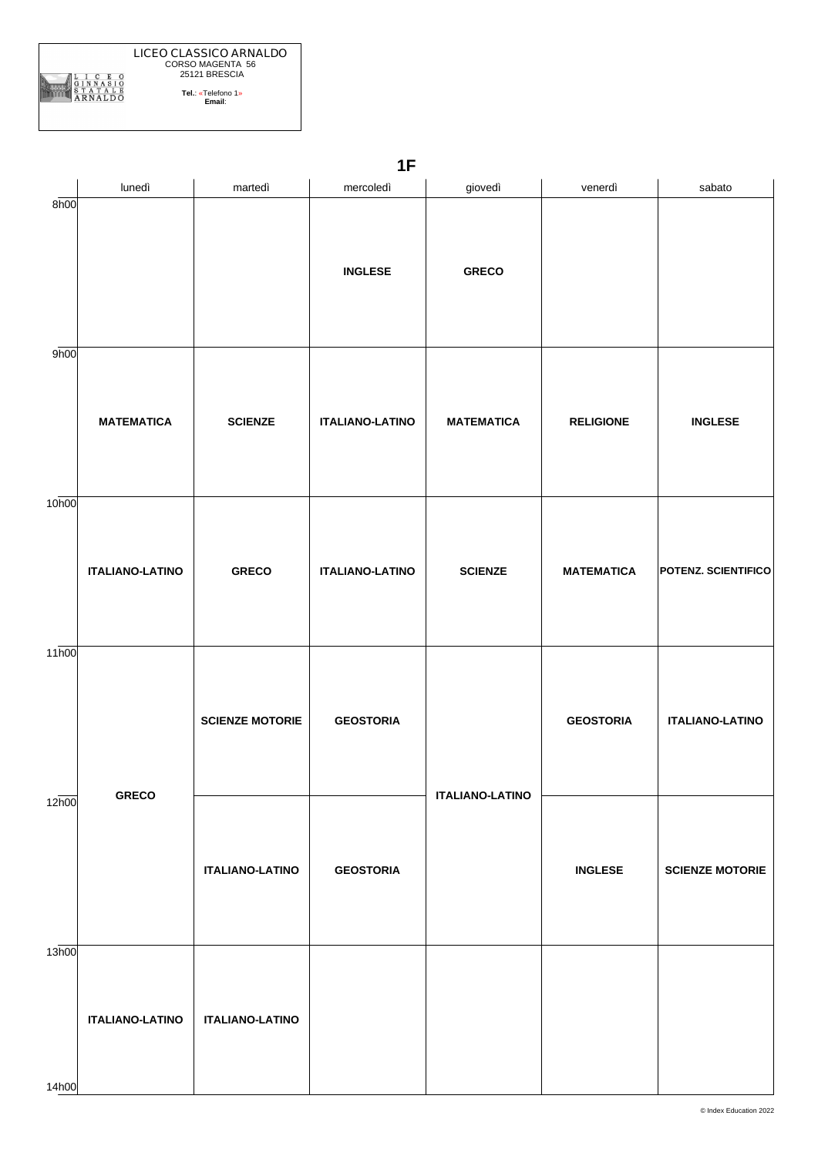**ITALIANO-LATINO**

**ITALIANO-LATINO**

**GEOSTORIA**

**ITALIANO-LATINO**

14h00

|                   |                        |                        | LЕ                     |                        |                   |                        |
|-------------------|------------------------|------------------------|------------------------|------------------------|-------------------|------------------------|
|                   | lunedì                 | martedì                | mercoledì              | giovedì                | venerdì           | sabato                 |
| 8h00              |                        |                        | <b>INGLESE</b>         | <b>GRECO</b>           |                   |                        |
| 9h00              | <b>MATEMATICA</b>      | <b>SCIENZE</b>         | <b>ITALIANO-LATINO</b> | <b>MATEMATICA</b>      | <b>RELIGIONE</b>  | <b>INGLESE</b>         |
| 10 <sub>h00</sub> | <b>ITALIANO-LATINO</b> | <b>GRECO</b>           | <b>ITALIANO-LATINO</b> | <b>SCIENZE</b>         | <b>MATEMATICA</b> | POTENZ. SCIENTIFICO    |
| 11 <sub>h00</sub> |                        | <b>SCIENZE MOTORIE</b> | <b>GEOSTORIA</b>       |                        | <b>GEOSTORIA</b>  | <b>ITALIANO-LATINO</b> |
| 12h00             | <b>GRECO</b>           |                        |                        | <b>ITALIANO-LATINO</b> |                   |                        |

**SCIENZE MOTORIE**

**INGLESE**

**1F**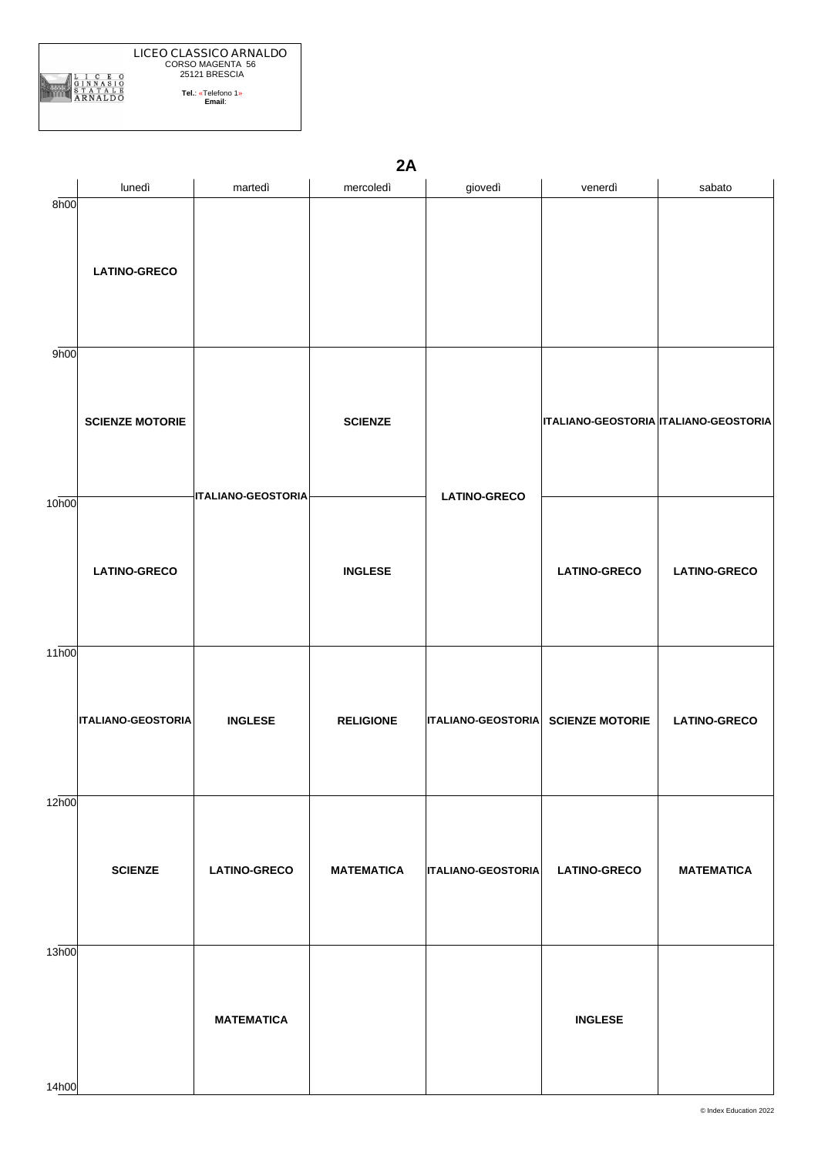|                   | 2A                        |                           |                   |                                           |                                              |                     |  |  |  |
|-------------------|---------------------------|---------------------------|-------------------|-------------------------------------------|----------------------------------------------|---------------------|--|--|--|
|                   | lunedì                    | martedì                   | mercoledì         | giovedì                                   | venerdì                                      | sabato              |  |  |  |
| 8h00              | <b>LATINO-GRECO</b>       |                           |                   |                                           |                                              |                     |  |  |  |
| 9h00              | <b>SCIENZE MOTORIE</b>    | <b>ITALIANO-GEOSTORIA</b> | <b>SCIENZE</b>    | <b>LATINO-GRECO</b>                       | <b>ITALIANO-GEOSTORIA ITALIANO-GEOSTORIA</b> |                     |  |  |  |
| 10 <sub>h00</sub> | <b>LATINO-GRECO</b>       |                           | <b>INGLESE</b>    |                                           | <b>LATINO-GRECO</b>                          | <b>LATINO-GRECO</b> |  |  |  |
| 11 <sub>h00</sub> | <b>ITALIANO-GEOSTORIA</b> | <b>INGLESE</b>            | <b>RELIGIONE</b>  | <b>ITALIANO-GEOSTORIA SCIENZE MOTORIE</b> |                                              | <b>LATINO-GRECO</b> |  |  |  |
| 12h00             | <b>SCIENZE</b>            | <b>LATINO-GRECO</b>       | <b>MATEMATICA</b> | <b>ITALIANO-GEOSTORIA</b>                 | <b>LATINO-GRECO</b>                          | <b>MATEMATICA</b>   |  |  |  |
| 13h00             |                           | <b>MATEMATICA</b>         |                   |                                           | <b>INGLESE</b>                               |                     |  |  |  |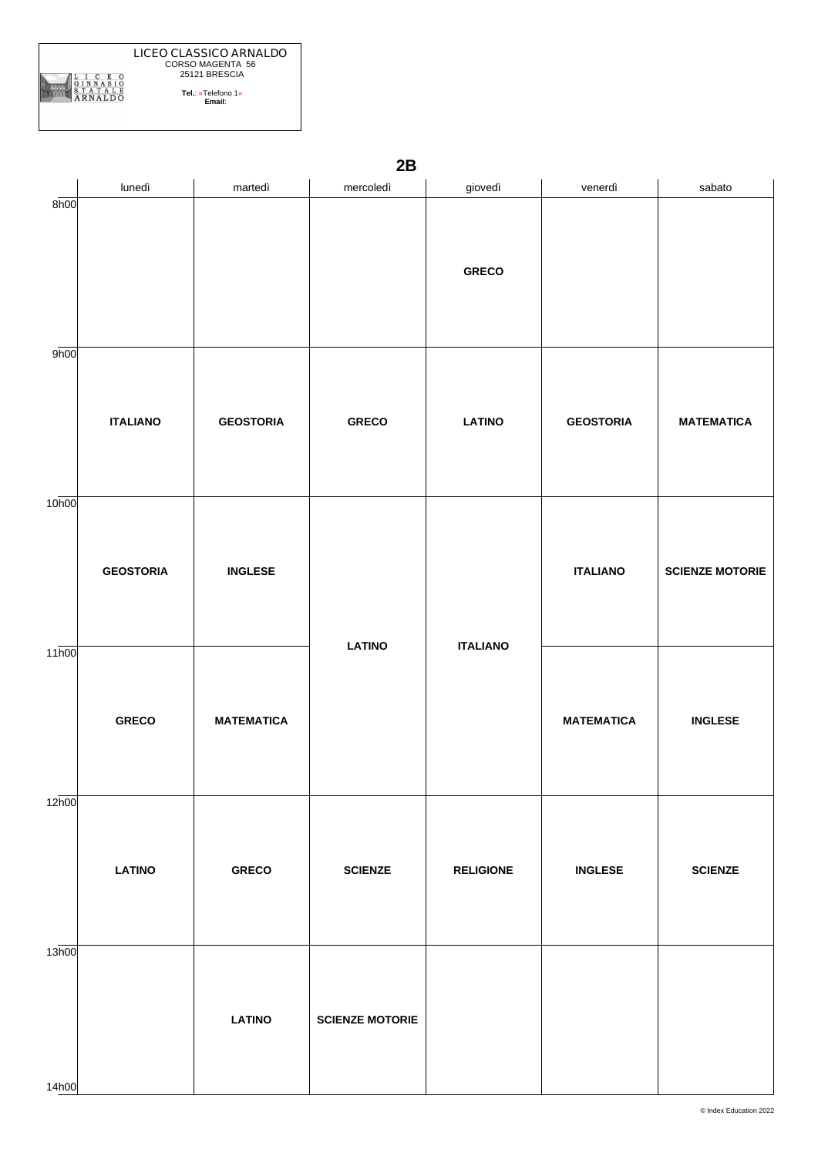|                   | 2B               |                   |                        |                  |                   |                        |  |  |  |
|-------------------|------------------|-------------------|------------------------|------------------|-------------------|------------------------|--|--|--|
|                   | lunedì           | martedì           | mercoledì              | giovedì          | venerdì           | sabato                 |  |  |  |
| 8h00              |                  |                   |                        | <b>GRECO</b>     |                   |                        |  |  |  |
| 9h00              | <b>ITALIANO</b>  | <b>GEOSTORIA</b>  | <b>GRECO</b>           | <b>LATINO</b>    | <b>GEOSTORIA</b>  | <b>MATEMATICA</b>      |  |  |  |
| 10 <sub>h00</sub> | <b>GEOSTORIA</b> | <b>INGLESE</b>    | <b>LATINO</b>          | <b>ITALIANO</b>  | <b>ITALIANO</b>   | <b>SCIENZE MOTORIE</b> |  |  |  |
| 11 <sub>h00</sub> | <b>GRECO</b>     | <b>MATEMATICA</b> |                        |                  | <b>MATEMATICA</b> | <b>INGLESE</b>         |  |  |  |
| 12h00             | <b>LATINO</b>    | <b>GRECO</b>      | <b>SCIENZE</b>         | <b>RELIGIONE</b> | <b>INGLESE</b>    | <b>SCIENZE</b>         |  |  |  |
| 13h00             |                  | <b>LATINO</b>     | <b>SCIENZE MOTORIE</b> |                  |                   |                        |  |  |  |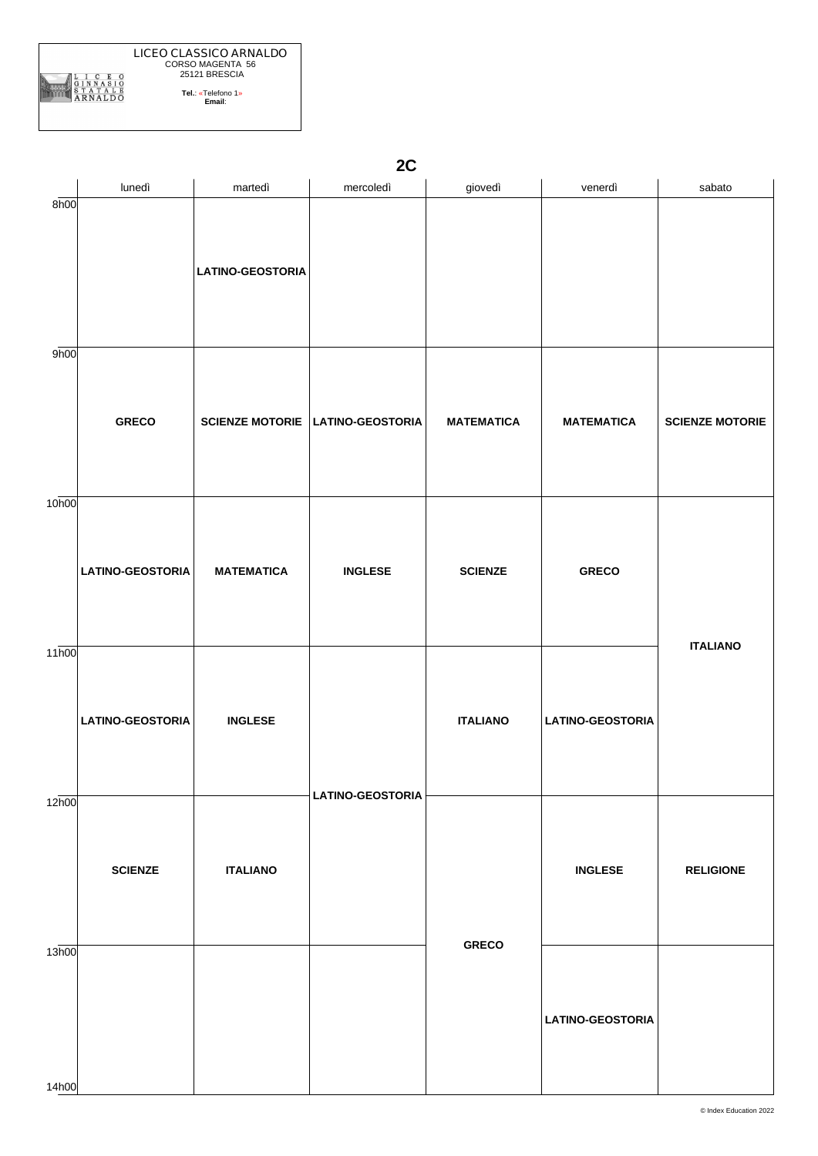|                   |                         |                         | 2C                                      |                   |                         |                        |
|-------------------|-------------------------|-------------------------|-----------------------------------------|-------------------|-------------------------|------------------------|
|                   | lunedì                  | martedì                 | mercoledì                               | giovedì           | venerdì                 | sabato                 |
| 8h00              |                         | <b>LATINO-GEOSTORIA</b> |                                         |                   |                         |                        |
| 9h00              |                         |                         |                                         |                   |                         |                        |
|                   | <b>GRECO</b>            |                         | <b>SCIENZE MOTORIE LATINO-GEOSTORIA</b> | <b>MATEMATICA</b> | <b>MATEMATICA</b>       | <b>SCIENZE MOTORIE</b> |
| 10 <sub>h00</sub> |                         |                         |                                         |                   |                         |                        |
|                   | <b>LATINO-GEOSTORIA</b> | <b>MATEMATICA</b>       | <b>INGLESE</b>                          | <b>SCIENZE</b>    | <b>GRECO</b>            |                        |
| 11h00             | <b>LATINO-GEOSTORIA</b> | <b>INGLESE</b>          |                                         | <b>ITALIANO</b>   | <b>LATINO-GEOSTORIA</b> | <b>ITALIANO</b>        |
| 12h00             | <b>SCIENZE</b>          | <b>ITALIANO</b>         | <b>LATINO-GEOSTORIA</b>                 |                   | <b>INGLESE</b>          | <b>RELIGIONE</b>       |
| 13h00             |                         |                         |                                         | <b>GRECO</b>      | <b>LATINO-GEOSTORIA</b> |                        |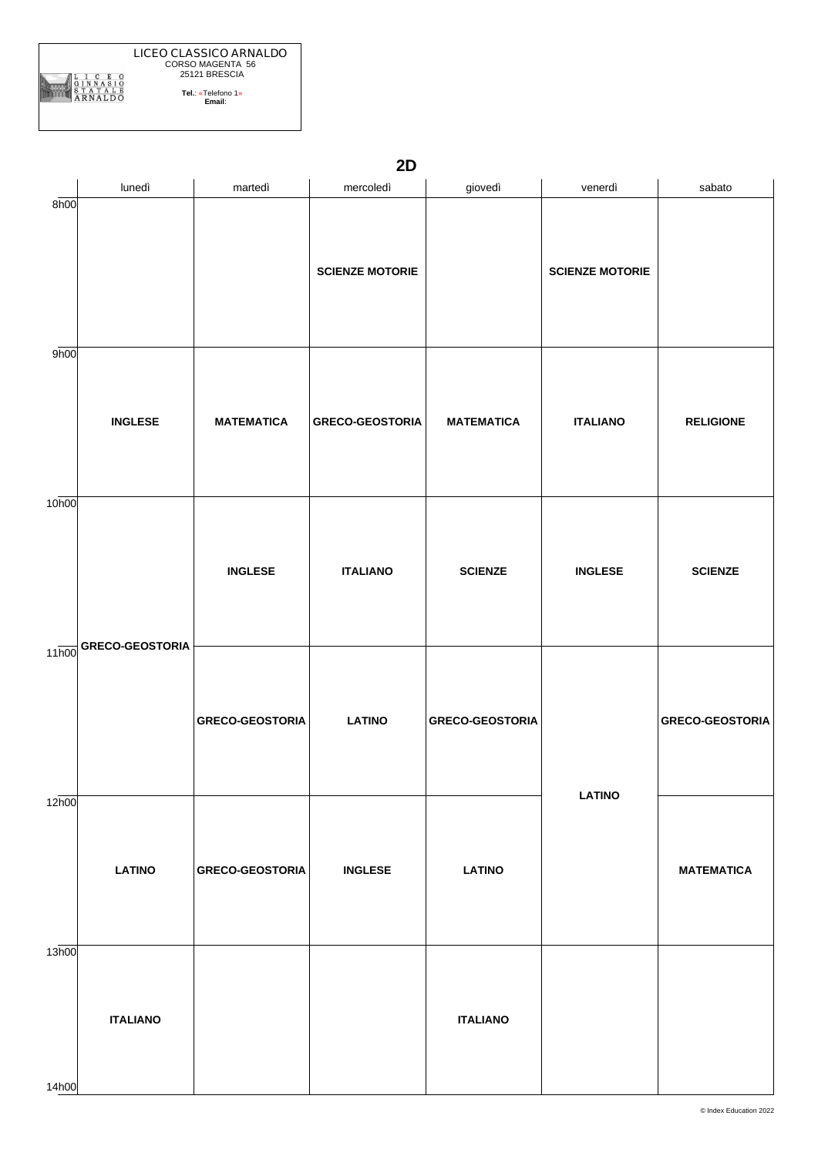|                    | 2D                     |                        |                        |                        |                        |                        |  |  |  |
|--------------------|------------------------|------------------------|------------------------|------------------------|------------------------|------------------------|--|--|--|
|                    | lunedì                 | martedì                | mercoledì              | giovedì                | venerdì                | sabato                 |  |  |  |
| 8h00               |                        |                        | <b>SCIENZE MOTORIE</b> |                        | <b>SCIENZE MOTORIE</b> |                        |  |  |  |
| 9h00               | <b>INGLESE</b>         | <b>MATEMATICA</b>      | <b>GRECO-GEOSTORIA</b> | <b>MATEMATICA</b>      | <b>ITALIANO</b>        | <b>RELIGIONE</b>       |  |  |  |
| 10 <sub>h00</sub>  |                        | <b>INGLESE</b>         | <b>ITALIANO</b>        | <b>SCIENZE</b>         | <b>INGLESE</b>         | <b>SCIENZE</b>         |  |  |  |
| $11\overline{h00}$ | <b>GRECO-GEOSTORIA</b> | <b>GRECO-GEOSTORIA</b> | <b>LATINO</b>          | <b>GRECO-GEOSTORIA</b> |                        | <b>GRECO-GEOSTORIA</b> |  |  |  |
| 12h00              | <b>LATINO</b>          | <b>GRECO-GEOSTORIA</b> | <b>INGLESE</b>         | <b>LATINO</b>          | <b>LATINO</b>          | <b>MATEMATICA</b>      |  |  |  |
| 13h00              | <b>ITALIANO</b>        |                        |                        | <b>ITALIANO</b>        |                        |                        |  |  |  |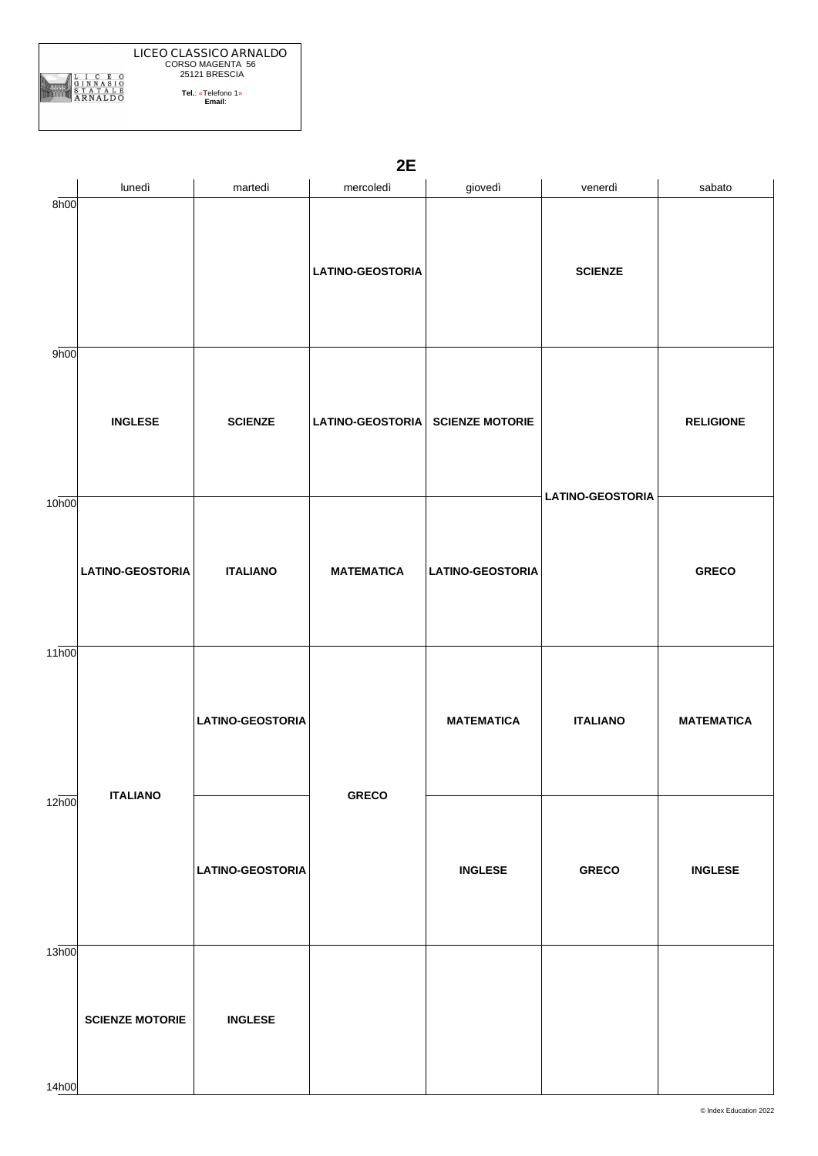|                   | 2E                      |                         |                         |                         |                         |                   |  |  |
|-------------------|-------------------------|-------------------------|-------------------------|-------------------------|-------------------------|-------------------|--|--|
|                   | lunedì                  | martedì                 | mercoledì               | giovedì                 | venerdì                 | sabato            |  |  |
| 8h00              |                         |                         | <b>LATINO-GEOSTORIA</b> |                         | <b>SCIENZE</b>          |                   |  |  |
| 9h00              | <b>INGLESE</b>          | <b>SCIENZE</b>          | LATINO-GEOSTORIA        | <b>SCIENZE MOTORIE</b>  | <b>LATINO-GEOSTORIA</b> | <b>RELIGIONE</b>  |  |  |
| 10h00             | <b>LATINO-GEOSTORIA</b> | <b>ITALIANO</b>         | <b>MATEMATICA</b>       | <b>LATINO-GEOSTORIA</b> |                         | <b>GRECO</b>      |  |  |
| 11 <sub>h00</sub> | <b>ITALIANO</b>         | <b>LATINO-GEOSTORIA</b> | <b>GRECO</b>            | <b>MATEMATICA</b>       | <b>ITALIANO</b>         | <b>MATEMATICA</b> |  |  |
| 12h00             |                         | <b>LATINO-GEOSTORIA</b> |                         | <b>INGLESE</b>          | <b>GRECO</b>            | <b>INGLESE</b>    |  |  |
| 13h00             | <b>SCIENZE MOTORIE</b>  | <b>INGLESE</b>          |                         |                         |                         |                   |  |  |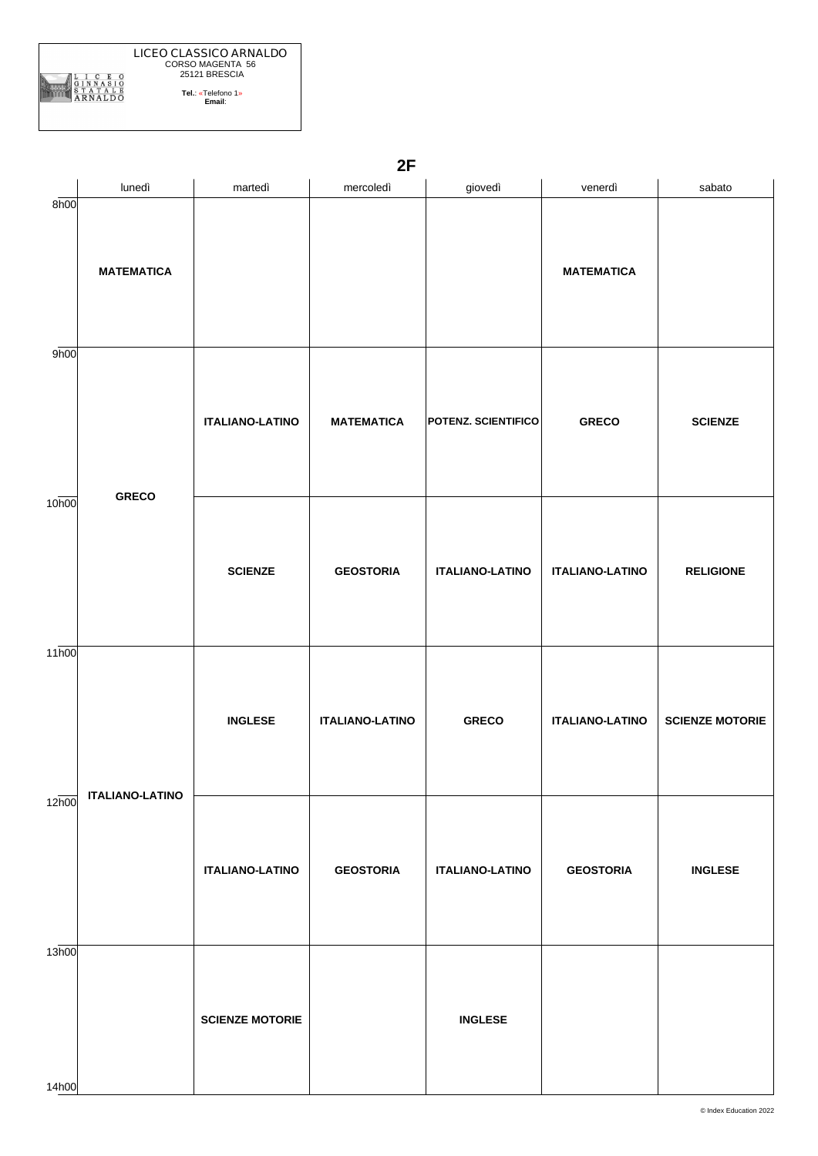|                   | lunedì                 | martedì                | mercoledì              | giovedì                    | venerdì                | sabato                 |
|-------------------|------------------------|------------------------|------------------------|----------------------------|------------------------|------------------------|
| 8h00              | <b>MATEMATICA</b>      |                        |                        |                            | <b>MATEMATICA</b>      |                        |
| 9h00              |                        | <b>ITALIANO-LATINO</b> | <b>MATEMATICA</b>      | <b>POTENZ. SCIENTIFICO</b> | <b>GRECO</b>           | <b>SCIENZE</b>         |
| 10 <sub>h00</sub> | <b>GRECO</b>           | <b>SCIENZE</b>         | <b>GEOSTORIA</b>       | <b>ITALIANO-LATINO</b>     | <b>ITALIANO-LATINO</b> | <b>RELIGIONE</b>       |
| 11 <sub>h00</sub> | <b>ITALIANO-LATINO</b> | <b>INGLESE</b>         | <b>ITALIANO-LATINO</b> | <b>GRECO</b>               | <b>ITALIANO-LATINO</b> | <b>SCIENZE MOTORIE</b> |
| 12h00             |                        | <b>ITALIANO-LATINO</b> | <b>GEOSTORIA</b>       | <b>ITALIANO-LATINO</b>     | <b>GEOSTORIA</b>       | <b>INGLESE</b>         |
| 13h00             |                        | <b>SCIENZE MOTORIE</b> |                        | <b>INGLESE</b>             |                        |                        |

**2F**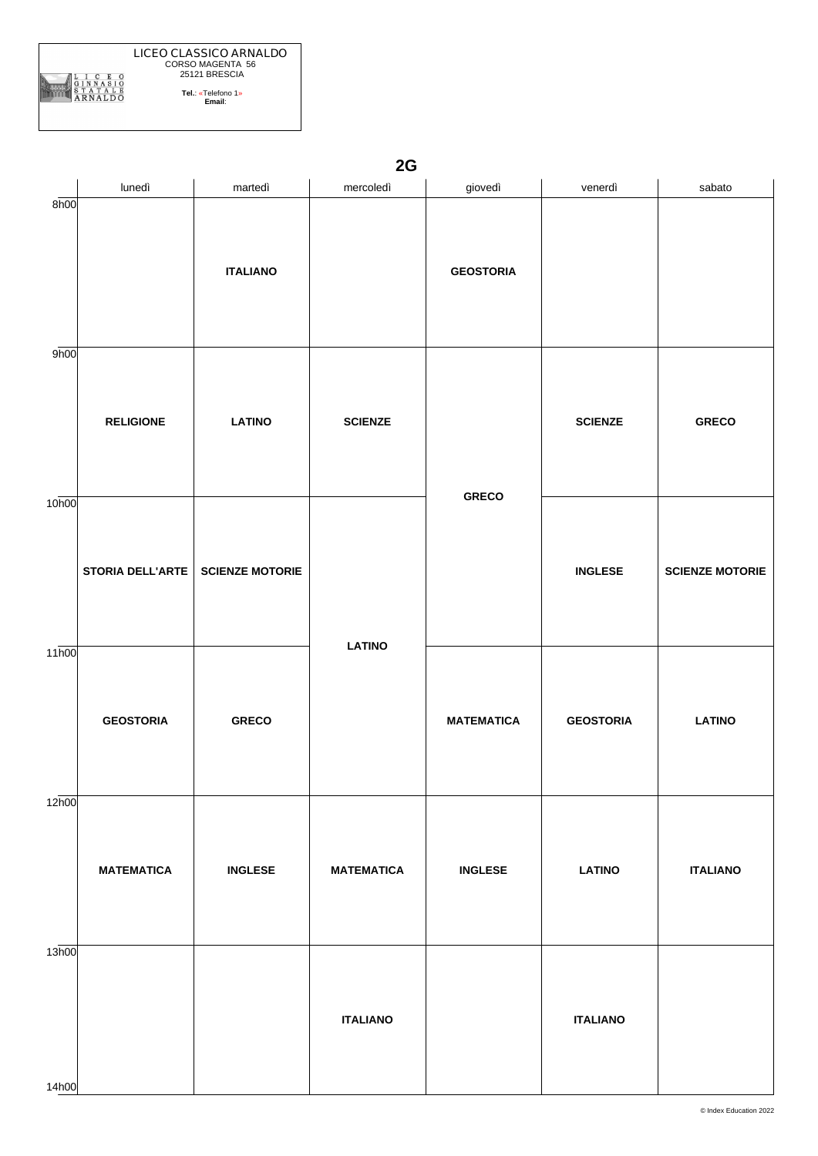|                   | lunedì            | martedì                | mercoledì                       | giovedì           | venerdì          | sabato                 |
|-------------------|-------------------|------------------------|---------------------------------|-------------------|------------------|------------------------|
| 8h00              |                   | <b>ITALIANO</b>        |                                 | <b>GEOSTORIA</b>  |                  |                        |
| 9h00              | <b>RELIGIONE</b>  | <b>LATINO</b>          | <b>SCIENZE</b><br><b>LATINO</b> | <b>GRECO</b>      | <b>SCIENZE</b>   | <b>GRECO</b>           |
| 10 <sub>h00</sub> | STORIA DELL'ARTE  | <b>SCIENZE MOTORIE</b> |                                 |                   | <b>INGLESE</b>   | <b>SCIENZE MOTORIE</b> |
| 11 <sub>h00</sub> | <b>GEOSTORIA</b>  | <b>GRECO</b>           |                                 | <b>MATEMATICA</b> | <b>GEOSTORIA</b> | <b>LATINO</b>          |
| 12 <sub>h00</sub> | <b>MATEMATICA</b> | <b>INGLESE</b>         | <b>MATEMATICA</b>               | <b>INGLESE</b>    | <b>LATINO</b>    | <b>ITALIANO</b>        |
| 13h00<br>14h00    |                   |                        | <b>ITALIANO</b>                 |                   | <b>ITALIANO</b>  |                        |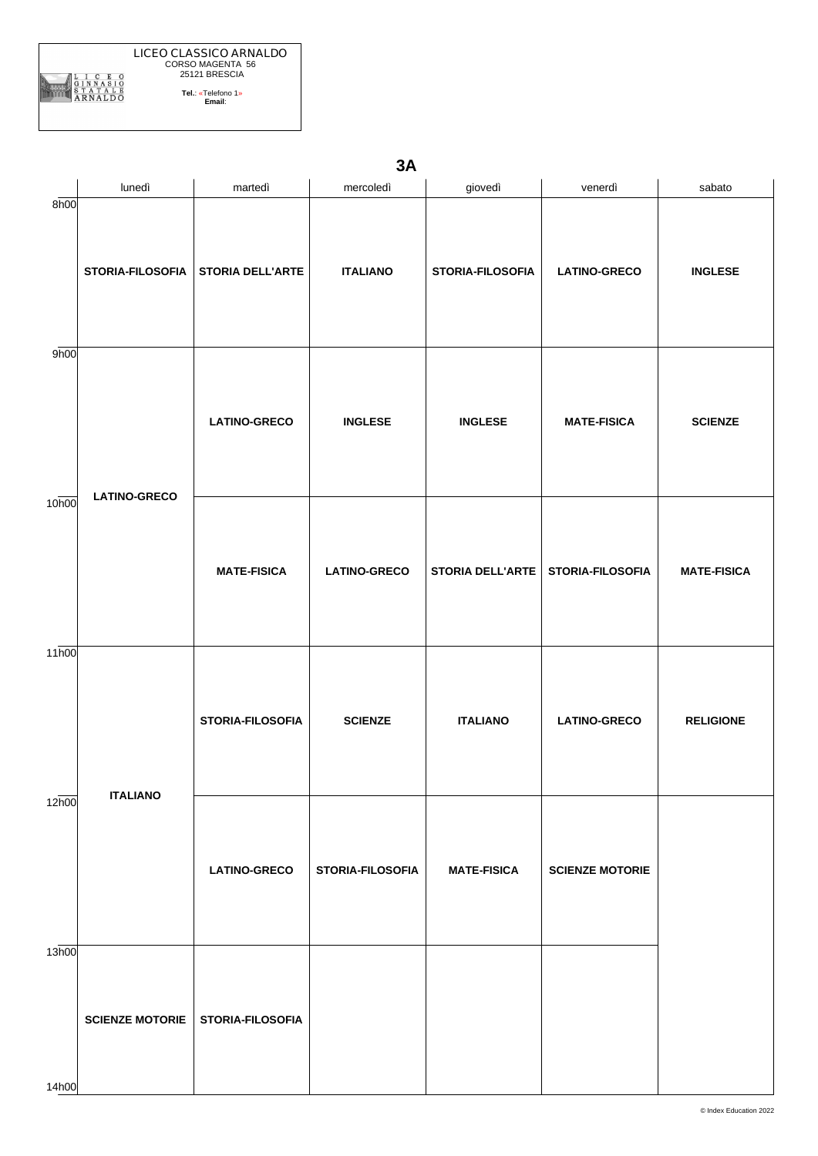|                    | lunedì                 | martedì                 | mercoledì           | giovedì                 | venerdì                | sabato             |
|--------------------|------------------------|-------------------------|---------------------|-------------------------|------------------------|--------------------|
| 8h00               | STORIA-FILOSOFIA       | <b>STORIA DELL'ARTE</b> | <b>ITALIANO</b>     | STORIA-FILOSOFIA        | <b>LATINO-GRECO</b>    | <b>INGLESE</b>     |
| 9h00               | <b>LATINO-GRECO</b>    | <b>LATINO-GRECO</b>     | <b>INGLESE</b>      | <b>INGLESE</b>          | <b>MATE-FISICA</b>     | <b>SCIENZE</b>     |
| 10h00              |                        | <b>MATE-FISICA</b>      | <b>LATINO-GRECO</b> | <b>STORIA DELL'ARTE</b> | STORIA-FILOSOFIA       | <b>MATE-FISICA</b> |
| $11\overline{h00}$ | <b>ITALIANO</b>        | STORIA-FILOSOFIA        | <b>SCIENZE</b>      | <b>ITALIANO</b>         | <b>LATINO-GRECO</b>    | <b>RELIGIONE</b>   |
| 12h00              |                        | <b>LATINO-GRECO</b>     | STORIA-FILOSOFIA    | <b>MATE-FISICA</b>      | <b>SCIENZE MOTORIE</b> |                    |
| 13h00<br>14h00     | <b>SCIENZE MOTORIE</b> | STORIA-FILOSOFIA        |                     |                         |                        |                    |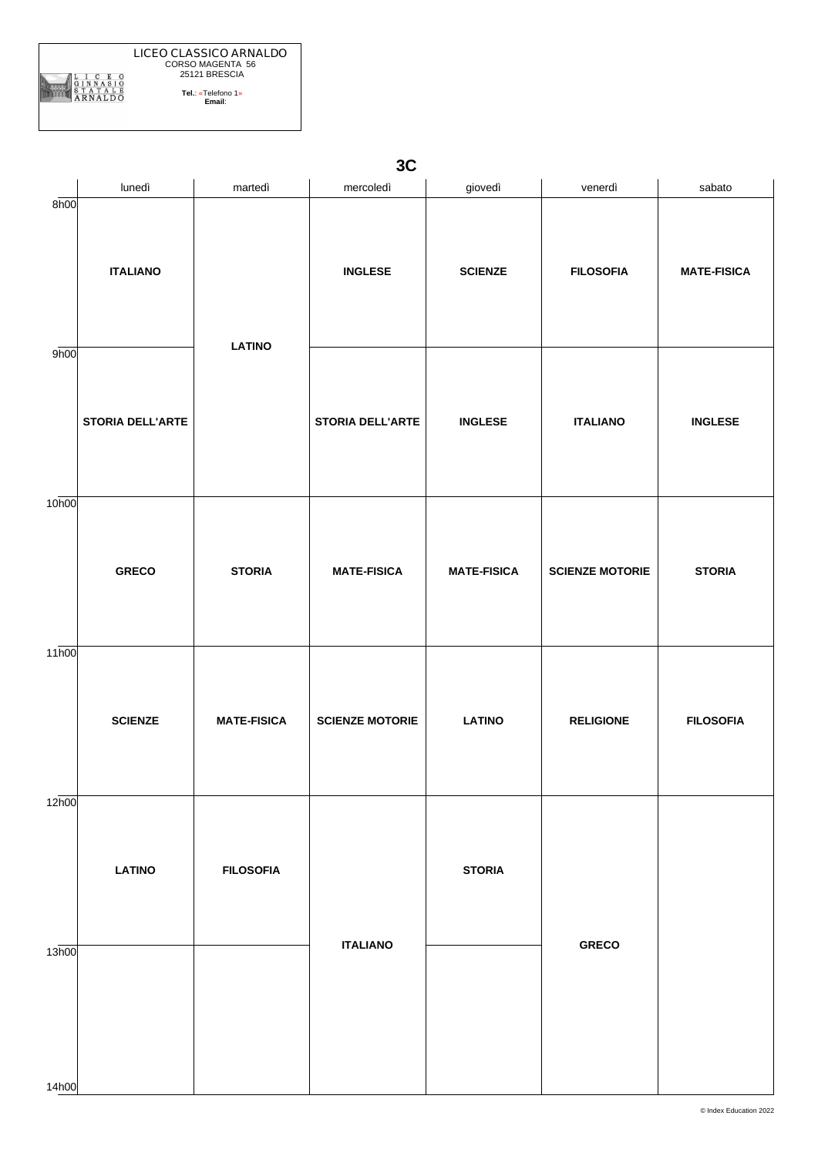

**3C** lunedì | martedì | mercoledì | giovedì | venerdì | sabato 8h00 9h00 10h00 11h00 12h00 13h00 **ITALIANO STORIA DELL'ARTE GRECO SCIENZE LATINO LATINO STORIA MATE-FISICA FILOSOFIA INGLESE STORIA DELL'ARTE MATE-FISICA SCIENZE MOTORIE ITALIANO SCIENZE INGLESE MATE-FISICA LATINO STORIA FILOSOFIA ITALIANO SCIENZE MOTORIE RELIGIONE GRECO MATE-FISICA INGLESE STORIA FILOSOFIA**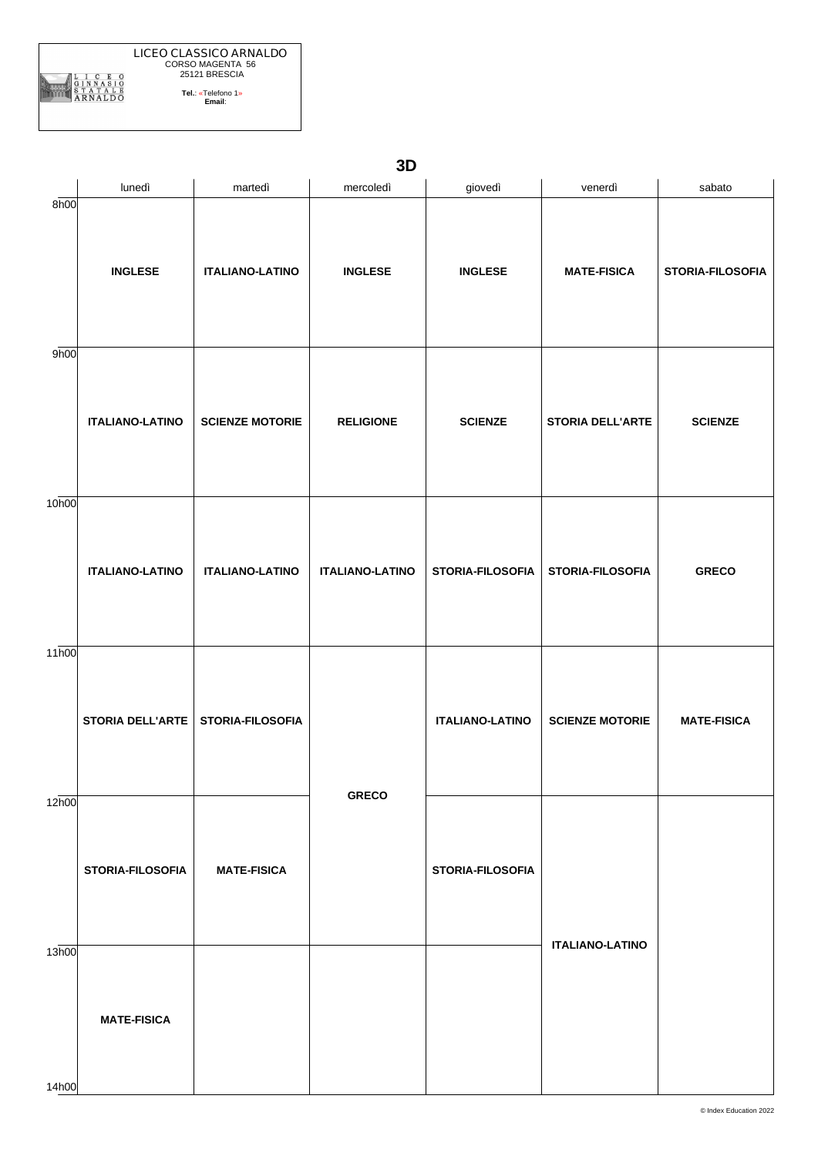| ۰. |
|----|

|                   | lunedì                  | martedì                 | mercoledì              | giovedì                 | venerdì                 | sabato             |
|-------------------|-------------------------|-------------------------|------------------------|-------------------------|-------------------------|--------------------|
| 8h00              | <b>INGLESE</b>          | <b>ITALIANO-LATINO</b>  | <b>INGLESE</b>         | <b>INGLESE</b>          | <b>MATE-FISICA</b>      | STORIA-FILOSOFIA   |
| 9h00              | <b>ITALIANO-LATINO</b>  | <b>SCIENZE MOTORIE</b>  | <b>RELIGIONE</b>       | <b>SCIENZE</b>          | <b>STORIA DELL'ARTE</b> | <b>SCIENZE</b>     |
| 10 <sub>h00</sub> | <b>ITALIANO-LATINO</b>  | <b>ITALIANO-LATINO</b>  | <b>ITALIANO-LATINO</b> | STORIA-FILOSOFIA        | STORIA-FILOSOFIA        | <b>GRECO</b>       |
| 11h00             | <b>STORIA DELL'ARTE</b> | <b>STORIA-FILOSOFIA</b> |                        | <b>ITALIANO-LATINO</b>  | <b>SCIENZE MOTORIE</b>  | <b>MATE-FISICA</b> |
| 12h00             | STORIA-FILOSOFIA        | <b>MATE-FISICA</b>      | <b>GRECO</b>           | <b>STORIA-FILOSOFIA</b> |                         |                    |
| 13h00<br>14h00    | <b>MATE-FISICA</b>      |                         |                        |                         | <b>ITALIANO-LATINO</b>  |                    |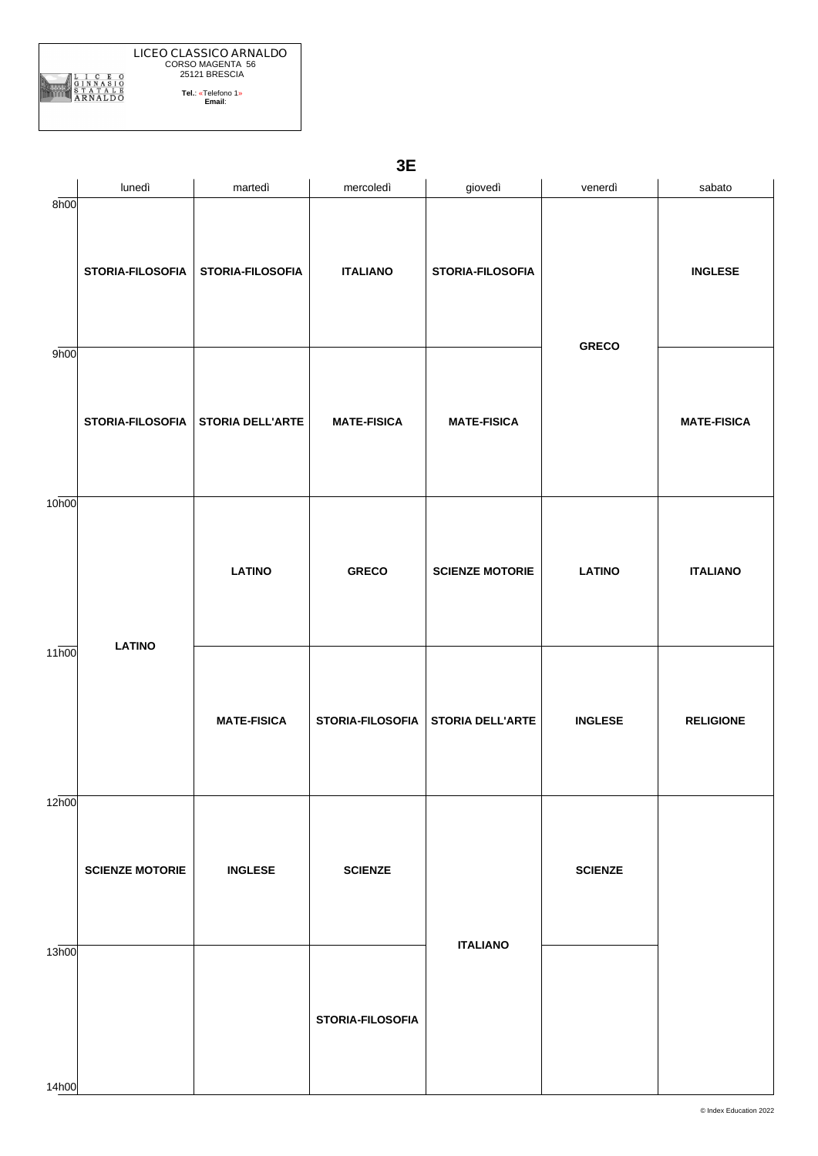| $\overline{\phantom{0}}$ |  |
|--------------------------|--|

|                   | lunedì                 | martedì                 | mercoledì          | giovedì                 | venerdì        | sabato             |
|-------------------|------------------------|-------------------------|--------------------|-------------------------|----------------|--------------------|
| 8h00              | STORIA-FILOSOFIA       | STORIA-FILOSOFIA        | <b>ITALIANO</b>    | <b>STORIA-FILOSOFIA</b> | <b>GRECO</b>   | <b>INGLESE</b>     |
| 9h00              | STORIA-FILOSOFIA       | <b>STORIA DELL'ARTE</b> | <b>MATE-FISICA</b> | <b>MATE-FISICA</b>      |                | <b>MATE-FISICA</b> |
| 10 <sub>h00</sub> |                        | <b>LATINO</b>           | <b>GRECO</b>       | <b>SCIENZE MOTORIE</b>  | <b>LATINO</b>  | <b>ITALIANO</b>    |
| 11h00             | <b>LATINO</b>          | <b>MATE-FISICA</b>      | STORIA-FILOSOFIA   | <b>STORIA DELL'ARTE</b> | <b>INGLESE</b> | <b>RELIGIONE</b>   |
| 12h00             | <b>SCIENZE MOTORIE</b> | <b>INGLESE</b>          | <b>SCIENZE</b>     |                         | <b>SCIENZE</b> |                    |
| 13h00<br>14h00    |                        |                         | STORIA-FILOSOFIA   | <b>ITALIANO</b>         |                |                    |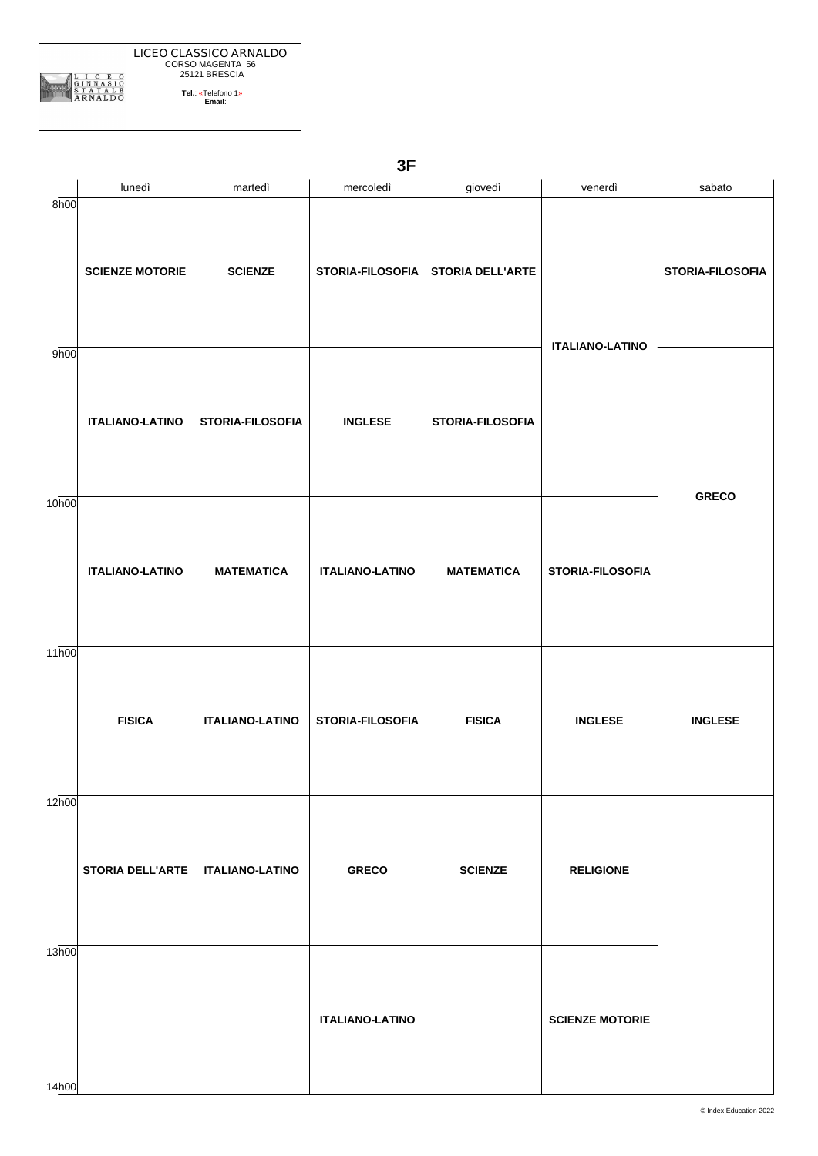|                   | lunedì                  | martedì                | mercoledì              | giovedì           | venerdì                | sabato           |
|-------------------|-------------------------|------------------------|------------------------|-------------------|------------------------|------------------|
| 8h00              | <b>SCIENZE MOTORIE</b>  | <b>SCIENZE</b>         | STORIA-FILOSOFIA       | STORIA DELL'ARTE  | <b>ITALIANO-LATINO</b> | STORIA-FILOSOFIA |
| 9h00              | <b>ITALIANO-LATINO</b>  | STORIA-FILOSOFIA       | <b>INGLESE</b>         | STORIA-FILOSOFIA  |                        |                  |
| 10 <sub>h00</sub> | <b>ITALIANO-LATINO</b>  | <b>MATEMATICA</b>      | <b>ITALIANO-LATINO</b> | <b>MATEMATICA</b> | STORIA-FILOSOFIA       | <b>GRECO</b>     |
| 11h00             | <b>FISICA</b>           | <b>ITALIANO-LATINO</b> | STORIA-FILOSOFIA       | <b>FISICA</b>     | <b>INGLESE</b>         | <b>INGLESE</b>   |
| 12h00             | <b>STORIA DELL'ARTE</b> | <b>ITALIANO-LATINO</b> | <b>GRECO</b>           | <b>SCIENZE</b>    | <b>RELIGIONE</b>       |                  |
| 13h00<br>14h00    |                         |                        | <b>ITALIANO-LATINO</b> |                   | <b>SCIENZE MOTORIE</b> |                  |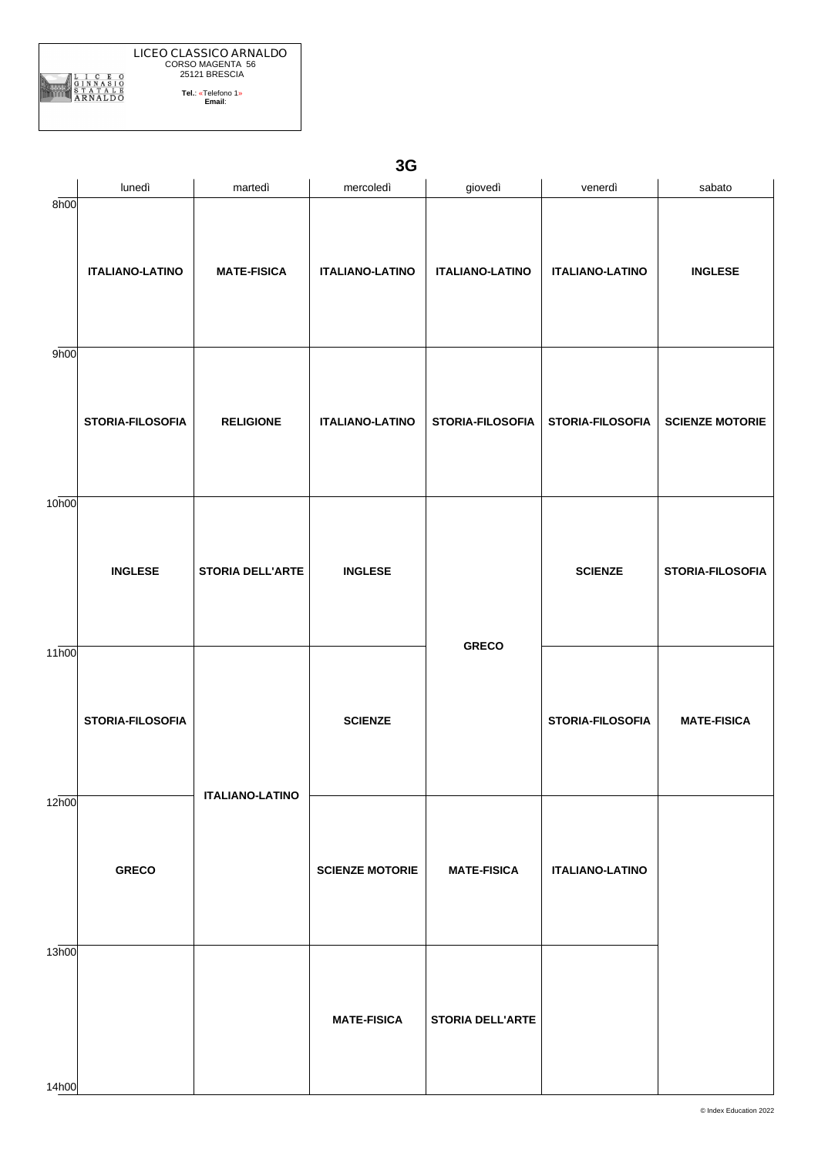|                | lunedì                 | martedì                 | mercoledì              | giovedì                 | venerdì                | sabato                 |
|----------------|------------------------|-------------------------|------------------------|-------------------------|------------------------|------------------------|
| 8h00           | <b>ITALIANO-LATINO</b> | <b>MATE-FISICA</b>      | <b>ITALIANO-LATINO</b> | <b>ITALIANO-LATINO</b>  | <b>ITALIANO-LATINO</b> | <b>INGLESE</b>         |
| 9h00           | STORIA-FILOSOFIA       | <b>RELIGIONE</b>        | <b>ITALIANO-LATINO</b> | STORIA-FILOSOFIA        | STORIA-FILOSOFIA       | <b>SCIENZE MOTORIE</b> |
| 10h00          | <b>INGLESE</b>         | <b>STORIA DELL'ARTE</b> | <b>INGLESE</b>         |                         | <b>SCIENZE</b>         | STORIA-FILOSOFIA       |
| 11h00          | STORIA-FILOSOFIA       | <b>ITALIANO-LATINO</b>  | <b>SCIENZE</b>         | <b>GRECO</b>            | STORIA-FILOSOFIA       | <b>MATE-FISICA</b>     |
| 12h00          | <b>GRECO</b>           |                         | <b>SCIENZE MOTORIE</b> | <b>MATE-FISICA</b>      | <b>ITALIANO-LATINO</b> |                        |
| 13h00<br>14h00 |                        |                         | <b>MATE-FISICA</b>     | <b>STORIA DELL'ARTE</b> |                        |                        |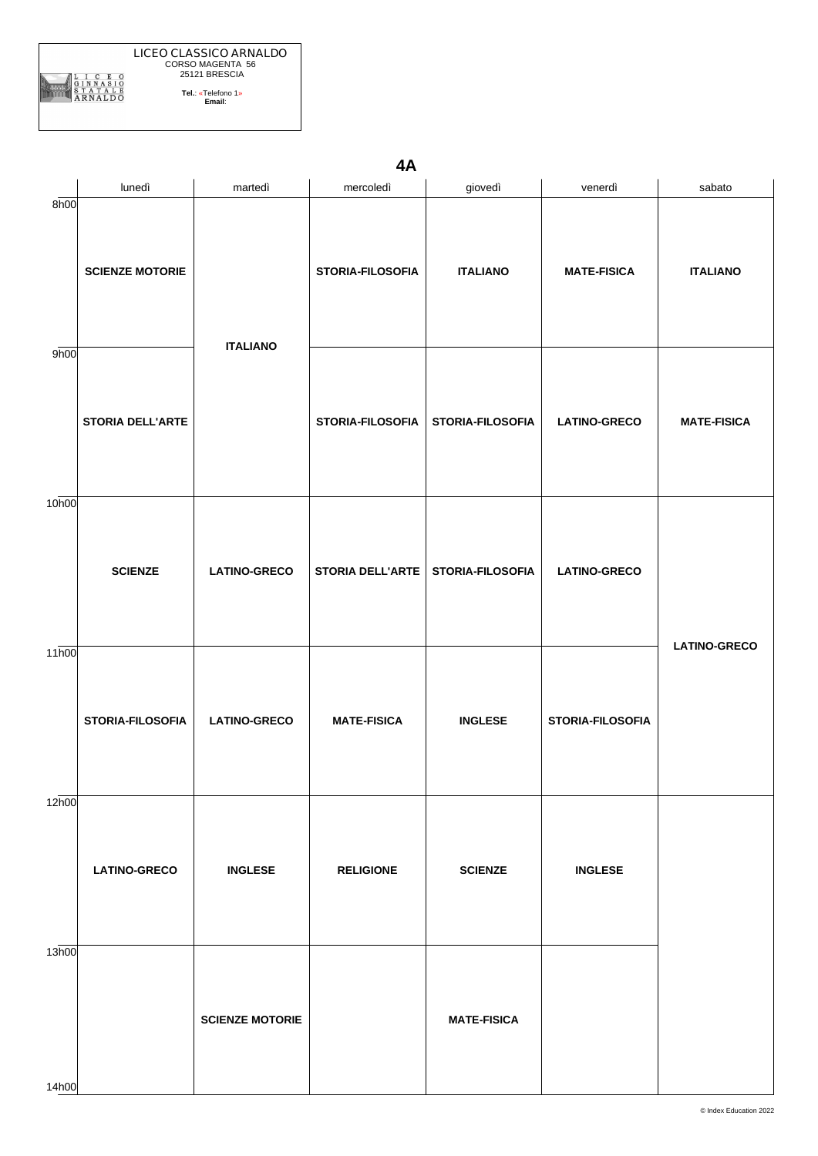**LICEO CLASSICO ARNALDO** CORSO MAGENTA 56 25121 BRESCIA ARNALDO **Tel.**: «Telefono 1» **Email**:

**4A**

|                   | lunedì                  | martedì                | mercoledì               | giovedì                 | venerdì             | sabato              |
|-------------------|-------------------------|------------------------|-------------------------|-------------------------|---------------------|---------------------|
| 8h00              | <b>SCIENZE MOTORIE</b>  | <b>ITALIANO</b>        | STORIA-FILOSOFIA        | <b>ITALIANO</b>         | <b>MATE-FISICA</b>  | <b>ITALIANO</b>     |
| 9h00              | <b>STORIA DELL'ARTE</b> |                        | <b>STORIA-FILOSOFIA</b> | <b>STORIA-FILOSOFIA</b> | <b>LATINO-GRECO</b> | <b>MATE-FISICA</b>  |
| 10 <sub>h00</sub> | <b>SCIENZE</b>          | <b>LATINO-GRECO</b>    | <b>STORIA DELL'ARTE</b> | <b>STORIA-FILOSOFIA</b> | <b>LATINO-GRECO</b> |                     |
| 11 <sub>h00</sub> | STORIA-FILOSOFIA        | <b>LATINO-GRECO</b>    | <b>MATE-FISICA</b>      | <b>INGLESE</b>          | STORIA-FILOSOFIA    | <b>LATINO-GRECO</b> |
| 12h00             | <b>LATINO-GRECO</b>     | <b>INGLESE</b>         | <b>RELIGIONE</b>        | <b>SCIENZE</b>          | <b>INGLESE</b>      |                     |
| 13h00<br>14h00    |                         | <b>SCIENZE MOTORIE</b> |                         | <b>MATE-FISICA</b>      |                     |                     |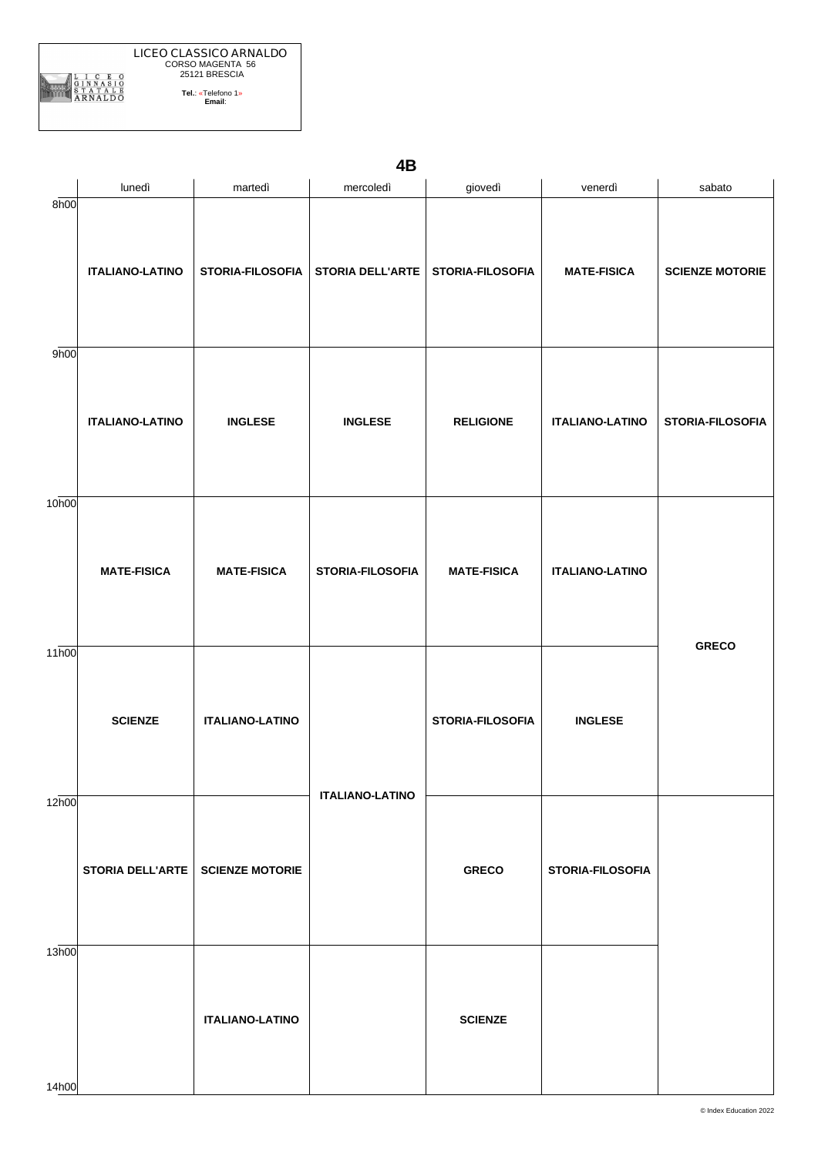| 4B |  |  |
|----|--|--|
|    |  |  |

|                   | lunedì                             | martedì                | mercoledì                           | giovedì            | venerdì                | sabato                 |
|-------------------|------------------------------------|------------------------|-------------------------------------|--------------------|------------------------|------------------------|
| 8h00              | <b>ITALIANO-LATINO</b>             | STORIA-FILOSOFIA       | STORIA DELL'ARTE   STORIA-FILOSOFIA |                    | <b>MATE-FISICA</b>     | <b>SCIENZE MOTORIE</b> |
| 9h00              | <b>ITALIANO-LATINO</b>             | <b>INGLESE</b>         | <b>INGLESE</b>                      | <b>RELIGIONE</b>   | <b>ITALIANO-LATINO</b> | STORIA-FILOSOFIA       |
| 10 <sub>h00</sub> | <b>MATE-FISICA</b>                 | <b>MATE-FISICA</b>     | STORIA-FILOSOFIA                    | <b>MATE-FISICA</b> | <b>ITALIANO-LATINO</b> |                        |
| 11 <sub>h00</sub> | <b>SCIENZE</b>                     | <b>ITALIANO-LATINO</b> | <b>ITALIANO-LATINO</b>              | STORIA-FILOSOFIA   | <b>INGLESE</b>         | <b>GRECO</b>           |
| 12h00             | STORIA DELL'ARTE   SCIENZE MOTORIE |                        |                                     | <b>GRECO</b>       | STORIA-FILOSOFIA       |                        |
| 13h00<br>14h00    |                                    | <b>ITALIANO-LATINO</b> |                                     | <b>SCIENZE</b>     |                        |                        |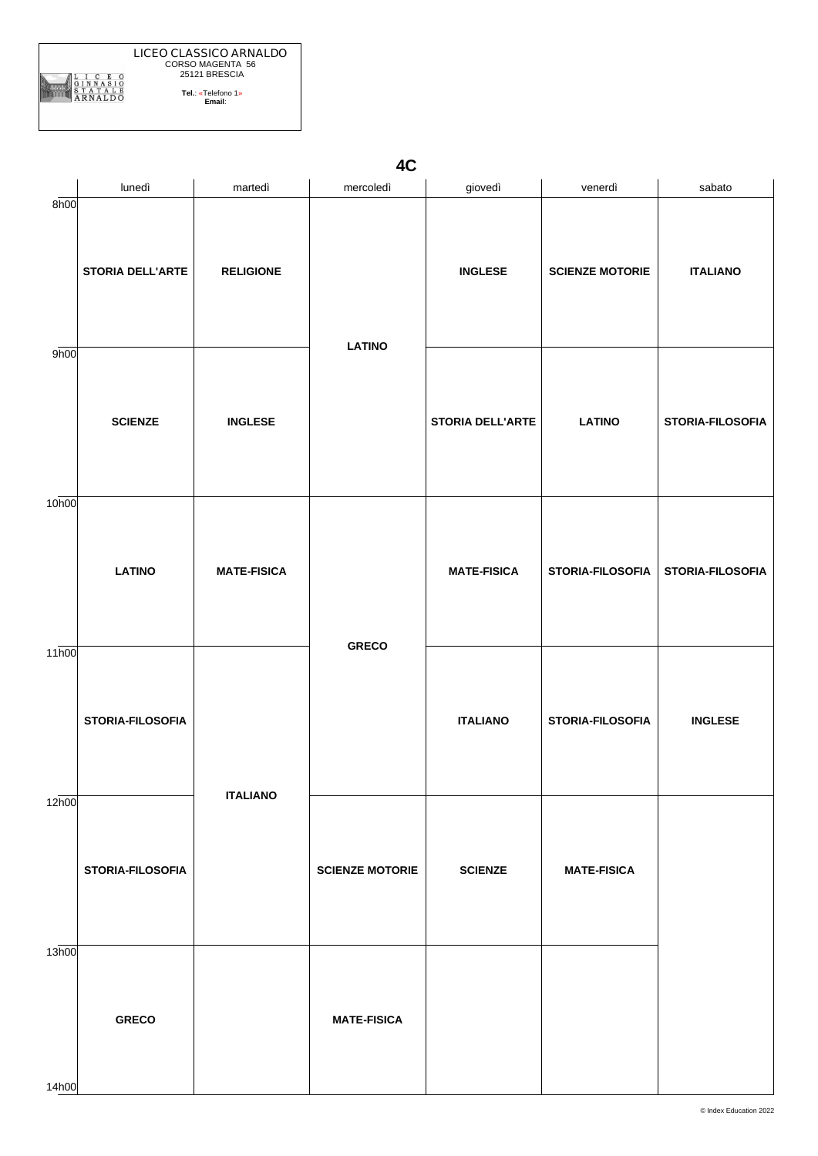**LICEO CLASSICO ARNALDO** CORSO MAGENTA 56 25121 BRESCIA ARNALDO **Tel.**: «Telefono 1» **Email**:

**4C**

|                   | lunedì                  | martedì                               | mercoledì              | giovedì                 | venerdì                | sabato           |
|-------------------|-------------------------|---------------------------------------|------------------------|-------------------------|------------------------|------------------|
| 8h00              | <b>STORIA DELL'ARTE</b> | <b>RELIGIONE</b>                      | <b>LATINO</b>          | <b>INGLESE</b>          | <b>SCIENZE MOTORIE</b> | <b>ITALIANO</b>  |
| 9h00              | <b>SCIENZE</b>          | <b>INGLESE</b>                        |                        | <b>STORIA DELL'ARTE</b> | <b>LATINO</b>          | STORIA-FILOSOFIA |
| 10 <sub>h00</sub> | <b>LATINO</b>           | <b>MATE-FISICA</b><br><b>ITALIANO</b> | <b>GRECO</b>           | <b>MATE-FISICA</b>      | STORIA-FILOSOFIA       | STORIA-FILOSOFIA |
| 11 <sub>h00</sub> | <b>STORIA-FILOSOFIA</b> |                                       |                        | <b>ITALIANO</b>         | STORIA-FILOSOFIA       | <b>INGLESE</b>   |
| 12h00             | <b>STORIA-FILOSOFIA</b> |                                       | <b>SCIENZE MOTORIE</b> | <b>SCIENZE</b>          | <b>MATE-FISICA</b>     |                  |
| 13h00<br>14h00    | <b>GRECO</b>            |                                       | <b>MATE-FISICA</b>     |                         |                        |                  |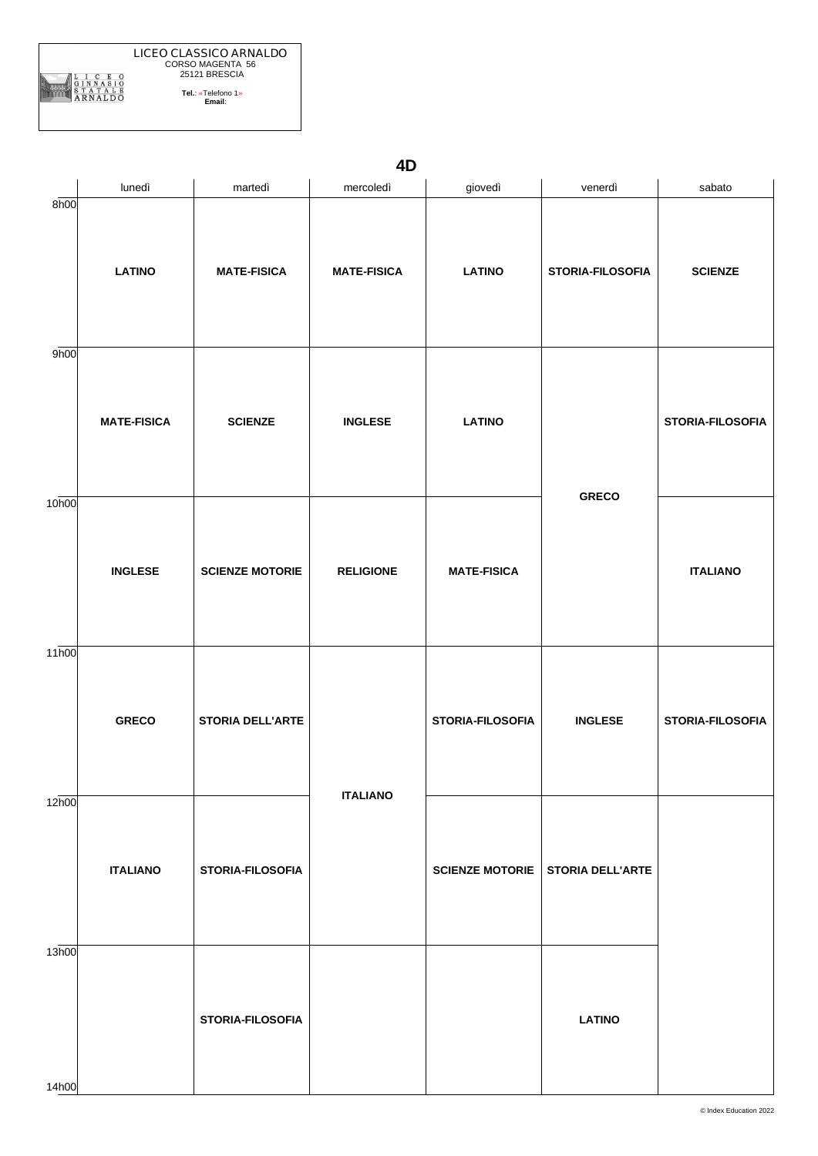**4D**

|                   | lunedì             | martedì                 | mercoledì          | giovedì                 | venerdì                 | sabato           |
|-------------------|--------------------|-------------------------|--------------------|-------------------------|-------------------------|------------------|
| 8h00              | <b>LATINO</b>      | <b>MATE-FISICA</b>      | <b>MATE-FISICA</b> | <b>LATINO</b>           | STORIA-FILOSOFIA        | <b>SCIENZE</b>   |
| 9h00              | <b>MATE-FISICA</b> | <b>SCIENZE</b>          | <b>INGLESE</b>     | <b>LATINO</b>           |                         | STORIA-FILOSOFIA |
| 10 <sub>h00</sub> | <b>INGLESE</b>     | <b>SCIENZE MOTORIE</b>  | <b>RELIGIONE</b>   | <b>MATE-FISICA</b>      | <b>GRECO</b>            | <b>ITALIANO</b>  |
| 11 <sub>h00</sub> | <b>GRECO</b>       | <b>STORIA DELL'ARTE</b> |                    | <b>STORIA-FILOSOFIA</b> | <b>INGLESE</b>          | STORIA-FILOSOFIA |
| 12h00             | <b>ITALIANO</b>    | STORIA-FILOSOFIA        | <b>ITALIANO</b>    | <b>SCIENZE MOTORIE</b>  | <b>STORIA DELL'ARTE</b> |                  |
| 13h00<br>14h00    |                    | STORIA-FILOSOFIA        |                    |                         | <b>LATINO</b>           |                  |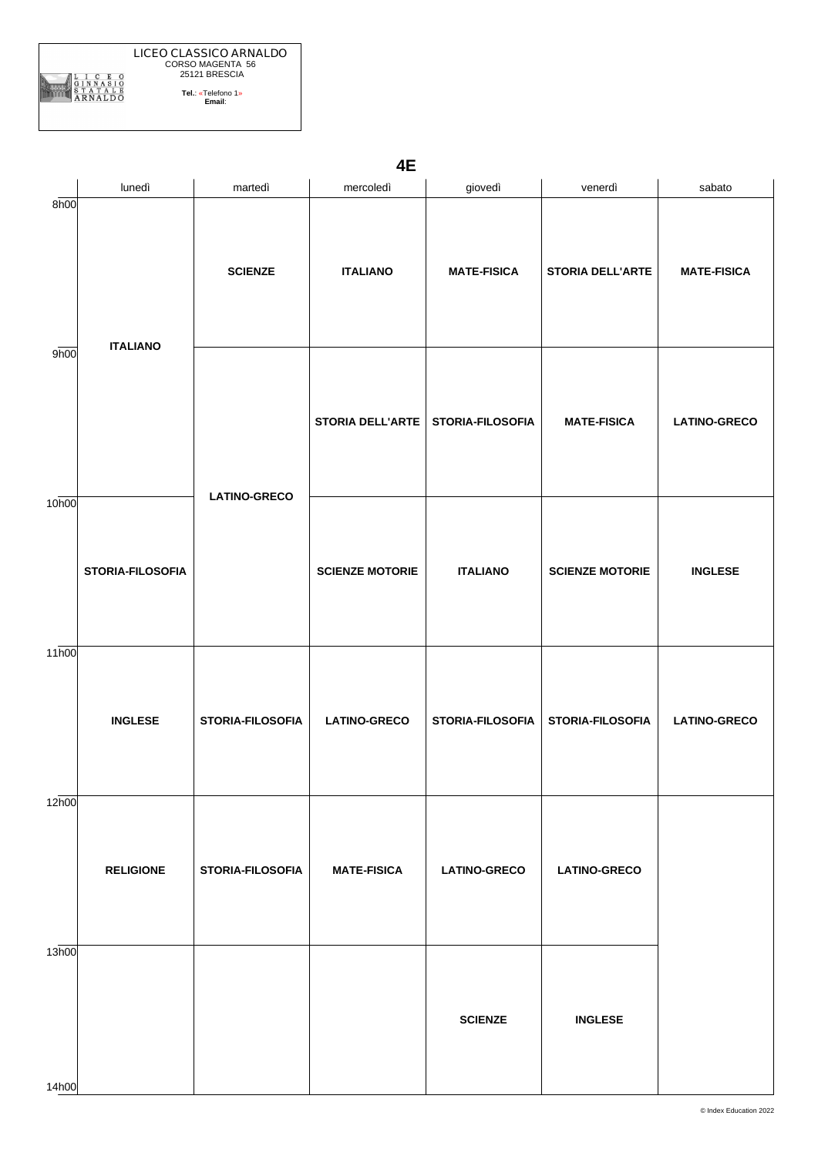|                         | <b>LICEO CLASSICO ARNALDO</b><br>CORSO MAGENTA 56 |
|-------------------------|---------------------------------------------------|
|                         | 25121 BRESCIA                                     |
| <b>NNASIO</b><br>RNALDO | Tel: «Telefono 1»<br>Email:                       |

**4E**

|                   | lunedì           | martedì             | mercoledì               | giovedì             | venerdì                 | sabato              |
|-------------------|------------------|---------------------|-------------------------|---------------------|-------------------------|---------------------|
| 8h00              |                  | <b>SCIENZE</b>      | <b>ITALIANO</b>         | <b>MATE-FISICA</b>  | <b>STORIA DELL'ARTE</b> | <b>MATE-FISICA</b>  |
| 9h00              | <b>ITALIANO</b>  |                     | <b>STORIA DELL'ARTE</b> | STORIA-FILOSOFIA    | <b>MATE-FISICA</b>      | <b>LATINO-GRECO</b> |
| 10h00             | STORIA-FILOSOFIA | <b>LATINO-GRECO</b> | <b>SCIENZE MOTORIE</b>  | <b>ITALIANO</b>     | <b>SCIENZE MOTORIE</b>  | <b>INGLESE</b>      |
| 11 <sub>h00</sub> | <b>INGLESE</b>   | STORIA-FILOSOFIA    | <b>LATINO-GRECO</b>     | STORIA-FILOSOFIA    | STORIA-FILOSOFIA        | <b>LATINO-GRECO</b> |
| 12h00             | <b>RELIGIONE</b> | STORIA-FILOSOFIA    | <b>MATE-FISICA</b>      | <b>LATINO-GRECO</b> | <b>LATINO-GRECO</b>     |                     |
| 13h00<br>14h00    |                  |                     |                         | <b>SCIENZE</b>      | <b>INGLESE</b>          |                     |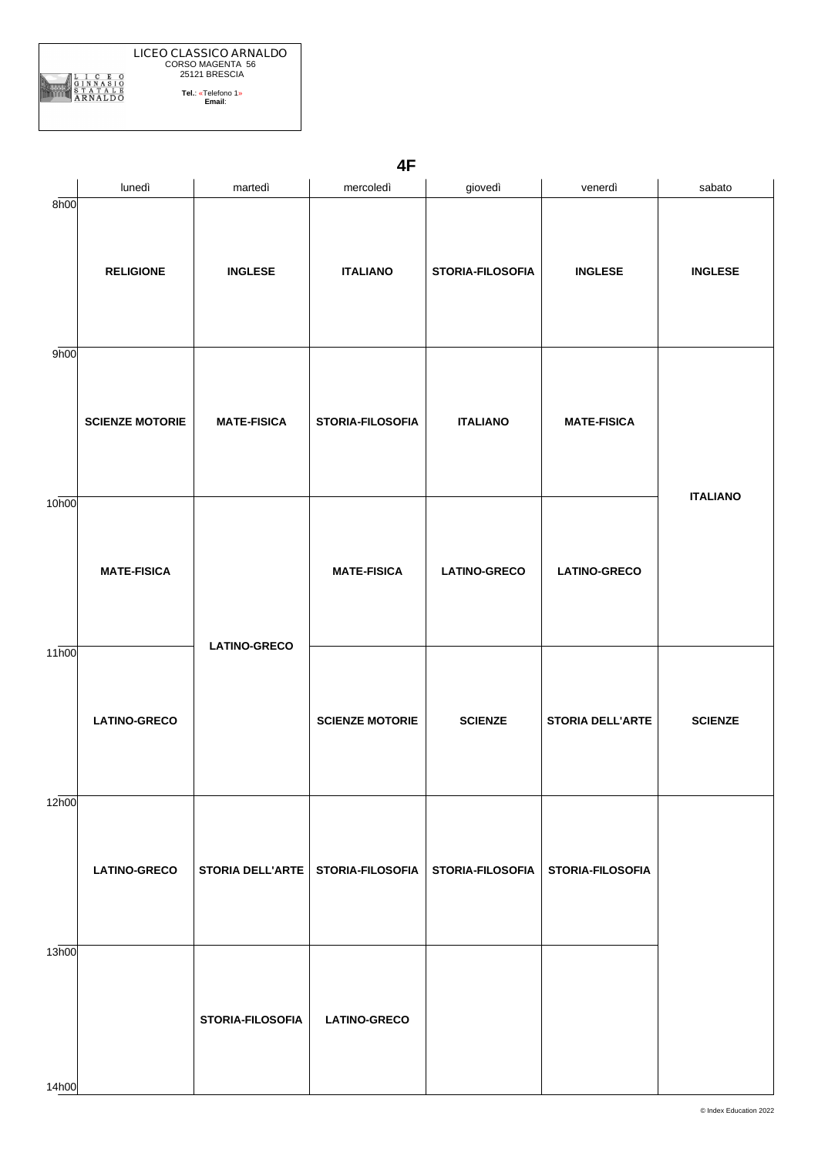|                   | lunedì                 | martedì                 | mercoledì               | giovedì             | venerdì                 | sabato          |
|-------------------|------------------------|-------------------------|-------------------------|---------------------|-------------------------|-----------------|
| 8h00              | <b>RELIGIONE</b>       | <b>INGLESE</b>          | <b>ITALIANO</b>         | STORIA-FILOSOFIA    | <b>INGLESE</b>          | <b>INGLESE</b>  |
| 9h00              | <b>SCIENZE MOTORIE</b> | <b>MATE-FISICA</b>      | STORIA-FILOSOFIA        | <b>ITALIANO</b>     | <b>MATE-FISICA</b>      |                 |
| 10 <sub>h00</sub> | <b>MATE-FISICA</b>     |                         | <b>MATE-FISICA</b>      | <b>LATINO-GRECO</b> | <b>LATINO-GRECO</b>     | <b>ITALIANO</b> |
| 11 <sub>h00</sub> | <b>LATINO-GRECO</b>    | <b>LATINO-GRECO</b>     | <b>SCIENZE MOTORIE</b>  | <b>SCIENZE</b>      | <b>STORIA DELL'ARTE</b> | <b>SCIENZE</b>  |
| 12h00             | <b>LATINO-GRECO</b>    | <b>STORIA DELL'ARTE</b> | <b>STORIA-FILOSOFIA</b> | STORIA-FILOSOFIA    | STORIA-FILOSOFIA        |                 |
| 13h00<br>14h00    |                        | STORIA-FILOSOFIA        | <b>LATINO-GRECO</b>     |                     |                         |                 |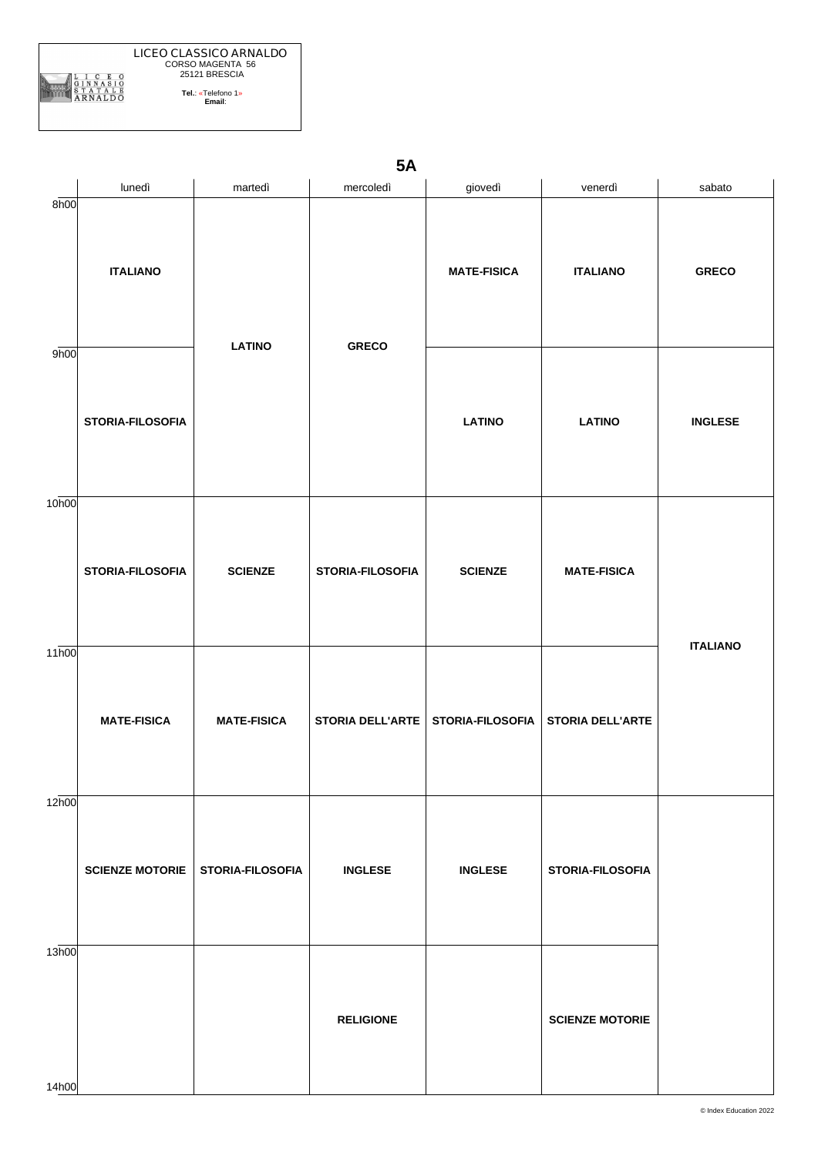|        | <b>LICEO CLASSICO ARNALDO</b><br>CORSO MAGENTA 56<br>25121 BRESCIA |
|--------|--------------------------------------------------------------------|
| RNALDO | Tel: «Telefono 1»<br>Email:                                        |

**5A**

|                | lunedì                 | martedì            | mercoledì        | giovedì            | venerdì                 | sabato          |
|----------------|------------------------|--------------------|------------------|--------------------|-------------------------|-----------------|
| 8h00           | <b>ITALIANO</b>        | <b>LATINO</b>      | <b>GRECO</b>     | <b>MATE-FISICA</b> | <b>ITALIANO</b>         | <b>GRECO</b>    |
| 9h00           | STORIA-FILOSOFIA       |                    |                  | <b>LATINO</b>      | <b>LATINO</b>           | <b>INGLESE</b>  |
| 10h00          | STORIA-FILOSOFIA       | <b>SCIENZE</b>     | STORIA-FILOSOFIA | <b>SCIENZE</b>     | <b>MATE-FISICA</b>      | <b>ITALIANO</b> |
| 11h00          | <b>MATE-FISICA</b>     | <b>MATE-FISICA</b> | STORIA DELL'ARTE | STORIA-FILOSOFIA   | <b>STORIA DELL'ARTE</b> |                 |
| 12h00          | <b>SCIENZE MOTORIE</b> | STORIA-FILOSOFIA   | <b>INGLESE</b>   | <b>INGLESE</b>     | STORIA-FILOSOFIA        |                 |
| 13h00<br>14h00 |                        |                    | <b>RELIGIONE</b> |                    | <b>SCIENZE MOTORIE</b>  |                 |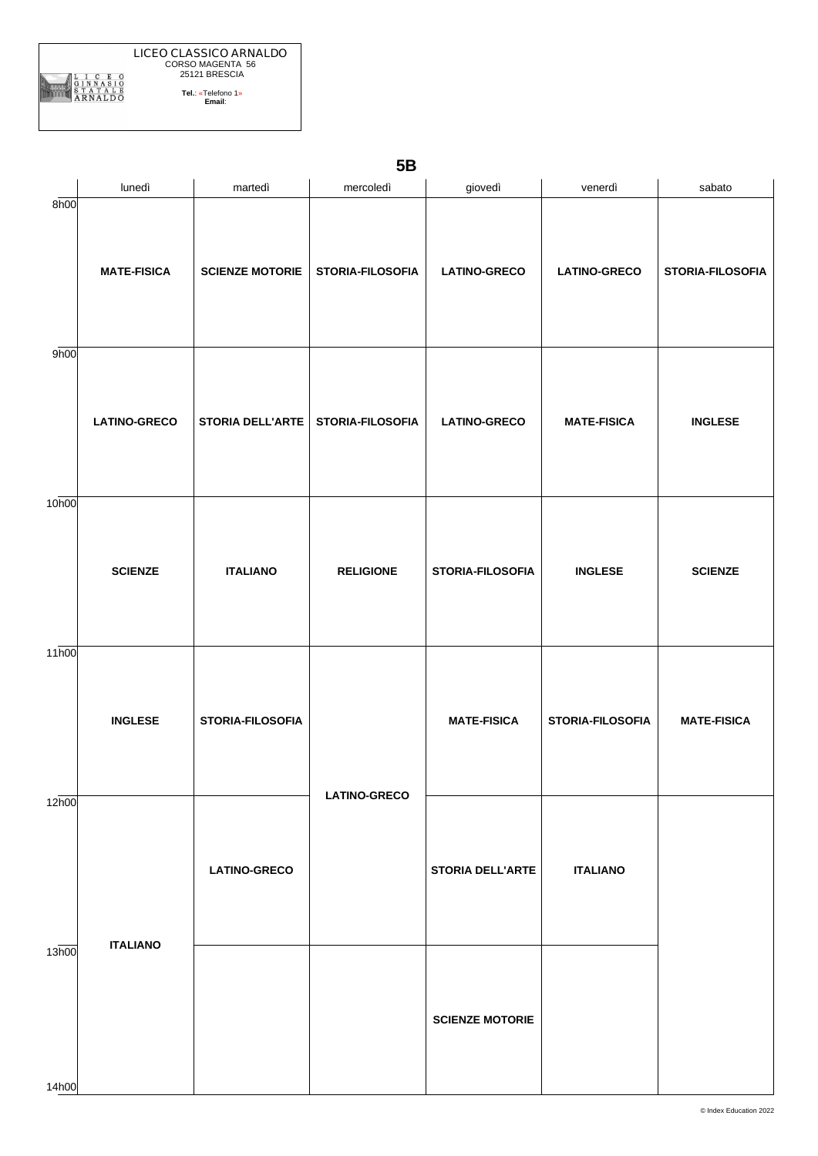| ۰. |  |
|----|--|
|    |  |

|                   | lunedì              | martedì                 | mercoledì           | giovedì                 | venerdì             | sabato           |
|-------------------|---------------------|-------------------------|---------------------|-------------------------|---------------------|------------------|
| 8h00              | <b>MATE-FISICA</b>  | <b>SCIENZE MOTORIE</b>  | STORIA-FILOSOFIA    | <b>LATINO-GRECO</b>     | <b>LATINO-GRECO</b> | STORIA-FILOSOFIA |
| 9h00              | <b>LATINO-GRECO</b> | <b>STORIA DELL'ARTE</b> | STORIA-FILOSOFIA    | <b>LATINO-GRECO</b>     | <b>MATE-FISICA</b>  | <b>INGLESE</b>   |
| 10 <sub>h00</sub> | <b>SCIENZE</b>      | <b>ITALIANO</b>         | <b>RELIGIONE</b>    | STORIA-FILOSOFIA        | <b>INGLESE</b>      | <b>SCIENZE</b>   |
| 11h00             | <b>INGLESE</b>      | STORIA-FILOSOFIA        | <b>MATE-FISICA</b>  | STORIA-FILOSOFIA        | <b>MATE-FISICA</b>  |                  |
| 12h00             | <b>ITALIANO</b>     | <b>LATINO-GRECO</b>     | <b>LATINO-GRECO</b> | <b>STORIA DELL'ARTE</b> | <b>ITALIANO</b>     |                  |
| 13h00<br>14h00    |                     |                         |                     | <b>SCIENZE MOTORIE</b>  |                     |                  |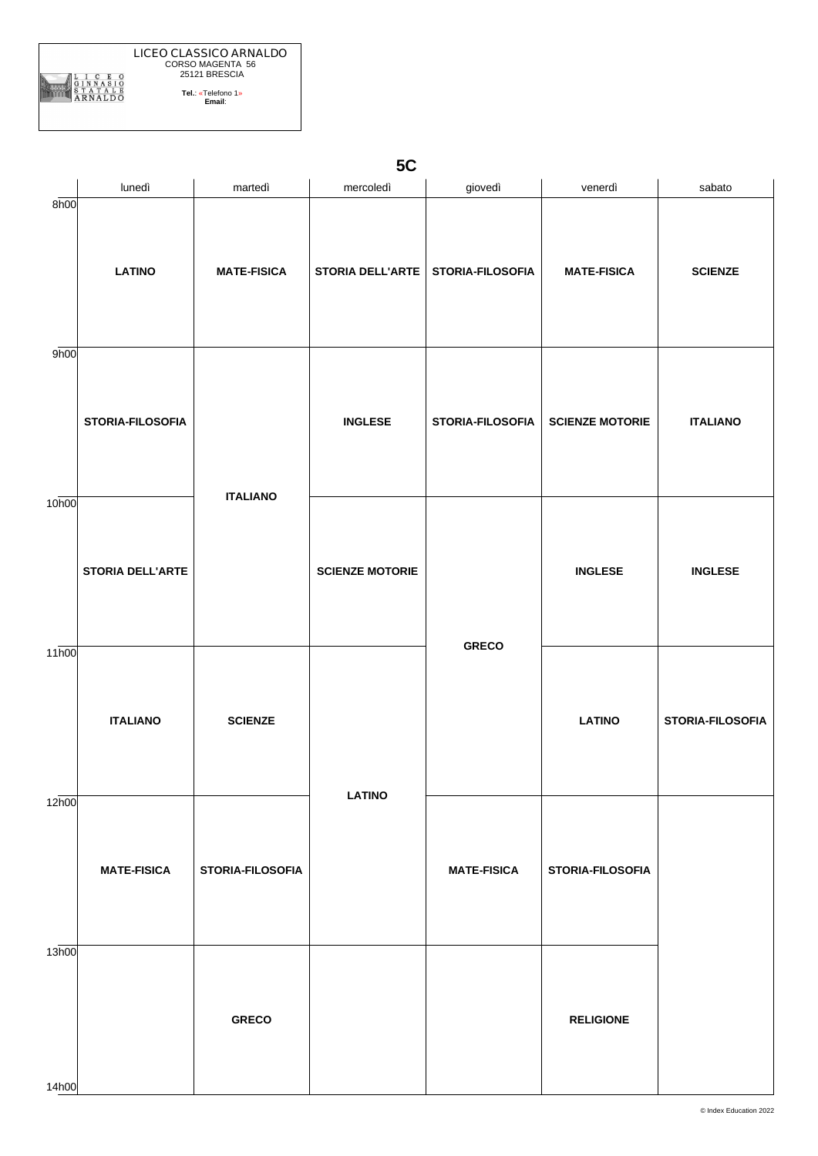|                   | lunedì                  | martedì            | mercoledì                           | giovedì            | venerdì                 | sabato           |
|-------------------|-------------------------|--------------------|-------------------------------------|--------------------|-------------------------|------------------|
| 8h00              | <b>LATINO</b>           | <b>MATE-FISICA</b> | STORIA DELL'ARTE   STORIA-FILOSOFIA |                    | <b>MATE-FISICA</b>      | <b>SCIENZE</b>   |
| 9h00              | STORIA-FILOSOFIA        | <b>ITALIANO</b>    | <b>INGLESE</b>                      | STORIA-FILOSOFIA   | <b>SCIENZE MOTORIE</b>  | <b>ITALIANO</b>  |
| 10h00             | <b>STORIA DELL'ARTE</b> |                    | <b>SCIENZE MOTORIE</b>              |                    | <b>INGLESE</b>          | <b>INGLESE</b>   |
| 11 <sub>h00</sub> | <b>ITALIANO</b>         | <b>SCIENZE</b>     |                                     | <b>GRECO</b>       | <b>LATINO</b>           | STORIA-FILOSOFIA |
| 12h00             | <b>MATE-FISICA</b>      | STORIA-FILOSOFIA   | <b>LATINO</b>                       | <b>MATE-FISICA</b> | <b>STORIA-FILOSOFIA</b> |                  |
| 13h00<br>14h00    |                         | <b>GRECO</b>       |                                     |                    | <b>RELIGIONE</b>        |                  |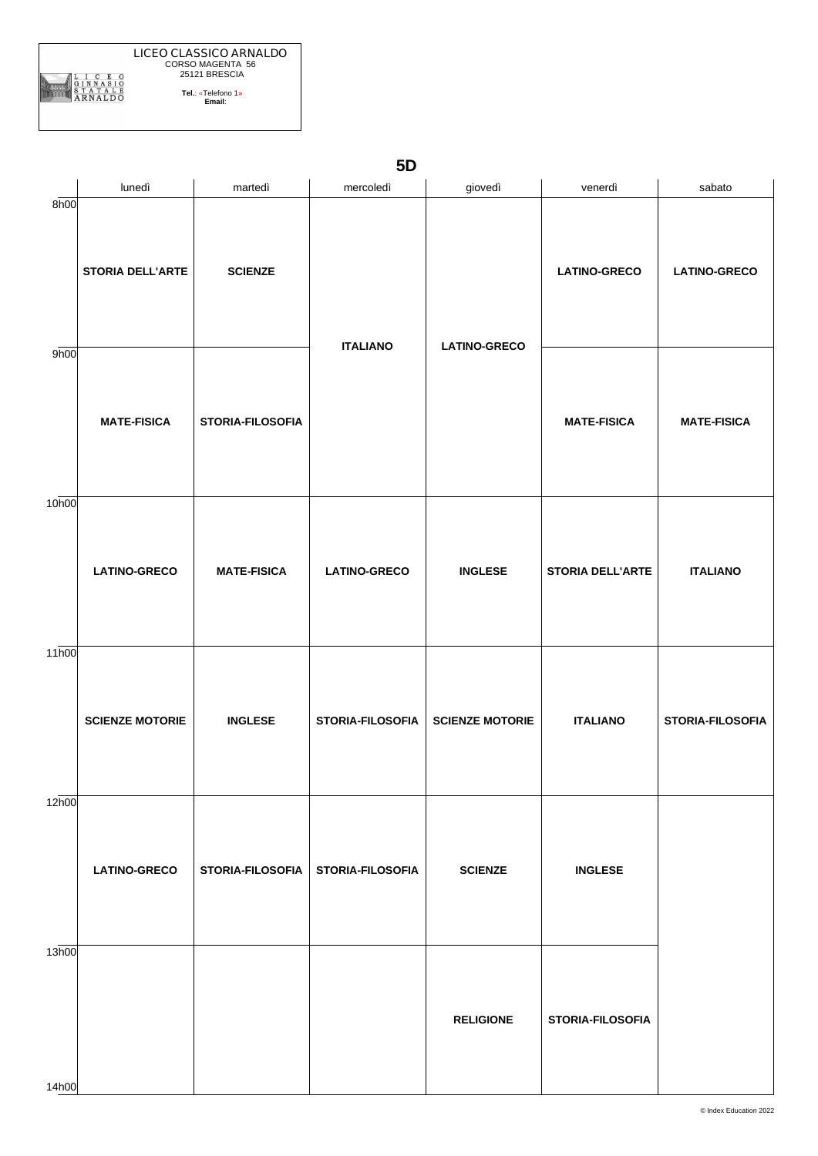**LICEO CLASSICO ARNALDO** CORSO MAGENTA 56 25121 BRESCIA ARNALDO **Tel.**: «Telefono 1» **Email**:

**5D**

|                   | lunedì                  | martedì                 | mercoledì               | giovedì                | venerdì                 | sabato              |
|-------------------|-------------------------|-------------------------|-------------------------|------------------------|-------------------------|---------------------|
| 8h00              | <b>STORIA DELL'ARTE</b> | <b>SCIENZE</b>          | <b>ITALIANO</b>         |                        | <b>LATINO-GRECO</b>     | <b>LATINO-GRECO</b> |
| 9h00              | <b>MATE-FISICA</b>      | STORIA-FILOSOFIA        |                         | <b>LATINO-GRECO</b>    | <b>MATE-FISICA</b>      | <b>MATE-FISICA</b>  |
| 10 <sub>h00</sub> | <b>LATINO-GRECO</b>     | <b>MATE-FISICA</b>      | <b>LATINO-GRECO</b>     | <b>INGLESE</b>         | <b>STORIA DELL'ARTE</b> | <b>ITALIANO</b>     |
| 11 <sub>h00</sub> | <b>SCIENZE MOTORIE</b>  | <b>INGLESE</b>          | <b>STORIA-FILOSOFIA</b> | <b>SCIENZE MOTORIE</b> | <b>ITALIANO</b>         | STORIA-FILOSOFIA    |
| 12h00             | <b>LATINO-GRECO</b>     | <b>STORIA-FILOSOFIA</b> | <b>STORIA-FILOSOFIA</b> | <b>SCIENZE</b>         | <b>INGLESE</b>          |                     |
| 13h00<br>14h00    |                         |                         |                         | <b>RELIGIONE</b>       | STORIA-FILOSOFIA        |                     |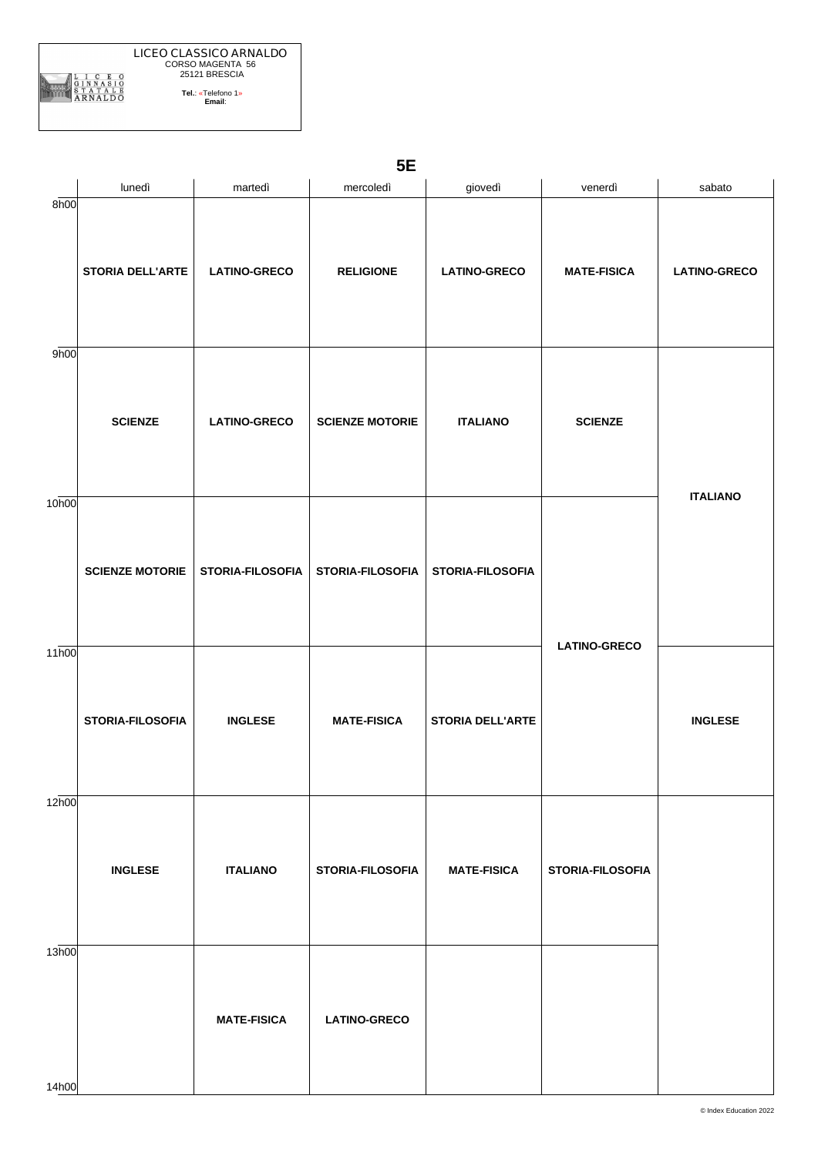|                   | lunedì                  | martedì             | mercoledì              | giovedì                 | venerdì             | sabato              |
|-------------------|-------------------------|---------------------|------------------------|-------------------------|---------------------|---------------------|
| 8h00              | <b>STORIA DELL'ARTE</b> | <b>LATINO-GRECO</b> | <b>RELIGIONE</b>       | <b>LATINO-GRECO</b>     | <b>MATE-FISICA</b>  | <b>LATINO-GRECO</b> |
| 9h00              | <b>SCIENZE</b>          | <b>LATINO-GRECO</b> | <b>SCIENZE MOTORIE</b> | <b>ITALIANO</b>         | <b>SCIENZE</b>      |                     |
| 10 <sub>h00</sub> | <b>SCIENZE MOTORIE</b>  | STORIA-FILOSOFIA    | STORIA-FILOSOFIA       | <b>STORIA-FILOSOFIA</b> |                     | <b>ITALIANO</b>     |
| 11 <sub>h00</sub> | STORIA-FILOSOFIA        | <b>INGLESE</b>      | <b>MATE-FISICA</b>     | <b>STORIA DELL'ARTE</b> | <b>LATINO-GRECO</b> | <b>INGLESE</b>      |
| 12h00             | <b>INGLESE</b>          | <b>ITALIANO</b>     | STORIA-FILOSOFIA       | <b>MATE-FISICA</b>      | STORIA-FILOSOFIA    |                     |
| 13h00<br>14h00    |                         | <b>MATE-FISICA</b>  | <b>LATINO-GRECO</b>    |                         |                     |                     |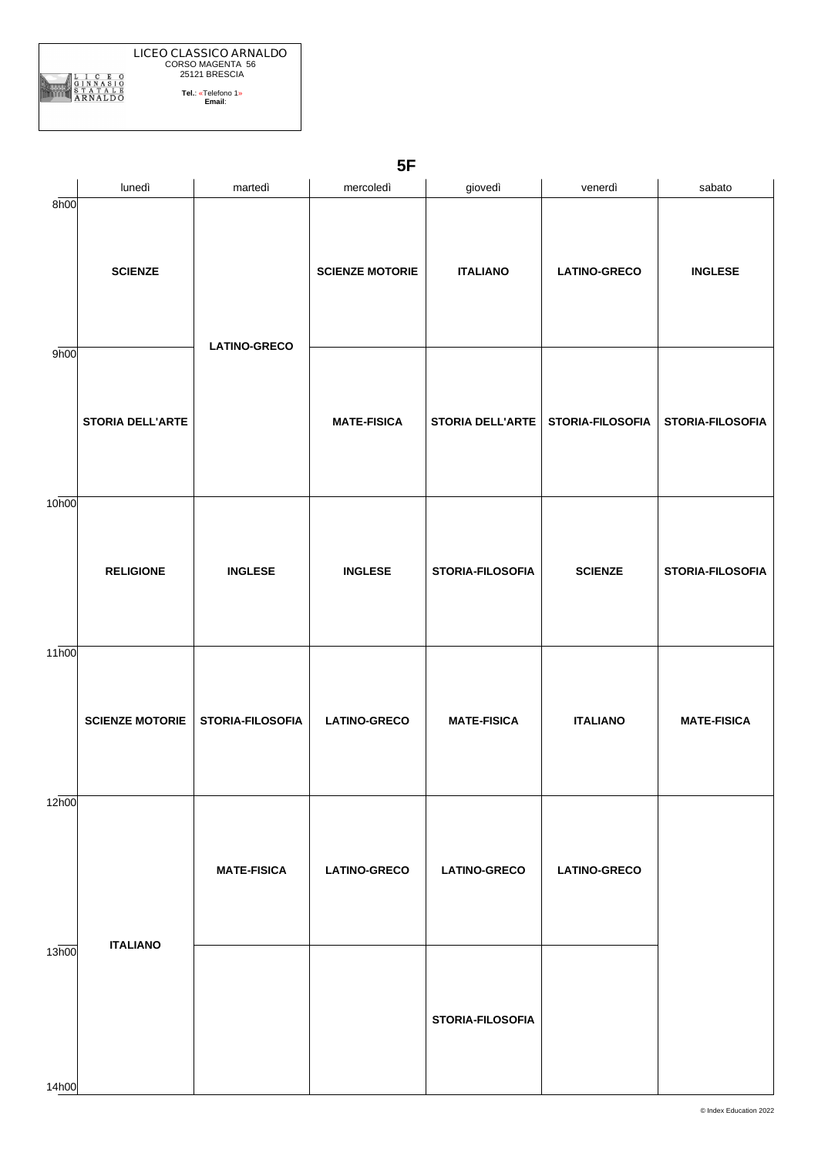

**5F**

|                    | lunedì                  | martedì             | mercoledì              | giovedì                             | venerdì             | sabato             |
|--------------------|-------------------------|---------------------|------------------------|-------------------------------------|---------------------|--------------------|
| 8h00               | <b>SCIENZE</b>          | <b>LATINO-GRECO</b> | <b>SCIENZE MOTORIE</b> | <b>ITALIANO</b>                     | <b>LATINO-GRECO</b> | <b>INGLESE</b>     |
| 9h00               | <b>STORIA DELL'ARTE</b> |                     | <b>MATE-FISICA</b>     | STORIA DELL'ARTE   STORIA-FILOSOFIA |                     | STORIA-FILOSOFIA   |
| 10h00              | <b>RELIGIONE</b>        | <b>INGLESE</b>      | <b>INGLESE</b>         | STORIA-FILOSOFIA                    | <b>SCIENZE</b>      | STORIA-FILOSOFIA   |
| $11\overline{h00}$ | <b>SCIENZE MOTORIE</b>  | STORIA-FILOSOFIA    | <b>LATINO-GRECO</b>    | <b>MATE-FISICA</b>                  | <b>ITALIANO</b>     | <b>MATE-FISICA</b> |
| 12h00              |                         | <b>MATE-FISICA</b>  | <b>LATINO-GRECO</b>    | <b>LATINO-GRECO</b>                 | <b>LATINO-GRECO</b> |                    |
| 13h00<br>14h00     | <b>ITALIANO</b>         |                     |                        | <b>STORIA-FILOSOFIA</b>             |                     |                    |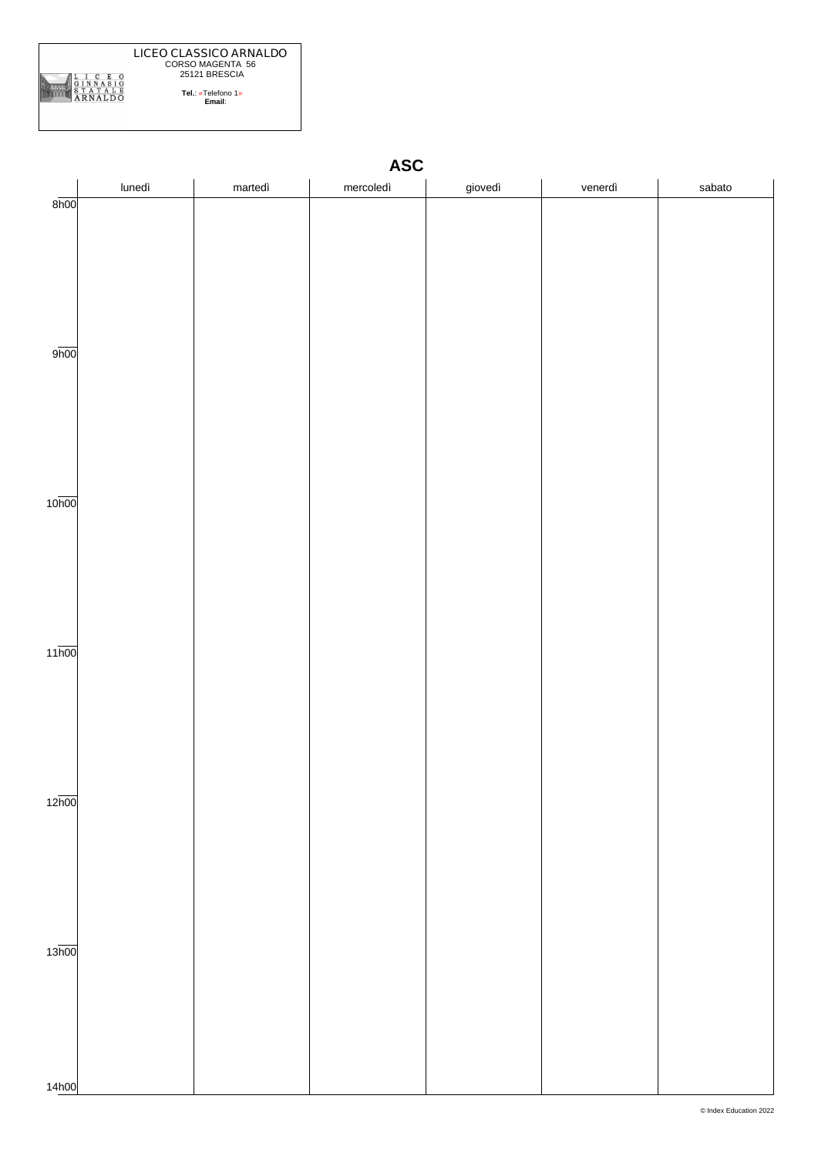

|                    | lunedì | martedì | mercoledì | giovedì | venerdì | sabato |
|--------------------|--------|---------|-----------|---------|---------|--------|
| $8\overline{h}00$  |        |         |           |         |         |        |
|                    |        |         |           |         |         |        |
|                    |        |         |           |         |         |        |
|                    |        |         |           |         |         |        |
|                    |        |         |           |         |         |        |
|                    |        |         |           |         |         |        |
|                    |        |         |           |         |         |        |
| 9h00               |        |         |           |         |         |        |
|                    |        |         |           |         |         |        |
|                    |        |         |           |         |         |        |
|                    |        |         |           |         |         |        |
|                    |        |         |           |         |         |        |
|                    |        |         |           |         |         |        |
|                    |        |         |           |         |         |        |
|                    |        |         |           |         |         |        |
| 10 <sub>h00</sub>  |        |         |           |         |         |        |
|                    |        |         |           |         |         |        |
|                    |        |         |           |         |         |        |
|                    |        |         |           |         |         |        |
|                    |        |         |           |         |         |        |
|                    |        |         |           |         |         |        |
|                    |        |         |           |         |         |        |
|                    |        |         |           |         |         |        |
| $11\overline{h00}$ |        |         |           |         |         |        |
|                    |        |         |           |         |         |        |
|                    |        |         |           |         |         |        |
|                    |        |         |           |         |         |        |
|                    |        |         |           |         |         |        |
|                    |        |         |           |         |         |        |
|                    |        |         |           |         |         |        |
| 12 <sub>h00</sub>  |        |         |           |         |         |        |
|                    |        |         |           |         |         |        |
|                    |        |         |           |         |         |        |
|                    |        |         |           |         |         |        |
|                    |        |         |           |         |         |        |
|                    |        |         |           |         |         |        |
|                    |        |         |           |         |         |        |
|                    |        |         |           |         |         |        |
| 13 <sub>h00</sub>  |        |         |           |         |         |        |
|                    |        |         |           |         |         |        |
|                    |        |         |           |         |         |        |
|                    |        |         |           |         |         |        |
|                    |        |         |           |         |         |        |
|                    |        |         |           |         |         |        |
|                    |        |         |           |         |         |        |
| 14h00              |        |         |           |         |         |        |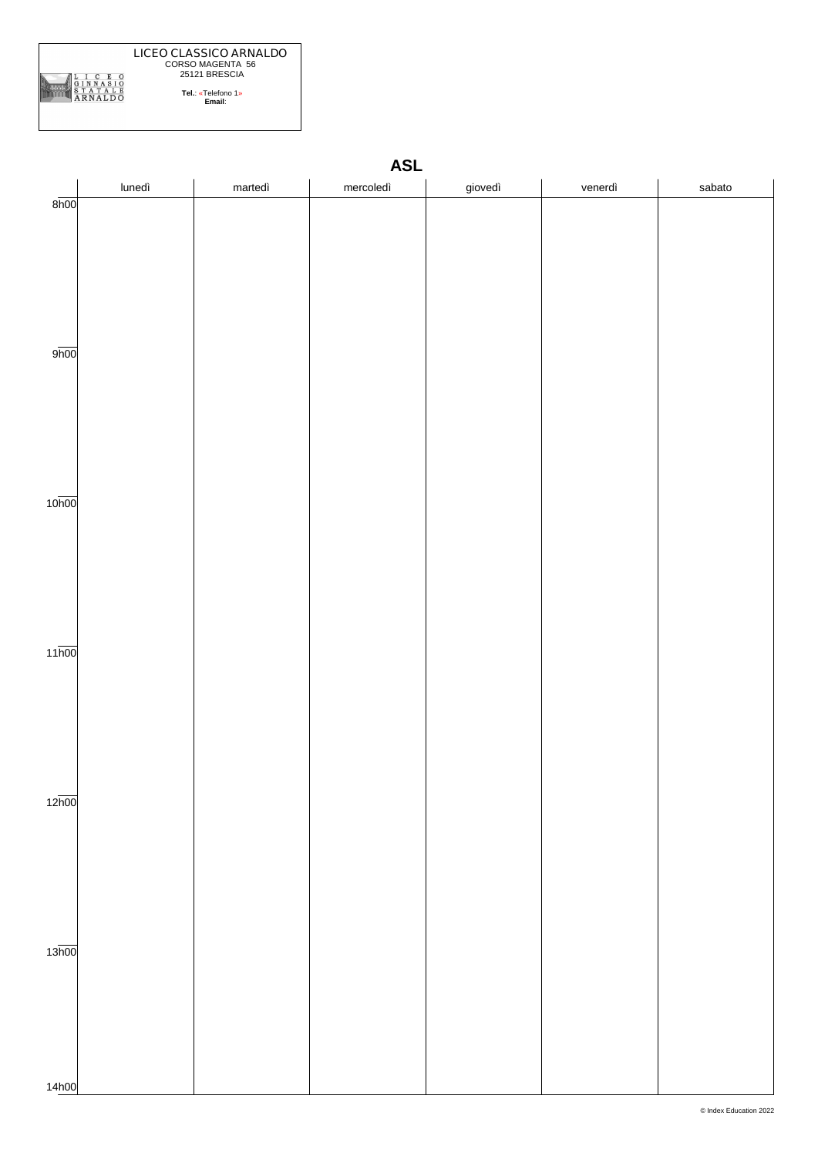

|                    | lunedì | martedì | mercoledì | giovedì | venerdì | sabato |
|--------------------|--------|---------|-----------|---------|---------|--------|
| 8h00               |        |         |           |         |         |        |
|                    |        |         |           |         |         |        |
|                    |        |         |           |         |         |        |
|                    |        |         |           |         |         |        |
|                    |        |         |           |         |         |        |
|                    |        |         |           |         |         |        |
|                    |        |         |           |         |         |        |
| 9 <sub>h00</sub>   |        |         |           |         |         |        |
|                    |        |         |           |         |         |        |
|                    |        |         |           |         |         |        |
|                    |        |         |           |         |         |        |
|                    |        |         |           |         |         |        |
|                    |        |         |           |         |         |        |
|                    |        |         |           |         |         |        |
| 10 <sub>h00</sub>  |        |         |           |         |         |        |
|                    |        |         |           |         |         |        |
|                    |        |         |           |         |         |        |
|                    |        |         |           |         |         |        |
|                    |        |         |           |         |         |        |
|                    |        |         |           |         |         |        |
|                    |        |         |           |         |         |        |
| $11\overline{h00}$ |        |         |           |         |         |        |
|                    |        |         |           |         |         |        |
|                    |        |         |           |         |         |        |
|                    |        |         |           |         |         |        |
|                    |        |         |           |         |         |        |
|                    |        |         |           |         |         |        |
|                    |        |         |           |         |         |        |
| $12\overline{h00}$ |        |         |           |         |         |        |
|                    |        |         |           |         |         |        |
|                    |        |         |           |         |         |        |
|                    |        |         |           |         |         |        |
|                    |        |         |           |         |         |        |
|                    |        |         |           |         |         |        |
|                    |        |         |           |         |         |        |
| 13 <sub>h00</sub>  |        |         |           |         |         |        |
|                    |        |         |           |         |         |        |
|                    |        |         |           |         |         |        |
|                    |        |         |           |         |         |        |
|                    |        |         |           |         |         |        |
|                    |        |         |           |         |         |        |
| 14h00              |        |         |           |         |         |        |

#### **ASL**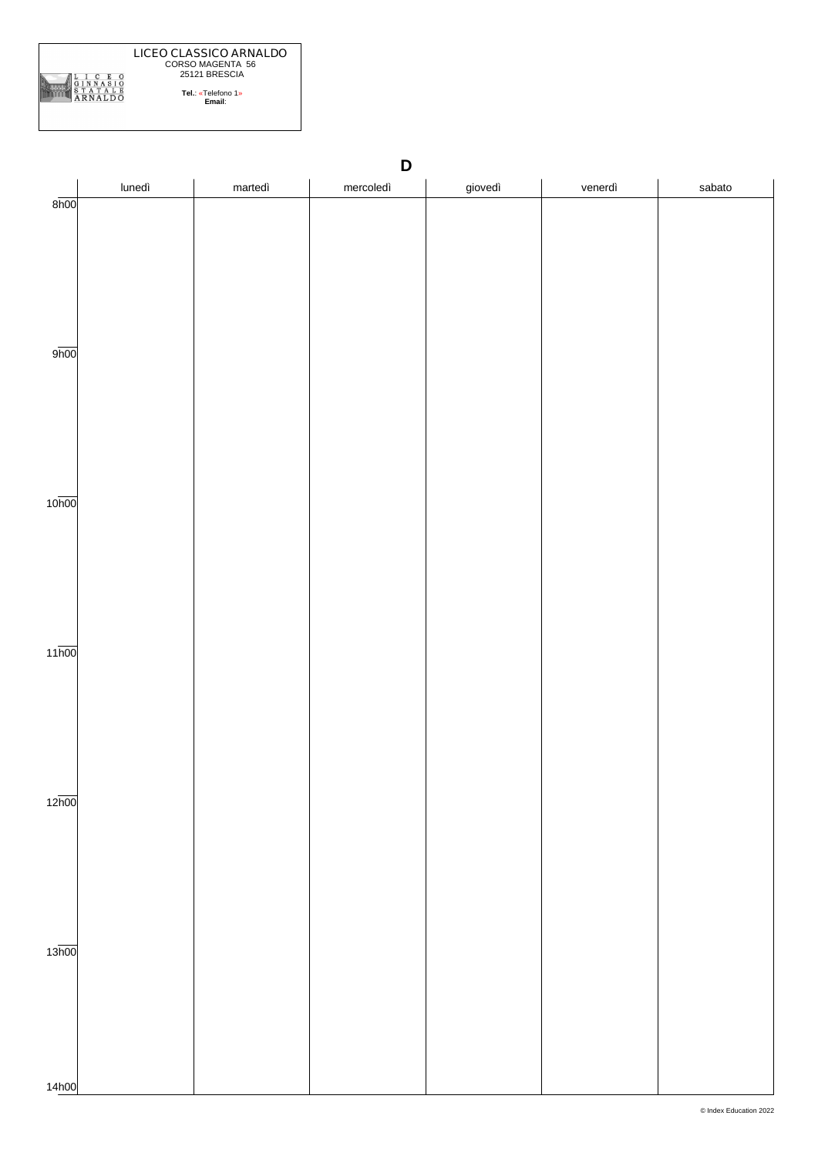

|                    | D      |         |           |         |         |        |  |  |  |
|--------------------|--------|---------|-----------|---------|---------|--------|--|--|--|
|                    | lunedì | martedì | mercoledì | giovedì | venerdì | sabato |  |  |  |
| 8h00               |        |         |           |         |         |        |  |  |  |
|                    |        |         |           |         |         |        |  |  |  |
|                    |        |         |           |         |         |        |  |  |  |
|                    |        |         |           |         |         |        |  |  |  |
|                    |        |         |           |         |         |        |  |  |  |
|                    |        |         |           |         |         |        |  |  |  |
|                    |        |         |           |         |         |        |  |  |  |
| 9h00               |        |         |           |         |         |        |  |  |  |
|                    |        |         |           |         |         |        |  |  |  |
|                    |        |         |           |         |         |        |  |  |  |
|                    |        |         |           |         |         |        |  |  |  |
|                    |        |         |           |         |         |        |  |  |  |
|                    |        |         |           |         |         |        |  |  |  |
|                    |        |         |           |         |         |        |  |  |  |
| 10 <sub>h00</sub>  |        |         |           |         |         |        |  |  |  |
|                    |        |         |           |         |         |        |  |  |  |
|                    |        |         |           |         |         |        |  |  |  |
|                    |        |         |           |         |         |        |  |  |  |
|                    |        |         |           |         |         |        |  |  |  |
|                    |        |         |           |         |         |        |  |  |  |
|                    |        |         |           |         |         |        |  |  |  |
| $11\overline{h00}$ |        |         |           |         |         |        |  |  |  |
|                    |        |         |           |         |         |        |  |  |  |
|                    |        |         |           |         |         |        |  |  |  |
|                    |        |         |           |         |         |        |  |  |  |
|                    |        |         |           |         |         |        |  |  |  |
|                    |        |         |           |         |         |        |  |  |  |
|                    |        |         |           |         |         |        |  |  |  |
| 12 <sub>h00</sub>  |        |         |           |         |         |        |  |  |  |
|                    |        |         |           |         |         |        |  |  |  |
|                    |        |         |           |         |         |        |  |  |  |
|                    |        |         |           |         |         |        |  |  |  |
|                    |        |         |           |         |         |        |  |  |  |
|                    |        |         |           |         |         |        |  |  |  |
|                    |        |         |           |         |         |        |  |  |  |
| 13 <sub>h00</sub>  |        |         |           |         |         |        |  |  |  |
|                    |        |         |           |         |         |        |  |  |  |
|                    |        |         |           |         |         |        |  |  |  |
|                    |        |         |           |         |         |        |  |  |  |
|                    |        |         |           |         |         |        |  |  |  |
|                    |        |         |           |         |         |        |  |  |  |
|                    |        |         |           |         |         |        |  |  |  |
| 14h00              |        |         |           |         |         |        |  |  |  |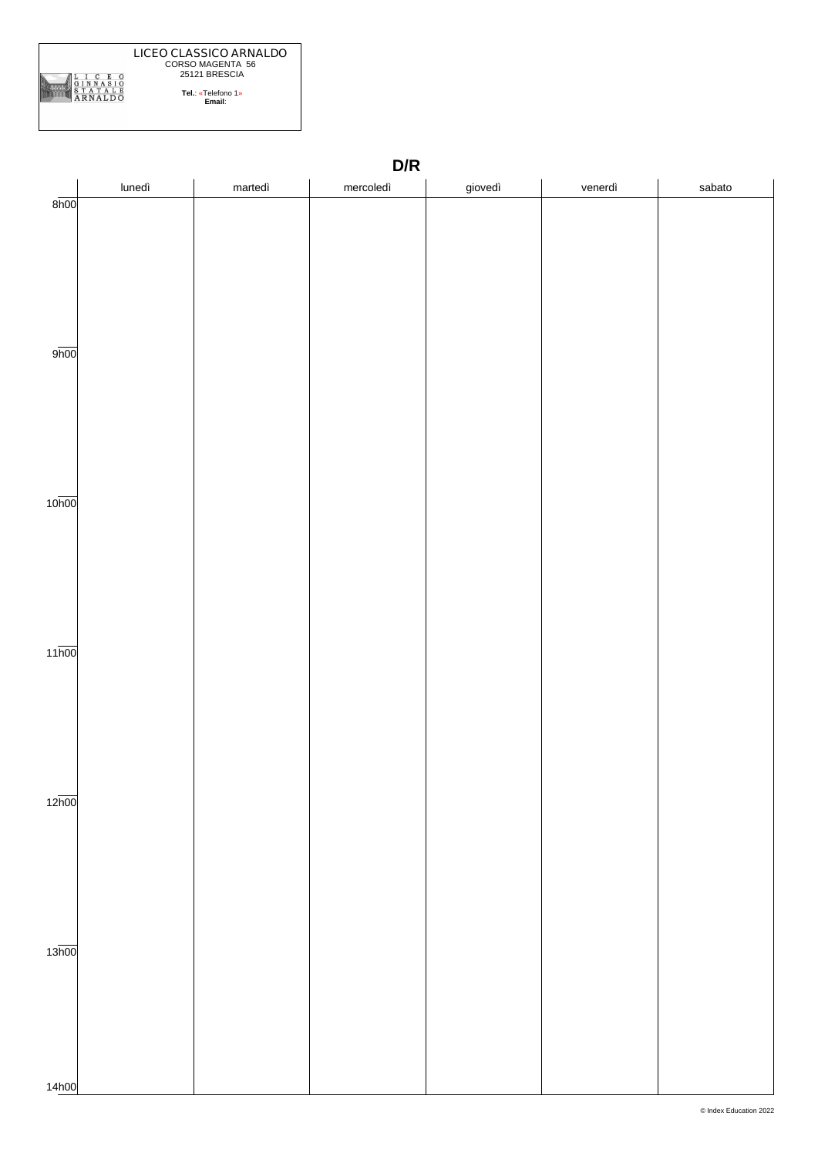

|                    | D/R    |         |           |         |         |        |  |  |
|--------------------|--------|---------|-----------|---------|---------|--------|--|--|
|                    | lunedì | martedì | mercoledì | giovedì | venerdì | sabato |  |  |
| 8h00               |        |         |           |         |         |        |  |  |
|                    |        |         |           |         |         |        |  |  |
|                    |        |         |           |         |         |        |  |  |
|                    |        |         |           |         |         |        |  |  |
|                    |        |         |           |         |         |        |  |  |
|                    |        |         |           |         |         |        |  |  |
|                    |        |         |           |         |         |        |  |  |
| 9 <sub>h00</sub>   |        |         |           |         |         |        |  |  |
|                    |        |         |           |         |         |        |  |  |
|                    |        |         |           |         |         |        |  |  |
|                    |        |         |           |         |         |        |  |  |
|                    |        |         |           |         |         |        |  |  |
|                    |        |         |           |         |         |        |  |  |
|                    |        |         |           |         |         |        |  |  |
|                    |        |         |           |         |         |        |  |  |
| 10 <sub>h00</sub>  |        |         |           |         |         |        |  |  |
|                    |        |         |           |         |         |        |  |  |
|                    |        |         |           |         |         |        |  |  |
|                    |        |         |           |         |         |        |  |  |
|                    |        |         |           |         |         |        |  |  |
|                    |        |         |           |         |         |        |  |  |
|                    |        |         |           |         |         |        |  |  |
| $11\overline{h00}$ |        |         |           |         |         |        |  |  |
|                    |        |         |           |         |         |        |  |  |
|                    |        |         |           |         |         |        |  |  |
|                    |        |         |           |         |         |        |  |  |
|                    |        |         |           |         |         |        |  |  |
|                    |        |         |           |         |         |        |  |  |
|                    |        |         |           |         |         |        |  |  |
| 12 <sub>h00</sub>  |        |         |           |         |         |        |  |  |
|                    |        |         |           |         |         |        |  |  |
|                    |        |         |           |         |         |        |  |  |
|                    |        |         |           |         |         |        |  |  |
|                    |        |         |           |         |         |        |  |  |
|                    |        |         |           |         |         |        |  |  |
|                    |        |         |           |         |         |        |  |  |
|                    |        |         |           |         |         |        |  |  |
| 13 <sub>h00</sub>  |        |         |           |         |         |        |  |  |
|                    |        |         |           |         |         |        |  |  |
|                    |        |         |           |         |         |        |  |  |
|                    |        |         |           |         |         |        |  |  |
|                    |        |         |           |         |         |        |  |  |
|                    |        |         |           |         |         |        |  |  |
|                    |        |         |           |         |         |        |  |  |
| 14h00              |        |         |           |         |         |        |  |  |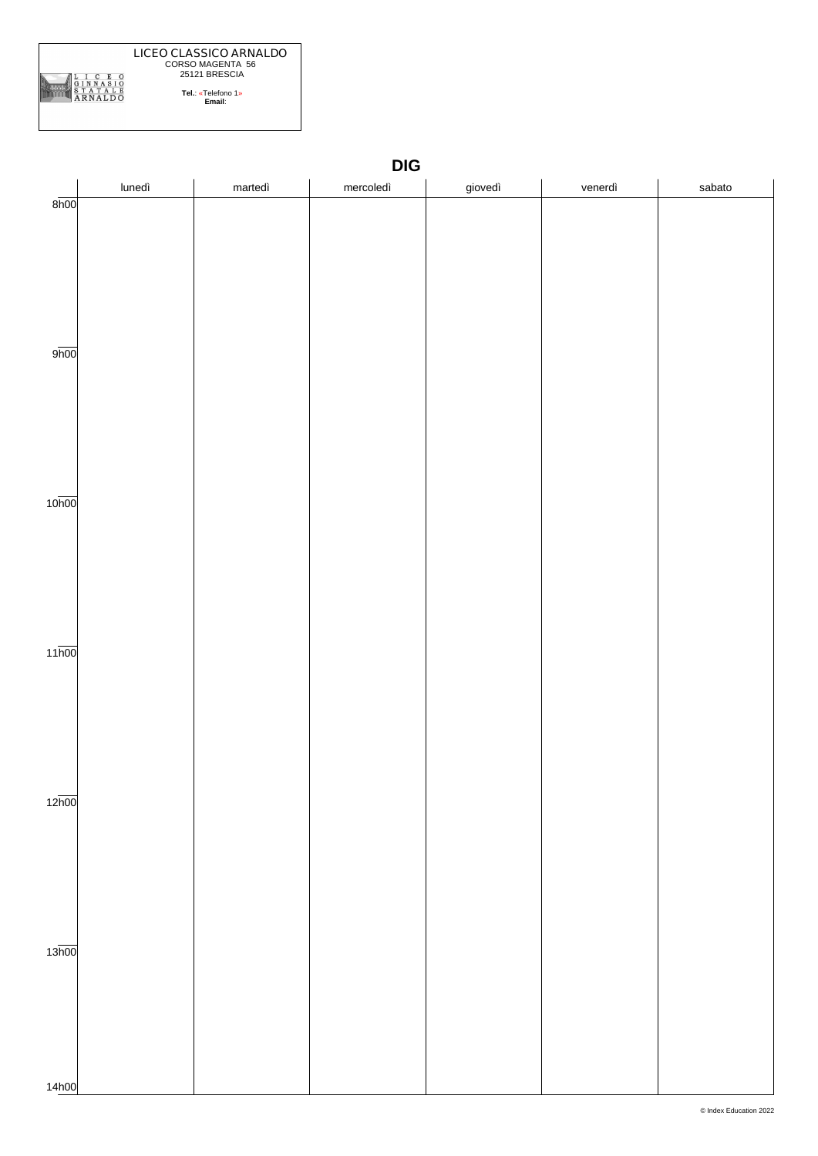

|                    |        |         | $DIG$     |         |         |        |
|--------------------|--------|---------|-----------|---------|---------|--------|
|                    | lunedì | martedì | mercoledì | giovedì | venerdì | sabato |
| 8h00               |        |         |           |         |         |        |
|                    |        |         |           |         |         |        |
|                    |        |         |           |         |         |        |
|                    |        |         |           |         |         |        |
|                    |        |         |           |         |         |        |
|                    |        |         |           |         |         |        |
|                    |        |         |           |         |         |        |
| 9h00               |        |         |           |         |         |        |
|                    |        |         |           |         |         |        |
|                    |        |         |           |         |         |        |
|                    |        |         |           |         |         |        |
|                    |        |         |           |         |         |        |
|                    |        |         |           |         |         |        |
|                    |        |         |           |         |         |        |
|                    |        |         |           |         |         |        |
| 10 <sub>h00</sub>  |        |         |           |         |         |        |
|                    |        |         |           |         |         |        |
|                    |        |         |           |         |         |        |
|                    |        |         |           |         |         |        |
|                    |        |         |           |         |         |        |
|                    |        |         |           |         |         |        |
|                    |        |         |           |         |         |        |
| $11\overline{h00}$ |        |         |           |         |         |        |
|                    |        |         |           |         |         |        |
|                    |        |         |           |         |         |        |
|                    |        |         |           |         |         |        |
|                    |        |         |           |         |         |        |
|                    |        |         |           |         |         |        |
|                    |        |         |           |         |         |        |
|                    |        |         |           |         |         |        |
| $12\overline{h00}$ |        |         |           |         |         |        |
|                    |        |         |           |         |         |        |
|                    |        |         |           |         |         |        |
|                    |        |         |           |         |         |        |
|                    |        |         |           |         |         |        |
|                    |        |         |           |         |         |        |
|                    |        |         |           |         |         |        |
|                    |        |         |           |         |         |        |
| 13 <sub>h00</sub>  |        |         |           |         |         |        |
|                    |        |         |           |         |         |        |
|                    |        |         |           |         |         |        |
|                    |        |         |           |         |         |        |
|                    |        |         |           |         |         |        |
|                    |        |         |           |         |         |        |
| 14h00              |        |         |           |         |         |        |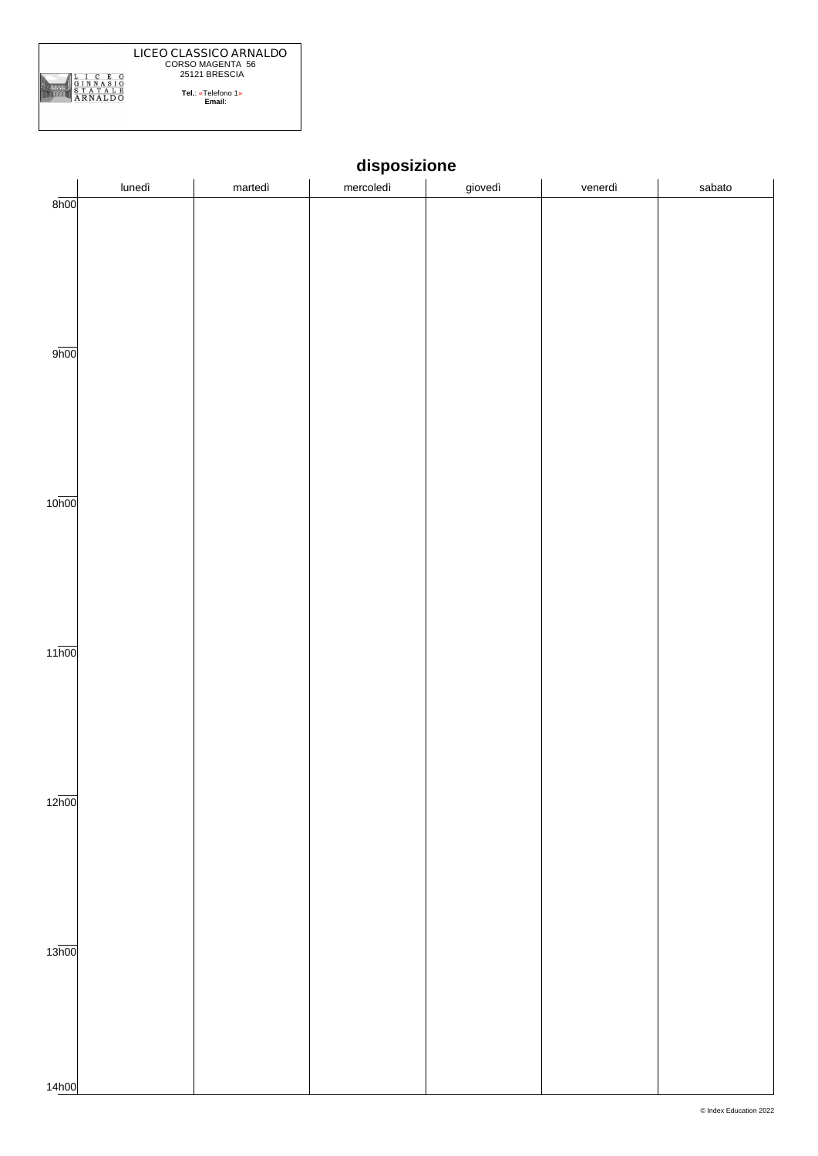

|                    | lunedì | martedì | mercoledì | giovedì | venerdì | sabato |
|--------------------|--------|---------|-----------|---------|---------|--------|
| 8h00               |        |         |           |         |         |        |
|                    |        |         |           |         |         |        |
|                    |        |         |           |         |         |        |
|                    |        |         |           |         |         |        |
|                    |        |         |           |         |         |        |
|                    |        |         |           |         |         |        |
|                    |        |         |           |         |         |        |
|                    |        |         |           |         |         |        |
|                    |        |         |           |         |         |        |
| 9h00               |        |         |           |         |         |        |
|                    |        |         |           |         |         |        |
|                    |        |         |           |         |         |        |
|                    |        |         |           |         |         |        |
|                    |        |         |           |         |         |        |
|                    |        |         |           |         |         |        |
|                    |        |         |           |         |         |        |
|                    |        |         |           |         |         |        |
|                    |        |         |           |         |         |        |
|                    |        |         |           |         |         |        |
| 10 <sub>h00</sub>  |        |         |           |         |         |        |
|                    |        |         |           |         |         |        |
|                    |        |         |           |         |         |        |
|                    |        |         |           |         |         |        |
|                    |        |         |           |         |         |        |
|                    |        |         |           |         |         |        |
|                    |        |         |           |         |         |        |
|                    |        |         |           |         |         |        |
|                    |        |         |           |         |         |        |
| $11\overline{h00}$ |        |         |           |         |         |        |
|                    |        |         |           |         |         |        |
|                    |        |         |           |         |         |        |
|                    |        |         |           |         |         |        |
|                    |        |         |           |         |         |        |
|                    |        |         |           |         |         |        |
|                    |        |         |           |         |         |        |
|                    |        |         |           |         |         |        |
|                    |        |         |           |         |         |        |
|                    |        |         |           |         |         |        |
| 12 <sub>h00</sub>  |        |         |           |         |         |        |
|                    |        |         |           |         |         |        |
|                    |        |         |           |         |         |        |
|                    |        |         |           |         |         |        |
|                    |        |         |           |         |         |        |
|                    |        |         |           |         |         |        |
|                    |        |         |           |         |         |        |
|                    |        |         |           |         |         |        |
|                    |        |         |           |         |         |        |
|                    |        |         |           |         |         |        |
| 13 <sub>h00</sub>  |        |         |           |         |         |        |
|                    |        |         |           |         |         |        |
|                    |        |         |           |         |         |        |
|                    |        |         |           |         |         |        |
|                    |        |         |           |         |         |        |
|                    |        |         |           |         |         |        |
|                    |        |         |           |         |         |        |
|                    |        |         |           |         |         |        |
| 14h00              |        |         |           |         |         |        |

**disposizione**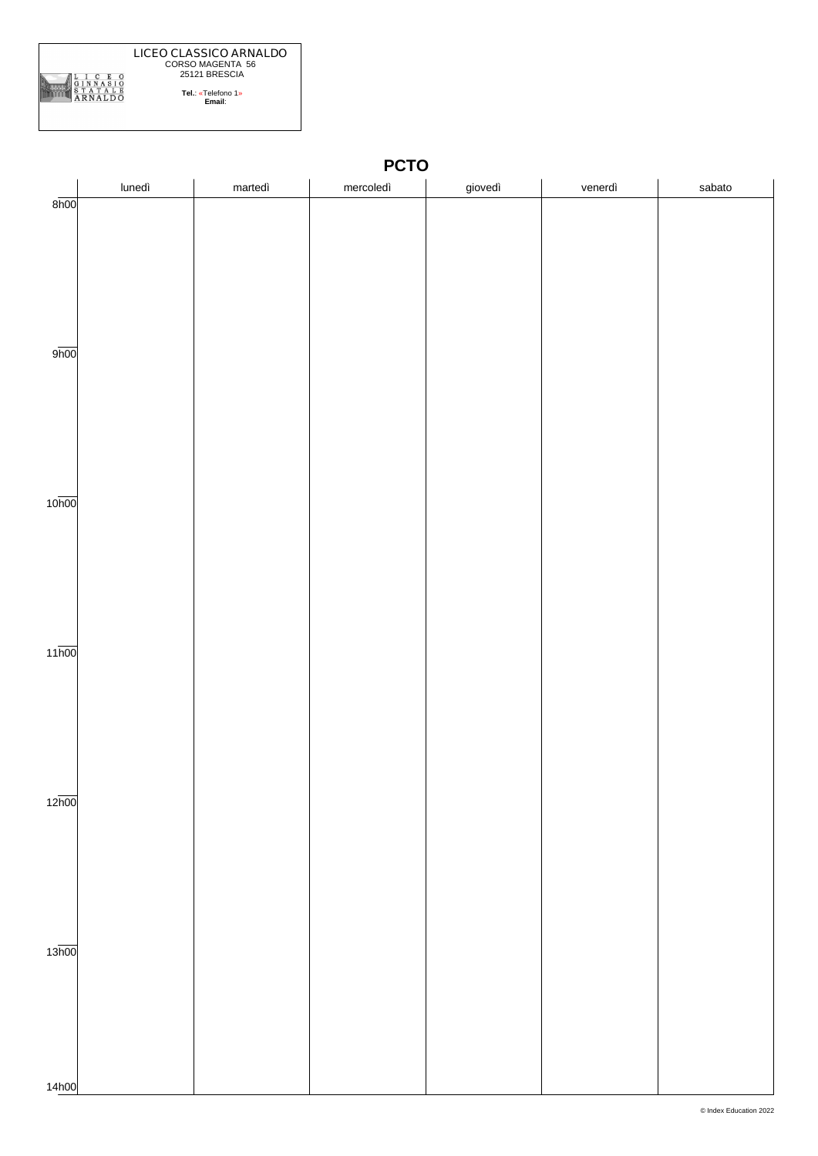

|                    | lunedì | martedì | mercoledì | giovedì | venerdì | sabato |
|--------------------|--------|---------|-----------|---------|---------|--------|
| 8h00               |        |         |           |         |         |        |
|                    |        |         |           |         |         |        |
|                    |        |         |           |         |         |        |
|                    |        |         |           |         |         |        |
|                    |        |         |           |         |         |        |
|                    |        |         |           |         |         |        |
|                    |        |         |           |         |         |        |
| 9 <sub>h00</sub>   |        |         |           |         |         |        |
|                    |        |         |           |         |         |        |
|                    |        |         |           |         |         |        |
|                    |        |         |           |         |         |        |
|                    |        |         |           |         |         |        |
|                    |        |         |           |         |         |        |
|                    |        |         |           |         |         |        |
|                    |        |         |           |         |         |        |
| 10 <sub>h00</sub>  |        |         |           |         |         |        |
|                    |        |         |           |         |         |        |
|                    |        |         |           |         |         |        |
|                    |        |         |           |         |         |        |
|                    |        |         |           |         |         |        |
|                    |        |         |           |         |         |        |
|                    |        |         |           |         |         |        |
| $11\overline{h00}$ |        |         |           |         |         |        |
|                    |        |         |           |         |         |        |
|                    |        |         |           |         |         |        |
|                    |        |         |           |         |         |        |
|                    |        |         |           |         |         |        |
|                    |        |         |           |         |         |        |
|                    |        |         |           |         |         |        |
|                    |        |         |           |         |         |        |
| 12 <sub>h00</sub>  |        |         |           |         |         |        |
|                    |        |         |           |         |         |        |
|                    |        |         |           |         |         |        |
|                    |        |         |           |         |         |        |
|                    |        |         |           |         |         |        |
|                    |        |         |           |         |         |        |
|                    |        |         |           |         |         |        |
| 13 <sub>h00</sub>  |        |         |           |         |         |        |
|                    |        |         |           |         |         |        |
|                    |        |         |           |         |         |        |
|                    |        |         |           |         |         |        |
|                    |        |         |           |         |         |        |
|                    |        |         |           |         |         |        |
|                    |        |         |           |         |         |        |
| 14h00              |        |         |           |         |         |        |

**PCTO**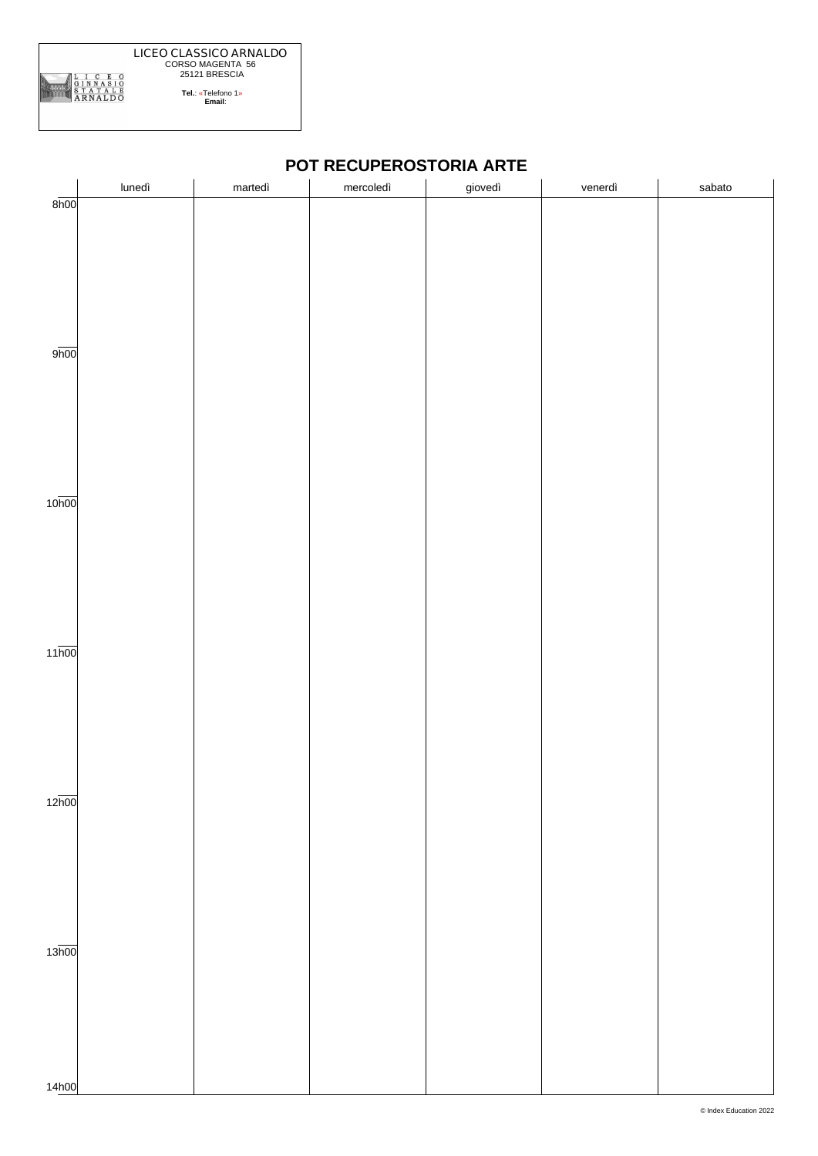

|                    | lunedì | martedì | mercoledì | giovedì | venerdì | sabato |  |
|--------------------|--------|---------|-----------|---------|---------|--------|--|
| $8\overline{h}00$  |        |         |           |         |         |        |  |
|                    |        |         |           |         |         |        |  |
|                    |        |         |           |         |         |        |  |
|                    |        |         |           |         |         |        |  |
|                    |        |         |           |         |         |        |  |
|                    |        |         |           |         |         |        |  |
|                    |        |         |           |         |         |        |  |
| 9 <sub>h00</sub>   |        |         |           |         |         |        |  |
|                    |        |         |           |         |         |        |  |
|                    |        |         |           |         |         |        |  |
|                    |        |         |           |         |         |        |  |
|                    |        |         |           |         |         |        |  |
|                    |        |         |           |         |         |        |  |
|                    |        |         |           |         |         |        |  |
|                    |        |         |           |         |         |        |  |
| 10 <sub>h00</sub>  |        |         |           |         |         |        |  |
|                    |        |         |           |         |         |        |  |
|                    |        |         |           |         |         |        |  |
|                    |        |         |           |         |         |        |  |
|                    |        |         |           |         |         |        |  |
|                    |        |         |           |         |         |        |  |
|                    |        |         |           |         |         |        |  |
|                    |        |         |           |         |         |        |  |
| $11\overline{h00}$ |        |         |           |         |         |        |  |
|                    |        |         |           |         |         |        |  |
|                    |        |         |           |         |         |        |  |
|                    |        |         |           |         |         |        |  |
|                    |        |         |           |         |         |        |  |
|                    |        |         |           |         |         |        |  |
|                    |        |         |           |         |         |        |  |
| 12 <sub>h00</sub>  |        |         |           |         |         |        |  |
|                    |        |         |           |         |         |        |  |
|                    |        |         |           |         |         |        |  |
|                    |        |         |           |         |         |        |  |
|                    |        |         |           |         |         |        |  |
|                    |        |         |           |         |         |        |  |
|                    |        |         |           |         |         |        |  |
|                    |        |         |           |         |         |        |  |
| 13 <sub>h00</sub>  |        |         |           |         |         |        |  |
|                    |        |         |           |         |         |        |  |
|                    |        |         |           |         |         |        |  |
|                    |        |         |           |         |         |        |  |
|                    |        |         |           |         |         |        |  |
|                    |        |         |           |         |         |        |  |
|                    |        |         |           |         |         |        |  |
| 14h00              |        |         |           |         |         |        |  |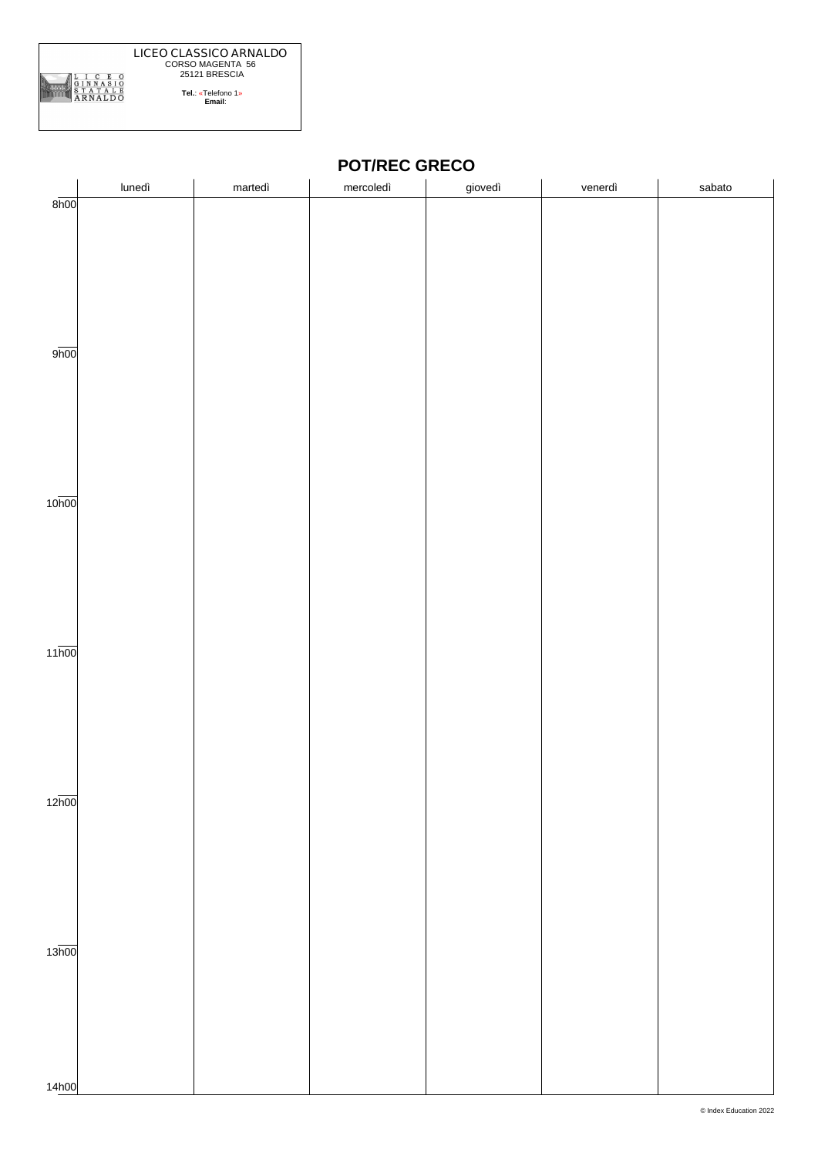

### **POT/REC GRECO**

|                    | lunedì | martedì | mercoledì | giovedì | venerdì | sabato |
|--------------------|--------|---------|-----------|---------|---------|--------|
| 8h00               |        |         |           |         |         |        |
|                    |        |         |           |         |         |        |
|                    |        |         |           |         |         |        |
|                    |        |         |           |         |         |        |
|                    |        |         |           |         |         |        |
|                    |        |         |           |         |         |        |
|                    |        |         |           |         |         |        |
|                    |        |         |           |         |         |        |
| 9 <sub>h00</sub>   |        |         |           |         |         |        |
|                    |        |         |           |         |         |        |
|                    |        |         |           |         |         |        |
|                    |        |         |           |         |         |        |
|                    |        |         |           |         |         |        |
|                    |        |         |           |         |         |        |
|                    |        |         |           |         |         |        |
|                    |        |         |           |         |         |        |
| 10 <sub>h00</sub>  |        |         |           |         |         |        |
|                    |        |         |           |         |         |        |
|                    |        |         |           |         |         |        |
|                    |        |         |           |         |         |        |
|                    |        |         |           |         |         |        |
|                    |        |         |           |         |         |        |
|                    |        |         |           |         |         |        |
|                    |        |         |           |         |         |        |
| $11\overline{h00}$ |        |         |           |         |         |        |
|                    |        |         |           |         |         |        |
|                    |        |         |           |         |         |        |
|                    |        |         |           |         |         |        |
|                    |        |         |           |         |         |        |
|                    |        |         |           |         |         |        |
|                    |        |         |           |         |         |        |
|                    |        |         |           |         |         |        |
| 12 <sub>h00</sub>  |        |         |           |         |         |        |
|                    |        |         |           |         |         |        |
|                    |        |         |           |         |         |        |
|                    |        |         |           |         |         |        |
|                    |        |         |           |         |         |        |
|                    |        |         |           |         |         |        |
|                    |        |         |           |         |         |        |
|                    |        |         |           |         |         |        |
| 13 <sub>h00</sub>  |        |         |           |         |         |        |
|                    |        |         |           |         |         |        |
|                    |        |         |           |         |         |        |
|                    |        |         |           |         |         |        |
|                    |        |         |           |         |         |        |
|                    |        |         |           |         |         |        |
|                    |        |         |           |         |         |        |
|                    |        |         |           |         |         |        |
| 14h00              |        |         |           |         |         |        |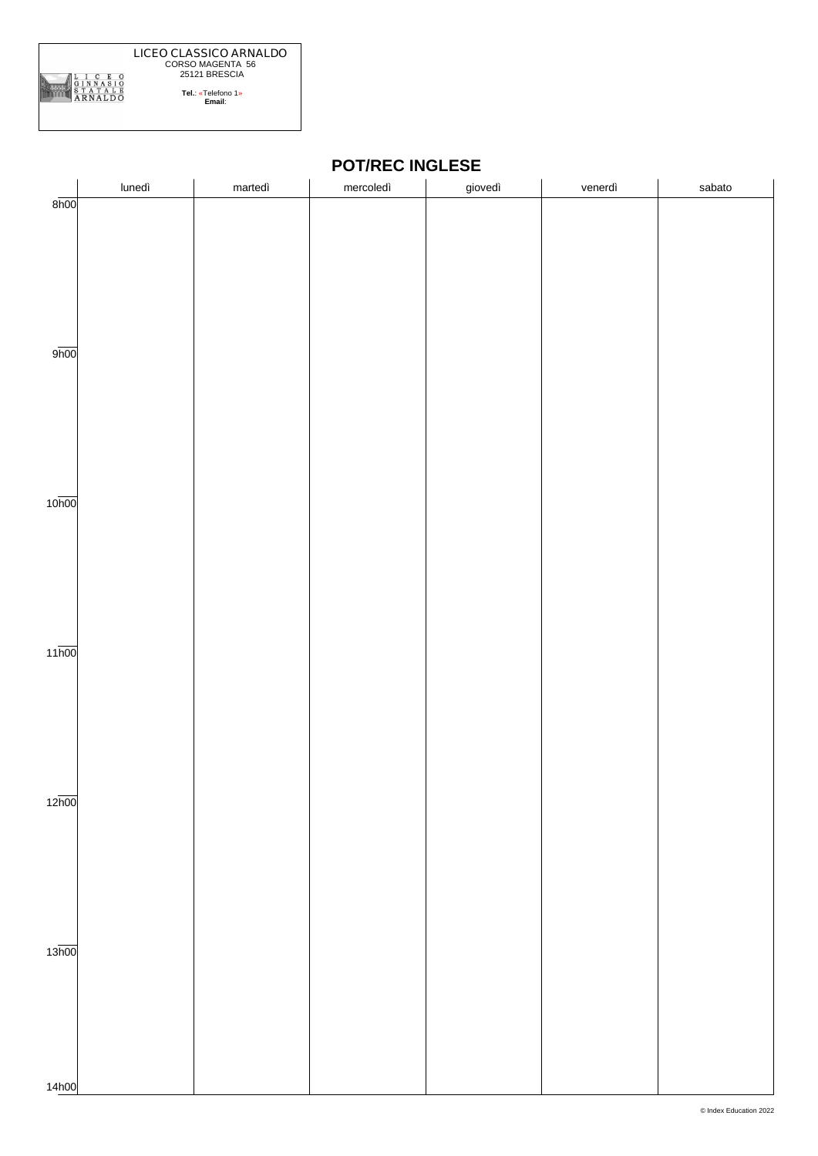

#### **POT/REC INGLESE**

|                    | lunedì | martedì | mercoledì | giovedì | venerdì | sabato |
|--------------------|--------|---------|-----------|---------|---------|--------|
| 8h00               |        |         |           |         |         |        |
|                    |        |         |           |         |         |        |
|                    |        |         |           |         |         |        |
|                    |        |         |           |         |         |        |
|                    |        |         |           |         |         |        |
|                    |        |         |           |         |         |        |
|                    |        |         |           |         |         |        |
|                    |        |         |           |         |         |        |
| 9h00               |        |         |           |         |         |        |
|                    |        |         |           |         |         |        |
|                    |        |         |           |         |         |        |
|                    |        |         |           |         |         |        |
|                    |        |         |           |         |         |        |
|                    |        |         |           |         |         |        |
|                    |        |         |           |         |         |        |
|                    |        |         |           |         |         |        |
| 10 <sub>h00</sub>  |        |         |           |         |         |        |
|                    |        |         |           |         |         |        |
|                    |        |         |           |         |         |        |
|                    |        |         |           |         |         |        |
|                    |        |         |           |         |         |        |
|                    |        |         |           |         |         |        |
|                    |        |         |           |         |         |        |
|                    |        |         |           |         |         |        |
| $11\overline{h00}$ |        |         |           |         |         |        |
|                    |        |         |           |         |         |        |
|                    |        |         |           |         |         |        |
|                    |        |         |           |         |         |        |
|                    |        |         |           |         |         |        |
|                    |        |         |           |         |         |        |
|                    |        |         |           |         |         |        |
| 12 <sub>h00</sub>  |        |         |           |         |         |        |
|                    |        |         |           |         |         |        |
|                    |        |         |           |         |         |        |
|                    |        |         |           |         |         |        |
|                    |        |         |           |         |         |        |
|                    |        |         |           |         |         |        |
|                    |        |         |           |         |         |        |
|                    |        |         |           |         |         |        |
| 13 <sub>h00</sub>  |        |         |           |         |         |        |
|                    |        |         |           |         |         |        |
|                    |        |         |           |         |         |        |
|                    |        |         |           |         |         |        |
|                    |        |         |           |         |         |        |
|                    |        |         |           |         |         |        |
|                    |        |         |           |         |         |        |
| 14h00              |        |         |           |         |         |        |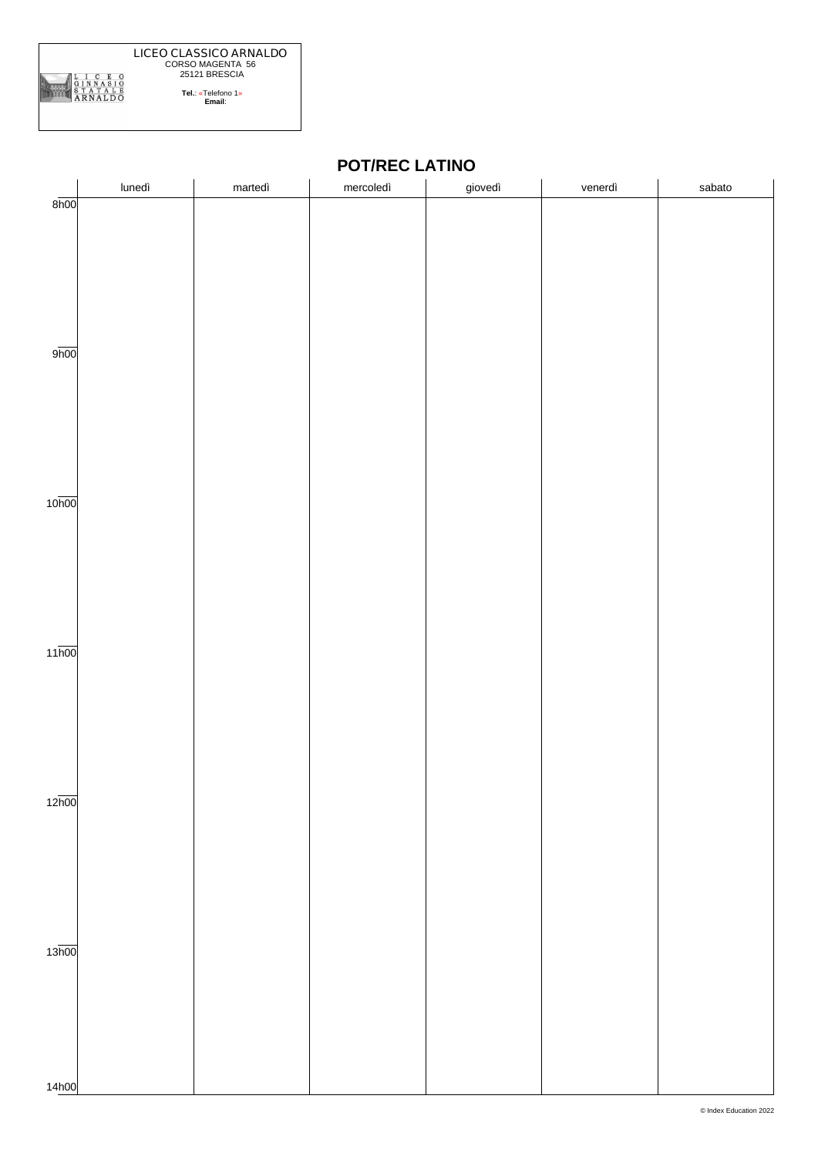

# **POT/REC LATINO**

|                    | lunedì | martedì | mercoledì | giovedì | venerdì | sabato |
|--------------------|--------|---------|-----------|---------|---------|--------|
| 8h00               |        |         |           |         |         |        |
|                    |        |         |           |         |         |        |
|                    |        |         |           |         |         |        |
|                    |        |         |           |         |         |        |
|                    |        |         |           |         |         |        |
|                    |        |         |           |         |         |        |
|                    |        |         |           |         |         |        |
|                    |        |         |           |         |         |        |
| 9 <sub>h00</sub>   |        |         |           |         |         |        |
|                    |        |         |           |         |         |        |
|                    |        |         |           |         |         |        |
|                    |        |         |           |         |         |        |
|                    |        |         |           |         |         |        |
|                    |        |         |           |         |         |        |
|                    |        |         |           |         |         |        |
| 10 <sub>h00</sub>  |        |         |           |         |         |        |
|                    |        |         |           |         |         |        |
|                    |        |         |           |         |         |        |
|                    |        |         |           |         |         |        |
|                    |        |         |           |         |         |        |
|                    |        |         |           |         |         |        |
|                    |        |         |           |         |         |        |
|                    |        |         |           |         |         |        |
| $11\overline{h00}$ |        |         |           |         |         |        |
|                    |        |         |           |         |         |        |
|                    |        |         |           |         |         |        |
|                    |        |         |           |         |         |        |
|                    |        |         |           |         |         |        |
|                    |        |         |           |         |         |        |
|                    |        |         |           |         |         |        |
|                    |        |         |           |         |         |        |
| 12 <sub>h00</sub>  |        |         |           |         |         |        |
|                    |        |         |           |         |         |        |
|                    |        |         |           |         |         |        |
|                    |        |         |           |         |         |        |
|                    |        |         |           |         |         |        |
|                    |        |         |           |         |         |        |
|                    |        |         |           |         |         |        |
| 13 <sub>h00</sub>  |        |         |           |         |         |        |
|                    |        |         |           |         |         |        |
|                    |        |         |           |         |         |        |
|                    |        |         |           |         |         |        |
|                    |        |         |           |         |         |        |
|                    |        |         |           |         |         |        |
|                    |        |         |           |         |         |        |
| 14h00              |        |         |           |         |         |        |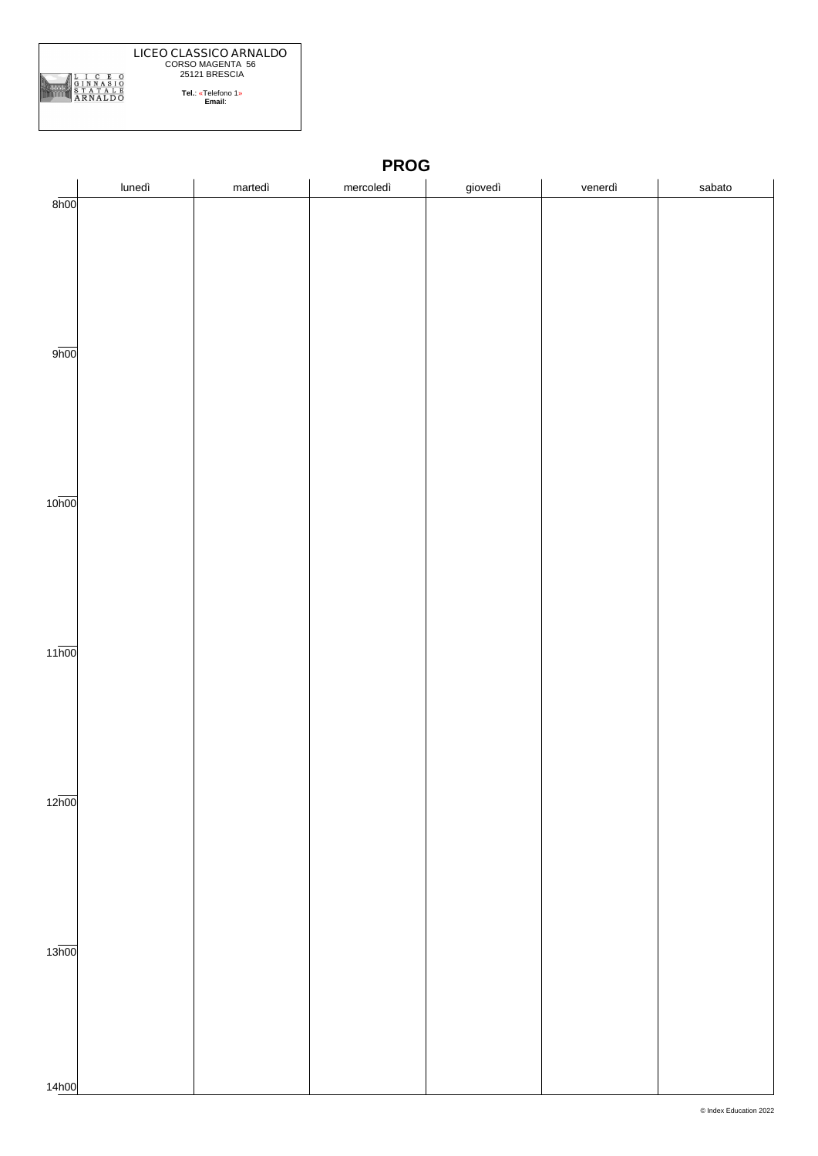

|                    | lunedì | martedì | mercoledì | giovedì | venerdì | sabato |
|--------------------|--------|---------|-----------|---------|---------|--------|
| 8h00               |        |         |           |         |         |        |
|                    |        |         |           |         |         |        |
|                    |        |         |           |         |         |        |
|                    |        |         |           |         |         |        |
|                    |        |         |           |         |         |        |
|                    |        |         |           |         |         |        |
|                    |        |         |           |         |         |        |
| 9h00               |        |         |           |         |         |        |
|                    |        |         |           |         |         |        |
|                    |        |         |           |         |         |        |
|                    |        |         |           |         |         |        |
|                    |        |         |           |         |         |        |
|                    |        |         |           |         |         |        |
|                    |        |         |           |         |         |        |
|                    |        |         |           |         |         |        |
| 10 <sub>h00</sub>  |        |         |           |         |         |        |
|                    |        |         |           |         |         |        |
|                    |        |         |           |         |         |        |
|                    |        |         |           |         |         |        |
|                    |        |         |           |         |         |        |
|                    |        |         |           |         |         |        |
|                    |        |         |           |         |         |        |
| $11\overline{h00}$ |        |         |           |         |         |        |
|                    |        |         |           |         |         |        |
|                    |        |         |           |         |         |        |
|                    |        |         |           |         |         |        |
|                    |        |         |           |         |         |        |
|                    |        |         |           |         |         |        |
|                    |        |         |           |         |         |        |
|                    |        |         |           |         |         |        |
| $12\overline{h00}$ |        |         |           |         |         |        |
|                    |        |         |           |         |         |        |
|                    |        |         |           |         |         |        |
|                    |        |         |           |         |         |        |
|                    |        |         |           |         |         |        |
|                    |        |         |           |         |         |        |
|                    |        |         |           |         |         |        |
| 13 <sub>h00</sub>  |        |         |           |         |         |        |
|                    |        |         |           |         |         |        |
|                    |        |         |           |         |         |        |
|                    |        |         |           |         |         |        |
|                    |        |         |           |         |         |        |
|                    |        |         |           |         |         |        |
|                    |        |         |           |         |         |        |
| 14h00              |        |         |           |         |         |        |

**PROG**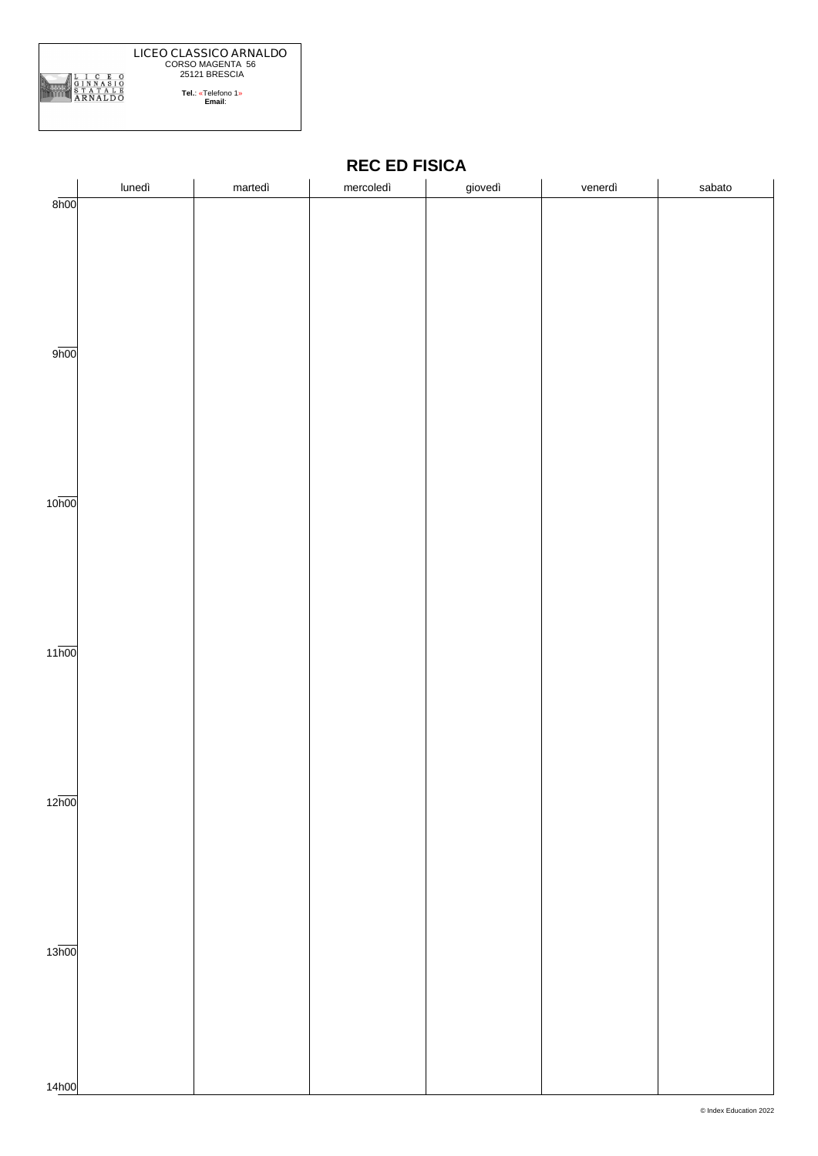

|                    | lunedì | martedì | mercoledì | giovedì | venerdì | sabato |
|--------------------|--------|---------|-----------|---------|---------|--------|
| 8h00               |        |         |           |         |         |        |
|                    |        |         |           |         |         |        |
|                    |        |         |           |         |         |        |
|                    |        |         |           |         |         |        |
|                    |        |         |           |         |         |        |
|                    |        |         |           |         |         |        |
|                    |        |         |           |         |         |        |
|                    |        |         |           |         |         |        |
|                    |        |         |           |         |         |        |
|                    |        |         |           |         |         |        |
|                    |        |         |           |         |         |        |
| 9h00               |        |         |           |         |         |        |
|                    |        |         |           |         |         |        |
|                    |        |         |           |         |         |        |
|                    |        |         |           |         |         |        |
|                    |        |         |           |         |         |        |
|                    |        |         |           |         |         |        |
|                    |        |         |           |         |         |        |
|                    |        |         |           |         |         |        |
|                    |        |         |           |         |         |        |
|                    |        |         |           |         |         |        |
|                    |        |         |           |         |         |        |
| 10 <sub>h00</sub>  |        |         |           |         |         |        |
|                    |        |         |           |         |         |        |
|                    |        |         |           |         |         |        |
|                    |        |         |           |         |         |        |
|                    |        |         |           |         |         |        |
|                    |        |         |           |         |         |        |
|                    |        |         |           |         |         |        |
|                    |        |         |           |         |         |        |
|                    |        |         |           |         |         |        |
|                    |        |         |           |         |         |        |
| $11\overline{h00}$ |        |         |           |         |         |        |
|                    |        |         |           |         |         |        |
|                    |        |         |           |         |         |        |
|                    |        |         |           |         |         |        |
|                    |        |         |           |         |         |        |
|                    |        |         |           |         |         |        |
|                    |        |         |           |         |         |        |
|                    |        |         |           |         |         |        |
|                    |        |         |           |         |         |        |
|                    |        |         |           |         |         |        |
| 12 <sub>h00</sub>  |        |         |           |         |         |        |
|                    |        |         |           |         |         |        |
|                    |        |         |           |         |         |        |
|                    |        |         |           |         |         |        |
|                    |        |         |           |         |         |        |
|                    |        |         |           |         |         |        |
|                    |        |         |           |         |         |        |
|                    |        |         |           |         |         |        |
|                    |        |         |           |         |         |        |
|                    |        |         |           |         |         |        |
|                    |        |         |           |         |         |        |
| 13 <sub>h00</sub>  |        |         |           |         |         |        |
|                    |        |         |           |         |         |        |
|                    |        |         |           |         |         |        |
|                    |        |         |           |         |         |        |
|                    |        |         |           |         |         |        |
|                    |        |         |           |         |         |        |
|                    |        |         |           |         |         |        |
|                    |        |         |           |         |         |        |
|                    |        |         |           |         |         |        |

# **REC ED FISICA**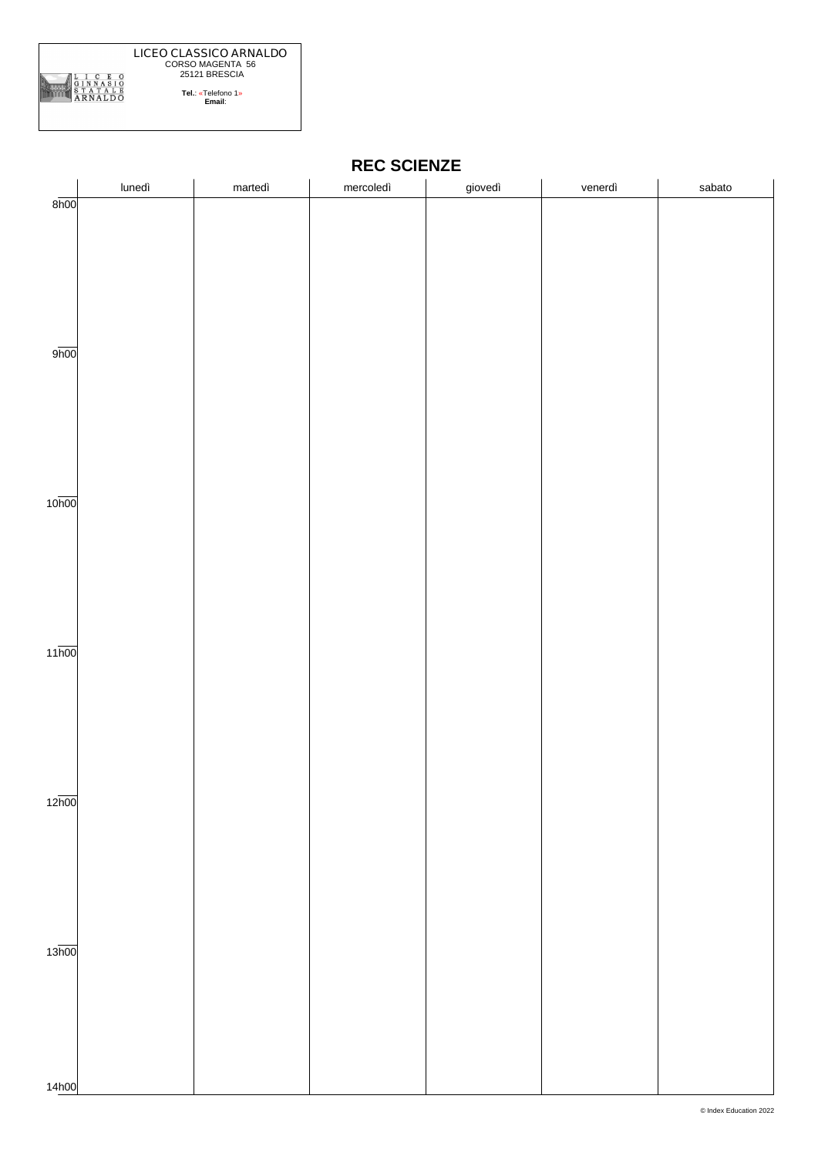

|                    | lunedì | martedì | mercoledì | giovedì | venerdì | sabato |
|--------------------|--------|---------|-----------|---------|---------|--------|
| 8h00               |        |         |           |         |         |        |
|                    |        |         |           |         |         |        |
|                    |        |         |           |         |         |        |
|                    |        |         |           |         |         |        |
|                    |        |         |           |         |         |        |
|                    |        |         |           |         |         |        |
|                    |        |         |           |         |         |        |
|                    |        |         |           |         |         |        |
|                    |        |         |           |         |         |        |
|                    |        |         |           |         |         |        |
| 9 <sub>h00</sub>   |        |         |           |         |         |        |
|                    |        |         |           |         |         |        |
|                    |        |         |           |         |         |        |
|                    |        |         |           |         |         |        |
|                    |        |         |           |         |         |        |
|                    |        |         |           |         |         |        |
|                    |        |         |           |         |         |        |
|                    |        |         |           |         |         |        |
|                    |        |         |           |         |         |        |
|                    |        |         |           |         |         |        |
|                    |        |         |           |         |         |        |
| 10 <sub>h00</sub>  |        |         |           |         |         |        |
|                    |        |         |           |         |         |        |
|                    |        |         |           |         |         |        |
|                    |        |         |           |         |         |        |
|                    |        |         |           |         |         |        |
|                    |        |         |           |         |         |        |
|                    |        |         |           |         |         |        |
|                    |        |         |           |         |         |        |
|                    |        |         |           |         |         |        |
|                    |        |         |           |         |         |        |
| $11\overline{h00}$ |        |         |           |         |         |        |
|                    |        |         |           |         |         |        |
|                    |        |         |           |         |         |        |
|                    |        |         |           |         |         |        |
|                    |        |         |           |         |         |        |
|                    |        |         |           |         |         |        |
|                    |        |         |           |         |         |        |
|                    |        |         |           |         |         |        |
|                    |        |         |           |         |         |        |
|                    |        |         |           |         |         |        |
|                    |        |         |           |         |         |        |
| 12h00              |        |         |           |         |         |        |
|                    |        |         |           |         |         |        |
|                    |        |         |           |         |         |        |
|                    |        |         |           |         |         |        |
|                    |        |         |           |         |         |        |
|                    |        |         |           |         |         |        |
|                    |        |         |           |         |         |        |
|                    |        |         |           |         |         |        |
|                    |        |         |           |         |         |        |
|                    |        |         |           |         |         |        |
| 13 <sub>h00</sub>  |        |         |           |         |         |        |
|                    |        |         |           |         |         |        |
|                    |        |         |           |         |         |        |
|                    |        |         |           |         |         |        |
|                    |        |         |           |         |         |        |
|                    |        |         |           |         |         |        |
|                    |        |         |           |         |         |        |
|                    |        |         |           |         |         |        |
|                    |        |         |           |         |         |        |
| 14h00              |        |         |           |         |         |        |

#### **REC SCIENZE**

 $\overline{a}$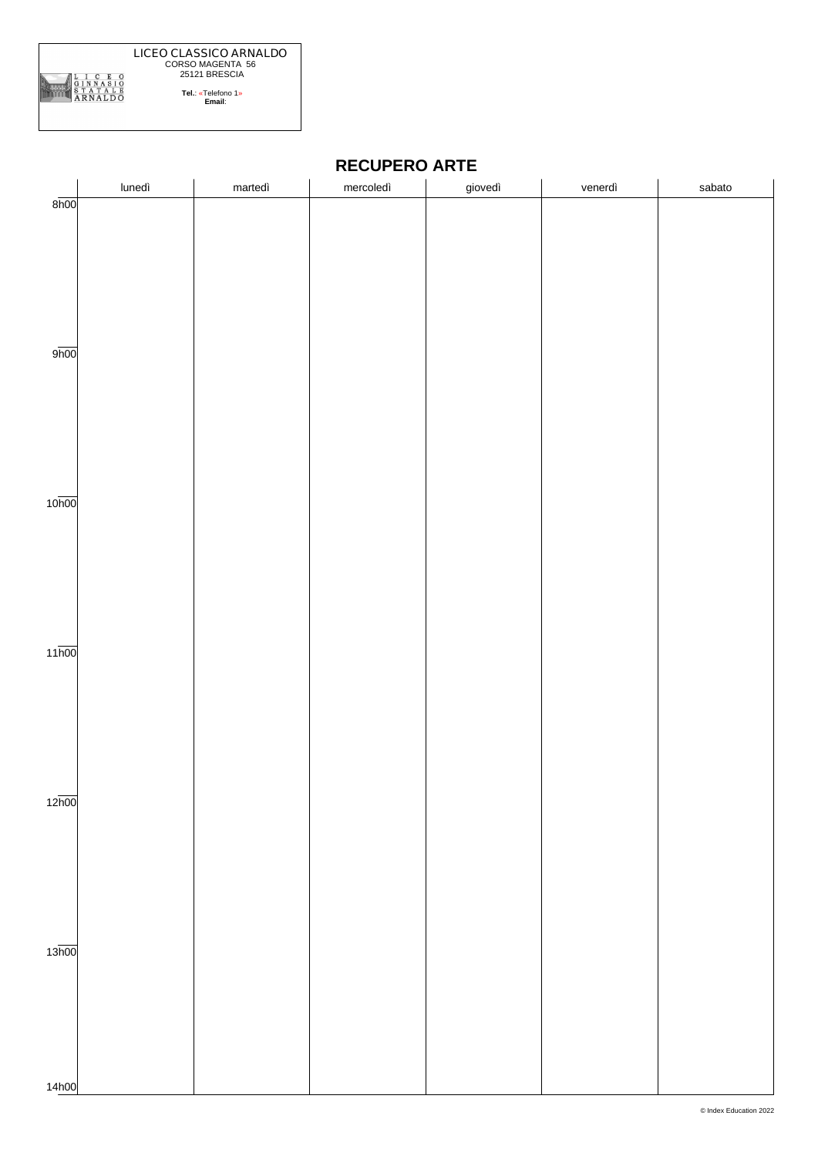

| <b>RECUPERO ARTE</b> |
|----------------------|
|----------------------|

|                    | lunedì | martedì | mercoledì | giovedì | venerdì | sabato |  |
|--------------------|--------|---------|-----------|---------|---------|--------|--|
| $8\overline{h}00$  |        |         |           |         |         |        |  |
|                    |        |         |           |         |         |        |  |
|                    |        |         |           |         |         |        |  |
|                    |        |         |           |         |         |        |  |
|                    |        |         |           |         |         |        |  |
|                    |        |         |           |         |         |        |  |
|                    |        |         |           |         |         |        |  |
| 9 <sub>h00</sub>   |        |         |           |         |         |        |  |
|                    |        |         |           |         |         |        |  |
|                    |        |         |           |         |         |        |  |
|                    |        |         |           |         |         |        |  |
|                    |        |         |           |         |         |        |  |
|                    |        |         |           |         |         |        |  |
|                    |        |         |           |         |         |        |  |
|                    |        |         |           |         |         |        |  |
| 10 <sub>h00</sub>  |        |         |           |         |         |        |  |
|                    |        |         |           |         |         |        |  |
|                    |        |         |           |         |         |        |  |
|                    |        |         |           |         |         |        |  |
|                    |        |         |           |         |         |        |  |
|                    |        |         |           |         |         |        |  |
|                    |        |         |           |         |         |        |  |
|                    |        |         |           |         |         |        |  |
| $11\overline{h00}$ |        |         |           |         |         |        |  |
|                    |        |         |           |         |         |        |  |
|                    |        |         |           |         |         |        |  |
|                    |        |         |           |         |         |        |  |
|                    |        |         |           |         |         |        |  |
|                    |        |         |           |         |         |        |  |
|                    |        |         |           |         |         |        |  |
| 12 <sub>h00</sub>  |        |         |           |         |         |        |  |
|                    |        |         |           |         |         |        |  |
|                    |        |         |           |         |         |        |  |
|                    |        |         |           |         |         |        |  |
|                    |        |         |           |         |         |        |  |
|                    |        |         |           |         |         |        |  |
|                    |        |         |           |         |         |        |  |
|                    |        |         |           |         |         |        |  |
| 13 <sub>h00</sub>  |        |         |           |         |         |        |  |
|                    |        |         |           |         |         |        |  |
|                    |        |         |           |         |         |        |  |
|                    |        |         |           |         |         |        |  |
|                    |        |         |           |         |         |        |  |
|                    |        |         |           |         |         |        |  |
|                    |        |         |           |         |         |        |  |
| 14h00              |        |         |           |         |         |        |  |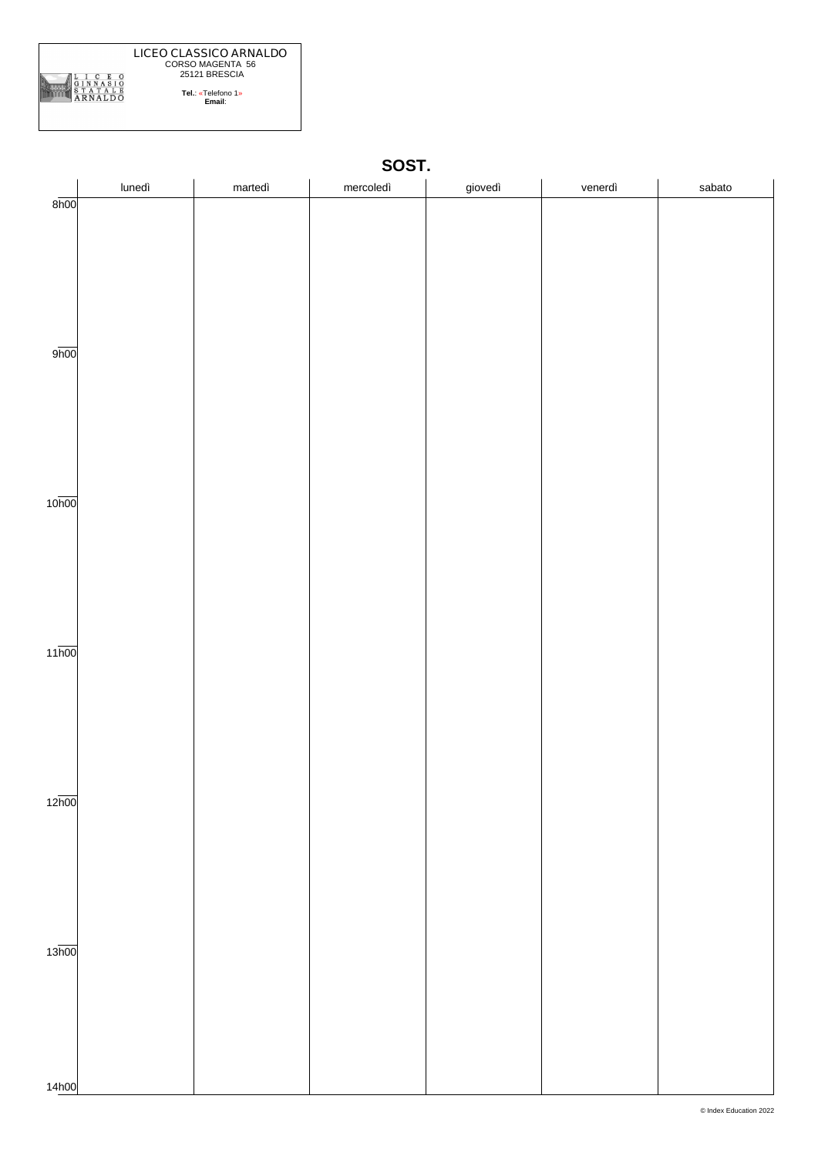

|                    | lunedì | martedì | mercoledì | giovedì | venerdì | sabato |
|--------------------|--------|---------|-----------|---------|---------|--------|
| 8h00               |        |         |           |         |         |        |
|                    |        |         |           |         |         |        |
|                    |        |         |           |         |         |        |
|                    |        |         |           |         |         |        |
|                    |        |         |           |         |         |        |
|                    |        |         |           |         |         |        |
|                    |        |         |           |         |         |        |
| 9h00               |        |         |           |         |         |        |
|                    |        |         |           |         |         |        |
|                    |        |         |           |         |         |        |
|                    |        |         |           |         |         |        |
|                    |        |         |           |         |         |        |
|                    |        |         |           |         |         |        |
|                    |        |         |           |         |         |        |
|                    |        |         |           |         |         |        |
| 10 <sub>h00</sub>  |        |         |           |         |         |        |
|                    |        |         |           |         |         |        |
|                    |        |         |           |         |         |        |
|                    |        |         |           |         |         |        |
|                    |        |         |           |         |         |        |
|                    |        |         |           |         |         |        |
|                    |        |         |           |         |         |        |
| $11\overline{h00}$ |        |         |           |         |         |        |
|                    |        |         |           |         |         |        |
|                    |        |         |           |         |         |        |
|                    |        |         |           |         |         |        |
|                    |        |         |           |         |         |        |
|                    |        |         |           |         |         |        |
|                    |        |         |           |         |         |        |
|                    |        |         |           |         |         |        |
| $12\overline{h00}$ |        |         |           |         |         |        |
|                    |        |         |           |         |         |        |
|                    |        |         |           |         |         |        |
|                    |        |         |           |         |         |        |
|                    |        |         |           |         |         |        |
|                    |        |         |           |         |         |        |
|                    |        |         |           |         |         |        |
| 13 <sub>h00</sub>  |        |         |           |         |         |        |
|                    |        |         |           |         |         |        |
|                    |        |         |           |         |         |        |
|                    |        |         |           |         |         |        |
|                    |        |         |           |         |         |        |
|                    |        |         |           |         |         |        |
|                    |        |         |           |         |         |        |
| 14h00              |        |         |           |         |         |        |